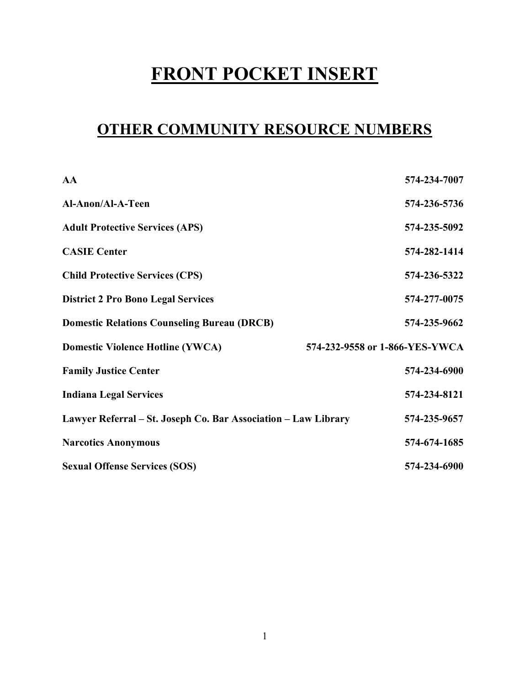# FRONT POCKET INSERT

# OTHER COMMUNITY RESOURCE NUMBERS

| AA                                                             | 574-234-7007                   |
|----------------------------------------------------------------|--------------------------------|
| Al-Anon/Al-A-Teen                                              | 574-236-5736                   |
| <b>Adult Protective Services (APS)</b>                         | 574-235-5092                   |
| <b>CASIE Center</b>                                            | 574-282-1414                   |
| <b>Child Protective Services (CPS)</b>                         | 574-236-5322                   |
| <b>District 2 Pro Bono Legal Services</b>                      | 574-277-0075                   |
| <b>Domestic Relations Counseling Bureau (DRCB)</b>             | 574-235-9662                   |
| <b>Domestic Violence Hotline (YWCA)</b>                        | 574-232-9558 or 1-866-YES-YWCA |
| <b>Family Justice Center</b>                                   | 574-234-6900                   |
| <b>Indiana Legal Services</b>                                  | 574-234-8121                   |
| Lawyer Referral – St. Joseph Co. Bar Association – Law Library | 574-235-9657                   |
| <b>Narcotics Anonymous</b>                                     | 574-674-1685                   |
| <b>Sexual Offense Services (SOS)</b>                           | 574-234-6900                   |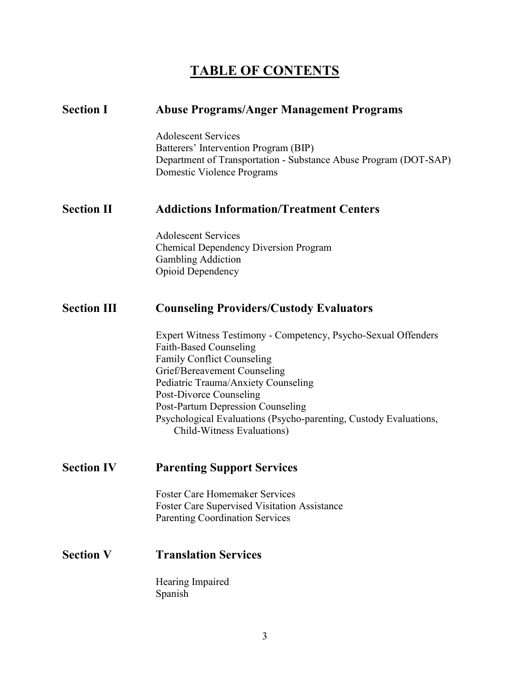# TABLE OF CONTENTS

| <b>Section I</b>   | <b>Abuse Programs/Anger Management Programs</b>                                                                                                                                                                                                                                                                                                                                |
|--------------------|--------------------------------------------------------------------------------------------------------------------------------------------------------------------------------------------------------------------------------------------------------------------------------------------------------------------------------------------------------------------------------|
|                    | <b>Adolescent Services</b><br>Batterers' Intervention Program (BIP)<br>Department of Transportation - Substance Abuse Program (DOT-SAP)<br>Domestic Violence Programs                                                                                                                                                                                                          |
| <b>Section II</b>  | <b>Addictions Information/Treatment Centers</b>                                                                                                                                                                                                                                                                                                                                |
|                    | <b>Adolescent Services</b><br><b>Chemical Dependency Diversion Program</b><br><b>Gambling Addiction</b><br><b>Opioid Dependency</b>                                                                                                                                                                                                                                            |
| <b>Section III</b> | <b>Counseling Providers/Custody Evaluators</b>                                                                                                                                                                                                                                                                                                                                 |
|                    | Expert Witness Testimony - Competency, Psycho-Sexual Offenders<br>Faith-Based Counseling<br><b>Family Conflict Counseling</b><br>Grief/Bereavement Counseling<br>Pediatric Trauma/Anxiety Counseling<br>Post-Divorce Counseling<br><b>Post-Partum Depression Counseling</b><br>Psychological Evaluations (Psycho-parenting, Custody Evaluations,<br>Child-Witness Evaluations) |
| <b>Section IV</b>  | <b>Parenting Support Services</b>                                                                                                                                                                                                                                                                                                                                              |
|                    | <b>Foster Care Homemaker Services</b><br><b>Foster Care Supervised Visitation Assistance</b><br><b>Parenting Coordination Services</b>                                                                                                                                                                                                                                         |
| <b>Section V</b>   | <b>Translation Services</b>                                                                                                                                                                                                                                                                                                                                                    |
|                    | Hearing Impaired<br>Spanish                                                                                                                                                                                                                                                                                                                                                    |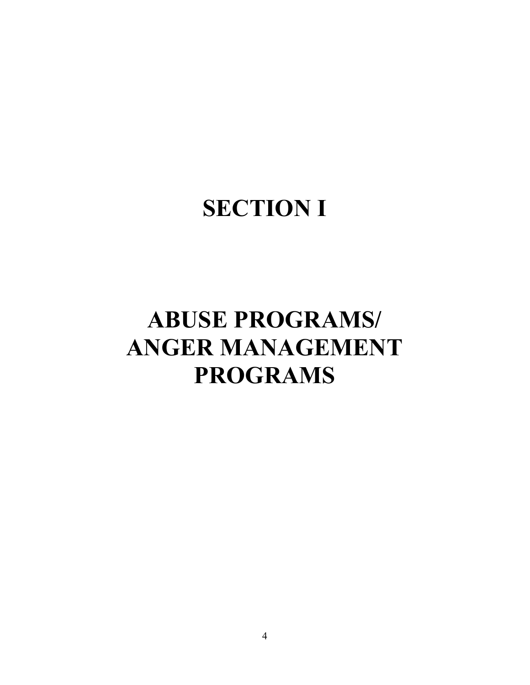# **SECTION I**

# ABUSE PROGRAMS/ ANGER MANAGEMENT PROGRAMS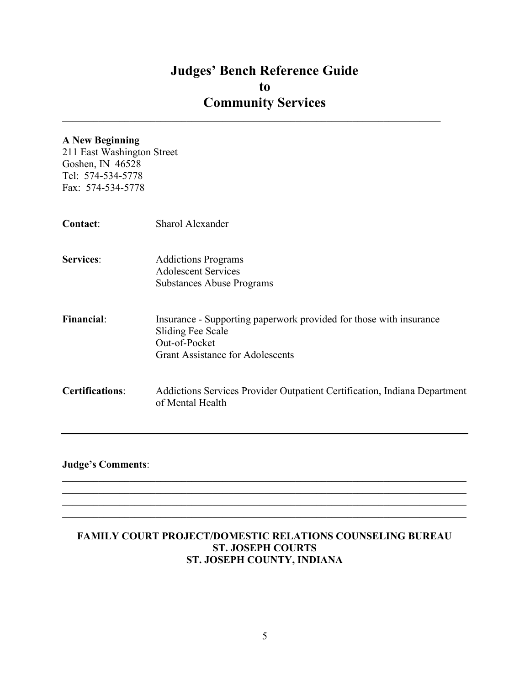$\mathcal{L}_\mathcal{L} = \mathcal{L}_\mathcal{L} = \mathcal{L}_\mathcal{L} = \mathcal{L}_\mathcal{L} = \mathcal{L}_\mathcal{L} = \mathcal{L}_\mathcal{L} = \mathcal{L}_\mathcal{L} = \mathcal{L}_\mathcal{L} = \mathcal{L}_\mathcal{L} = \mathcal{L}_\mathcal{L} = \mathcal{L}_\mathcal{L} = \mathcal{L}_\mathcal{L} = \mathcal{L}_\mathcal{L} = \mathcal{L}_\mathcal{L} = \mathcal{L}_\mathcal{L} = \mathcal{L}_\mathcal{L} = \mathcal{L}_\mathcal{L}$ 

## A New Beginning

211 East Washington Street Goshen, IN 46528 Tel: 574-534-5778 Fax: 574-534-5778

| Contact:               | Sharol Alexander                                                                                                                                    |
|------------------------|-----------------------------------------------------------------------------------------------------------------------------------------------------|
| <b>Services:</b>       | <b>Addictions Programs</b><br>Adolescent Services<br><b>Substances Abuse Programs</b>                                                               |
| <b>Financial:</b>      | Insurance - Supporting paperwork provided for those with insurance<br>Sliding Fee Scale<br>Out-of-Pocket<br><b>Grant Assistance for Adolescents</b> |
| <b>Certifications:</b> | Addictions Services Provider Outpatient Certification, Indiana Department<br>of Mental Health                                                       |

## Judge's Comments:

## FAMILY COURT PROJECT/DOMESTIC RELATIONS COUNSELING BUREAU ST. JOSEPH COURTS ST. JOSEPH COUNTY, INDIANA

 $\mathcal{L}_\mathcal{L} = \mathcal{L}_\mathcal{L} = \mathcal{L}_\mathcal{L} = \mathcal{L}_\mathcal{L} = \mathcal{L}_\mathcal{L} = \mathcal{L}_\mathcal{L} = \mathcal{L}_\mathcal{L} = \mathcal{L}_\mathcal{L} = \mathcal{L}_\mathcal{L} = \mathcal{L}_\mathcal{L} = \mathcal{L}_\mathcal{L} = \mathcal{L}_\mathcal{L} = \mathcal{L}_\mathcal{L} = \mathcal{L}_\mathcal{L} = \mathcal{L}_\mathcal{L} = \mathcal{L}_\mathcal{L} = \mathcal{L}_\mathcal{L}$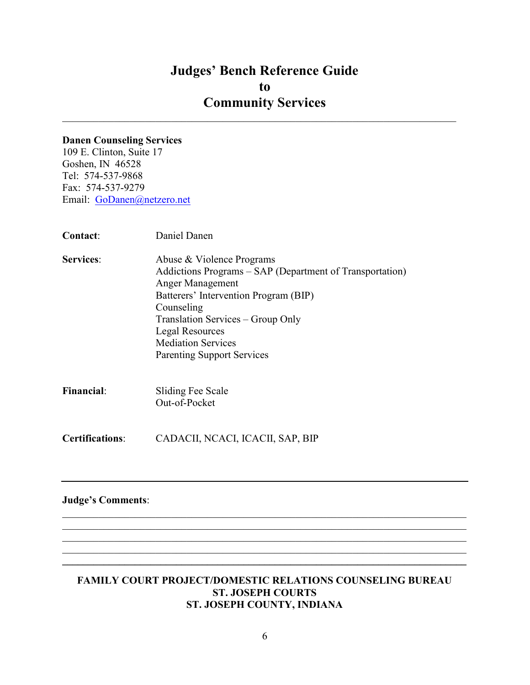$\mathcal{L}_\mathcal{L} = \mathcal{L}_\mathcal{L} = \mathcal{L}_\mathcal{L} = \mathcal{L}_\mathcal{L} = \mathcal{L}_\mathcal{L} = \mathcal{L}_\mathcal{L} = \mathcal{L}_\mathcal{L} = \mathcal{L}_\mathcal{L} = \mathcal{L}_\mathcal{L} = \mathcal{L}_\mathcal{L} = \mathcal{L}_\mathcal{L} = \mathcal{L}_\mathcal{L} = \mathcal{L}_\mathcal{L} = \mathcal{L}_\mathcal{L} = \mathcal{L}_\mathcal{L} = \mathcal{L}_\mathcal{L} = \mathcal{L}_\mathcal{L}$ 

#### Danen Counseling Services

109 E. Clinton, Suite 17 Goshen, IN 46528 Tel: 574-537-9868 Fax: 574-537-9279 Email: GoDanen@netzero.net

| <b>Contact:</b>        | Daniel Danen                                                                                                                                                                                                                                                                                      |
|------------------------|---------------------------------------------------------------------------------------------------------------------------------------------------------------------------------------------------------------------------------------------------------------------------------------------------|
| <b>Services:</b>       | Abuse & Violence Programs<br>Addictions Programs - SAP (Department of Transportation)<br>Anger Management<br>Batterers' Intervention Program (BIP)<br>Counseling<br>Translation Services – Group Only<br><b>Legal Resources</b><br><b>Mediation Services</b><br><b>Parenting Support Services</b> |
| <b>Financial:</b>      | Sliding Fee Scale<br>Out-of-Pocket                                                                                                                                                                                                                                                                |
| <b>Certifications:</b> | CADACII, NCACI, ICACII, SAP, BIP                                                                                                                                                                                                                                                                  |
|                        |                                                                                                                                                                                                                                                                                                   |

## Judge's Comments:

#### FAMILY COURT PROJECT/DOMESTIC RELATIONS COUNSELING BUREAU ST. JOSEPH COURTS ST. JOSEPH COUNTY, INDIANA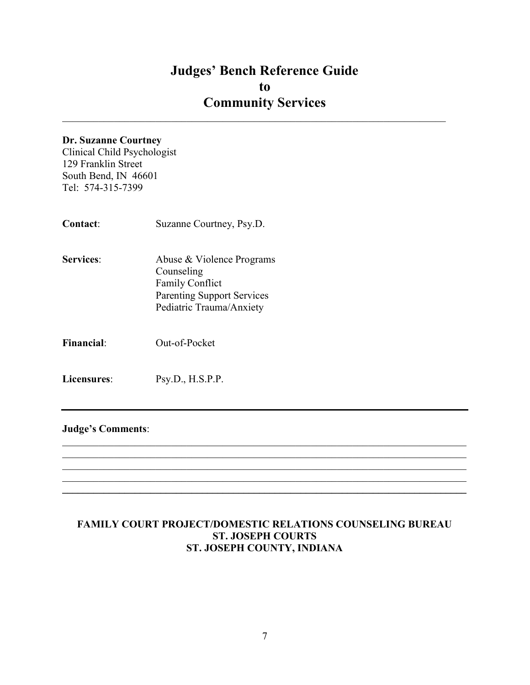$\mathcal{L}_\mathcal{L} = \mathcal{L}_\mathcal{L} = \mathcal{L}_\mathcal{L} = \mathcal{L}_\mathcal{L} = \mathcal{L}_\mathcal{L} = \mathcal{L}_\mathcal{L} = \mathcal{L}_\mathcal{L} = \mathcal{L}_\mathcal{L} = \mathcal{L}_\mathcal{L} = \mathcal{L}_\mathcal{L} = \mathcal{L}_\mathcal{L} = \mathcal{L}_\mathcal{L} = \mathcal{L}_\mathcal{L} = \mathcal{L}_\mathcal{L} = \mathcal{L}_\mathcal{L} = \mathcal{L}_\mathcal{L} = \mathcal{L}_\mathcal{L}$ 

#### Dr. Suzanne Courtney

Clinical Child Psychologist 129 Franklin Street South Bend, IN 46601 Tel: 574-315-7399

- Contact: Suzanne Courtney, Psy.D. Services: Abuse & Violence Programs Counseling Family Conflict
	- Parenting Support Services Pediatric Trauma/Anxiety
- Financial: Out-of-Pocket
- Licensures: Psy.D., H.S.P.P.

#### Judge's Comments:

## FAMILY COURT PROJECT/DOMESTIC RELATIONS COUNSELING BUREAU ST. JOSEPH COURTS ST. JOSEPH COUNTY, INDIANA

 $\mathcal{L}_\mathcal{L} = \mathcal{L}_\mathcal{L} = \mathcal{L}_\mathcal{L} = \mathcal{L}_\mathcal{L} = \mathcal{L}_\mathcal{L} = \mathcal{L}_\mathcal{L} = \mathcal{L}_\mathcal{L} = \mathcal{L}_\mathcal{L} = \mathcal{L}_\mathcal{L} = \mathcal{L}_\mathcal{L} = \mathcal{L}_\mathcal{L} = \mathcal{L}_\mathcal{L} = \mathcal{L}_\mathcal{L} = \mathcal{L}_\mathcal{L} = \mathcal{L}_\mathcal{L} = \mathcal{L}_\mathcal{L} = \mathcal{L}_\mathcal{L}$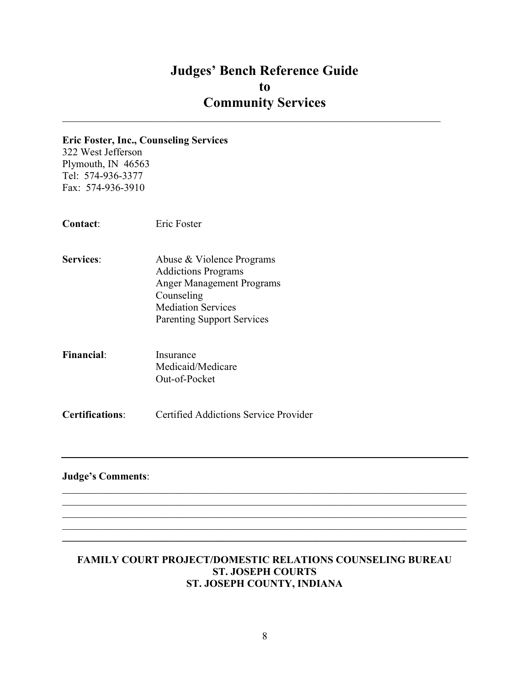$\mathcal{L}_\mathcal{L} = \mathcal{L}_\mathcal{L} = \mathcal{L}_\mathcal{L} = \mathcal{L}_\mathcal{L} = \mathcal{L}_\mathcal{L} = \mathcal{L}_\mathcal{L} = \mathcal{L}_\mathcal{L} = \mathcal{L}_\mathcal{L} = \mathcal{L}_\mathcal{L} = \mathcal{L}_\mathcal{L} = \mathcal{L}_\mathcal{L} = \mathcal{L}_\mathcal{L} = \mathcal{L}_\mathcal{L} = \mathcal{L}_\mathcal{L} = \mathcal{L}_\mathcal{L} = \mathcal{L}_\mathcal{L} = \mathcal{L}_\mathcal{L}$ 

#### Eric Foster, Inc., Counseling Services

322 West Jefferson Plymouth, IN 46563 Tel: 574-936-3377 Fax: 574-936-3910

Contact: Eric Foster

- Services: Abuse & Violence Programs Addictions Programs Anger Management Programs Counseling Mediation Services Parenting Support Services
- Financial: Insurance Medicaid/Medicare Out-of-Pocket

Certifications: Certified Addictions Service Provider

#### Judge's Comments:

#### FAMILY COURT PROJECT/DOMESTIC RELATIONS COUNSELING BUREAU ST. JOSEPH COURTS ST. JOSEPH COUNTY, INDIANA

 $\mathcal{L}_\mathcal{L} = \mathcal{L}_\mathcal{L} = \mathcal{L}_\mathcal{L} = \mathcal{L}_\mathcal{L} = \mathcal{L}_\mathcal{L} = \mathcal{L}_\mathcal{L} = \mathcal{L}_\mathcal{L} = \mathcal{L}_\mathcal{L} = \mathcal{L}_\mathcal{L} = \mathcal{L}_\mathcal{L} = \mathcal{L}_\mathcal{L} = \mathcal{L}_\mathcal{L} = \mathcal{L}_\mathcal{L} = \mathcal{L}_\mathcal{L} = \mathcal{L}_\mathcal{L} = \mathcal{L}_\mathcal{L} = \mathcal{L}_\mathcal{L}$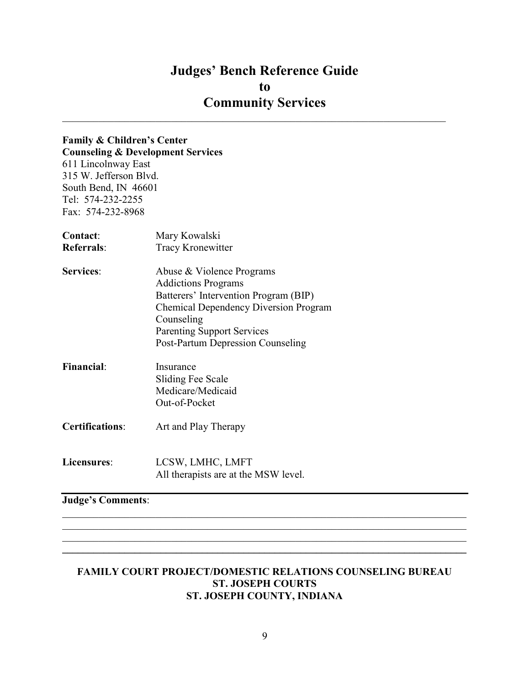## Judges' Bench Reference Guide to Community Services  $\mathcal{L}_\mathcal{L} = \mathcal{L}_\mathcal{L} = \mathcal{L}_\mathcal{L} = \mathcal{L}_\mathcal{L} = \mathcal{L}_\mathcal{L} = \mathcal{L}_\mathcal{L} = \mathcal{L}_\mathcal{L} = \mathcal{L}_\mathcal{L} = \mathcal{L}_\mathcal{L} = \mathcal{L}_\mathcal{L} = \mathcal{L}_\mathcal{L} = \mathcal{L}_\mathcal{L} = \mathcal{L}_\mathcal{L} = \mathcal{L}_\mathcal{L} = \mathcal{L}_\mathcal{L} = \mathcal{L}_\mathcal{L} = \mathcal{L}_\mathcal{L}$

# Family & Children's Center

Counseling & Development Services 611 Lincolnway East 315 W. Jefferson Blvd. South Bend, IN 46601 Tel: 574-232-2255 Fax: 574-232-8968

| Contact:               | Mary Kowalski<br>Tracy Kronewitter           |  |
|------------------------|----------------------------------------------|--|
| <b>Referrals:</b>      |                                              |  |
| <b>Services:</b>       | Abuse & Violence Programs                    |  |
|                        | <b>Addictions Programs</b>                   |  |
|                        | Batterers' Intervention Program (BIP)        |  |
|                        | <b>Chemical Dependency Diversion Program</b> |  |
|                        | Counseling                                   |  |
|                        | <b>Parenting Support Services</b>            |  |
|                        | Post-Partum Depression Counseling            |  |
| <b>Financial:</b>      | Insurance                                    |  |
|                        | Sliding Fee Scale                            |  |
|                        | Medicare/Medicaid                            |  |
|                        | Out-of-Pocket                                |  |
| <b>Certifications:</b> | Art and Play Therapy                         |  |
| Licensures:            | LCSW, LMHC, LMFT                             |  |
|                        | All therapists are at the MSW level.         |  |
|                        |                                              |  |

Judge's Comments:

#### FAMILY COURT PROJECT/DOMESTIC RELATIONS COUNSELING BUREAU ST. JOSEPH COURTS ST. JOSEPH COUNTY, INDIANA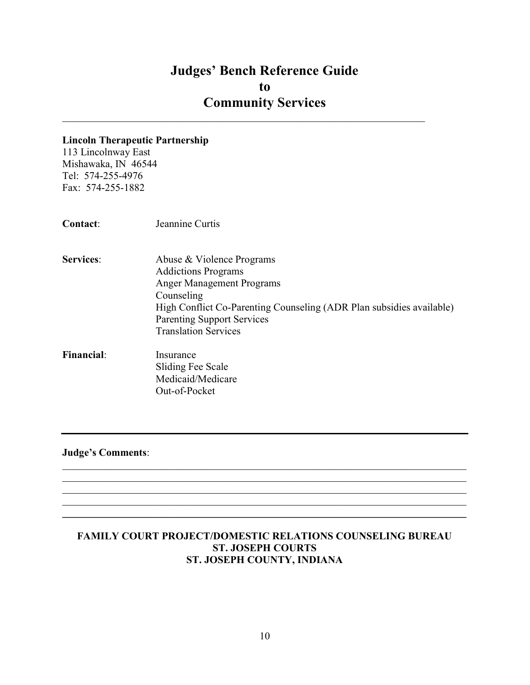$\mathcal{L}_\mathcal{L} = \mathcal{L}_\mathcal{L} = \mathcal{L}_\mathcal{L} = \mathcal{L}_\mathcal{L} = \mathcal{L}_\mathcal{L} = \mathcal{L}_\mathcal{L} = \mathcal{L}_\mathcal{L} = \mathcal{L}_\mathcal{L} = \mathcal{L}_\mathcal{L} = \mathcal{L}_\mathcal{L} = \mathcal{L}_\mathcal{L} = \mathcal{L}_\mathcal{L} = \mathcal{L}_\mathcal{L} = \mathcal{L}_\mathcal{L} = \mathcal{L}_\mathcal{L} = \mathcal{L}_\mathcal{L} = \mathcal{L}_\mathcal{L}$ 

#### Lincoln Therapeutic Partnership

113 Lincolnway East Mishawaka, IN 46544 Tel: 574-255-4976 Fax: 574-255-1882

- Services: Abuse & Violence Programs Addictions Programs Anger Management Programs Counseling High Conflict Co-Parenting Counseling (ADR Plan subsidies available) Parenting Support Services Translation Services
- Financial: Insurance Sliding Fee Scale Medicaid/Medicare Out-of-Pocket

Judge's Comments:

## FAMILY COURT PROJECT/DOMESTIC RELATIONS COUNSELING BUREAU ST. JOSEPH COURTS ST. JOSEPH COUNTY, INDIANA

 $\mathcal{L}_\mathcal{L} = \mathcal{L}_\mathcal{L} = \mathcal{L}_\mathcal{L} = \mathcal{L}_\mathcal{L} = \mathcal{L}_\mathcal{L} = \mathcal{L}_\mathcal{L} = \mathcal{L}_\mathcal{L} = \mathcal{L}_\mathcal{L} = \mathcal{L}_\mathcal{L} = \mathcal{L}_\mathcal{L} = \mathcal{L}_\mathcal{L} = \mathcal{L}_\mathcal{L} = \mathcal{L}_\mathcal{L} = \mathcal{L}_\mathcal{L} = \mathcal{L}_\mathcal{L} = \mathcal{L}_\mathcal{L} = \mathcal{L}_\mathcal{L}$ 

 $\mathcal{L}_\mathcal{L} = \mathcal{L}_\mathcal{L} = \mathcal{L}_\mathcal{L} = \mathcal{L}_\mathcal{L} = \mathcal{L}_\mathcal{L} = \mathcal{L}_\mathcal{L} = \mathcal{L}_\mathcal{L} = \mathcal{L}_\mathcal{L} = \mathcal{L}_\mathcal{L} = \mathcal{L}_\mathcal{L} = \mathcal{L}_\mathcal{L} = \mathcal{L}_\mathcal{L} = \mathcal{L}_\mathcal{L} = \mathcal{L}_\mathcal{L} = \mathcal{L}_\mathcal{L} = \mathcal{L}_\mathcal{L} = \mathcal{L}_\mathcal{L}$  $\mathcal{L}_\mathcal{L} = \{ \mathcal{L}_\mathcal{L} = \{ \mathcal{L}_\mathcal{L} = \{ \mathcal{L}_\mathcal{L} = \{ \mathcal{L}_\mathcal{L} = \{ \mathcal{L}_\mathcal{L} = \{ \mathcal{L}_\mathcal{L} = \{ \mathcal{L}_\mathcal{L} = \{ \mathcal{L}_\mathcal{L} = \{ \mathcal{L}_\mathcal{L} = \{ \mathcal{L}_\mathcal{L} = \{ \mathcal{L}_\mathcal{L} = \{ \mathcal{L}_\mathcal{L} = \{ \mathcal{L}_\mathcal{L} = \{ \mathcal{L}_\mathcal{$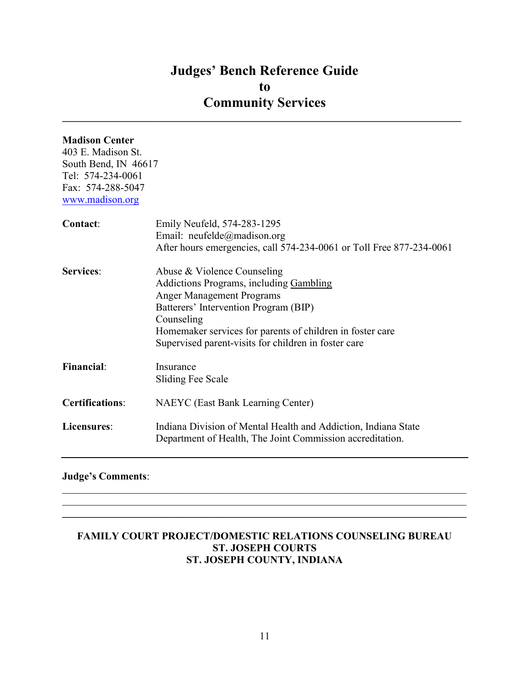$\_$ 

## Madison Center

403 E. Madison St. South Bend, IN 46617 Tel: 574-234-0061 Fax: 574-288-5047 www.madison.org

| Contact:               | Emily Neufeld, 574-283-1295<br>Email: neufelde@madison.org<br>After hours emergencies, call 574-234-0061 or Toll Free 877-234-0061                                                                                                                                                     |
|------------------------|----------------------------------------------------------------------------------------------------------------------------------------------------------------------------------------------------------------------------------------------------------------------------------------|
| <b>Services:</b>       | Abuse & Violence Counseling<br>Addictions Programs, including Gambling<br><b>Anger Management Programs</b><br>Batterers' Intervention Program (BIP)<br>Counseling<br>Homemaker services for parents of children in foster care<br>Supervised parent-visits for children in foster care |
| <b>Financial:</b>      | Insurance<br>Sliding Fee Scale                                                                                                                                                                                                                                                         |
| <b>Certifications:</b> | NAEYC (East Bank Learning Center)                                                                                                                                                                                                                                                      |
| Licensures:            | Indiana Division of Mental Health and Addiction, Indiana State<br>Department of Health, The Joint Commission accreditation.                                                                                                                                                            |

## Judge's Comments:

## FAMILY COURT PROJECT/DOMESTIC RELATIONS COUNSELING BUREAU ST. JOSEPH COURTS ST. JOSEPH COUNTY, INDIANA

 $\mathcal{L}_\mathcal{L} = \mathcal{L}_\mathcal{L} = \mathcal{L}_\mathcal{L} = \mathcal{L}_\mathcal{L} = \mathcal{L}_\mathcal{L} = \mathcal{L}_\mathcal{L} = \mathcal{L}_\mathcal{L} = \mathcal{L}_\mathcal{L} = \mathcal{L}_\mathcal{L} = \mathcal{L}_\mathcal{L} = \mathcal{L}_\mathcal{L} = \mathcal{L}_\mathcal{L} = \mathcal{L}_\mathcal{L} = \mathcal{L}_\mathcal{L} = \mathcal{L}_\mathcal{L} = \mathcal{L}_\mathcal{L} = \mathcal{L}_\mathcal{L}$  $\mathcal{L}_\mathcal{L} = \{ \mathcal{L}_\mathcal{L} = \{ \mathcal{L}_\mathcal{L} = \{ \mathcal{L}_\mathcal{L} = \{ \mathcal{L}_\mathcal{L} = \{ \mathcal{L}_\mathcal{L} = \{ \mathcal{L}_\mathcal{L} = \{ \mathcal{L}_\mathcal{L} = \{ \mathcal{L}_\mathcal{L} = \{ \mathcal{L}_\mathcal{L} = \{ \mathcal{L}_\mathcal{L} = \{ \mathcal{L}_\mathcal{L} = \{ \mathcal{L}_\mathcal{L} = \{ \mathcal{L}_\mathcal{L} = \{ \mathcal{L}_\mathcal{$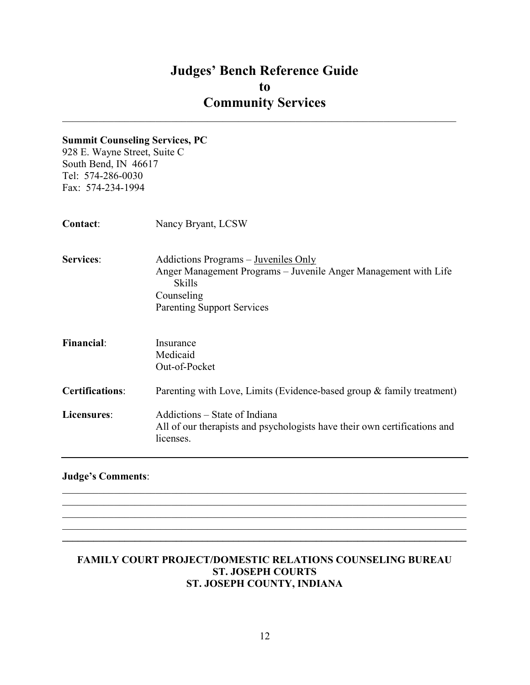$\mathcal{L}_\mathcal{L} = \mathcal{L}_\mathcal{L} = \mathcal{L}_\mathcal{L} = \mathcal{L}_\mathcal{L} = \mathcal{L}_\mathcal{L} = \mathcal{L}_\mathcal{L} = \mathcal{L}_\mathcal{L} = \mathcal{L}_\mathcal{L} = \mathcal{L}_\mathcal{L} = \mathcal{L}_\mathcal{L} = \mathcal{L}_\mathcal{L} = \mathcal{L}_\mathcal{L} = \mathcal{L}_\mathcal{L} = \mathcal{L}_\mathcal{L} = \mathcal{L}_\mathcal{L} = \mathcal{L}_\mathcal{L} = \mathcal{L}_\mathcal{L}$ 

## Summit Counseling Services, PC

928 E. Wayne Street, Suite C South Bend, IN 46617 Tel: 574-286-0030 Fax: 574-234-1994

| <b>Contact:</b>        | Nancy Bryant, LCSW                                                                                                              |
|------------------------|---------------------------------------------------------------------------------------------------------------------------------|
| <b>Services:</b>       | Addictions Programs – Juveniles Only<br>Anger Management Programs – Juvenile Anger Management with Life<br>Skills<br>Counseling |
|                        | <b>Parenting Support Services</b>                                                                                               |
| <b>Financial:</b>      | Insurance<br>Medicaid<br>Out-of-Pocket                                                                                          |
| <b>Certifications:</b> | Parenting with Love, Limits (Evidence-based group & family treatment)                                                           |
| Licensures:            | Addictions – State of Indiana<br>All of our therapists and psychologists have their own certifications and<br>licenses.         |

## Judge's Comments:

#### FAMILY COURT PROJECT/DOMESTIC RELATIONS COUNSELING BUREAU ST. JOSEPH COURTS ST. JOSEPH COUNTY, INDIANA

 $\mathcal{L}_\mathcal{L} = \mathcal{L}_\mathcal{L} = \mathcal{L}_\mathcal{L} = \mathcal{L}_\mathcal{L} = \mathcal{L}_\mathcal{L} = \mathcal{L}_\mathcal{L} = \mathcal{L}_\mathcal{L} = \mathcal{L}_\mathcal{L} = \mathcal{L}_\mathcal{L} = \mathcal{L}_\mathcal{L} = \mathcal{L}_\mathcal{L} = \mathcal{L}_\mathcal{L} = \mathcal{L}_\mathcal{L} = \mathcal{L}_\mathcal{L} = \mathcal{L}_\mathcal{L} = \mathcal{L}_\mathcal{L} = \mathcal{L}_\mathcal{L}$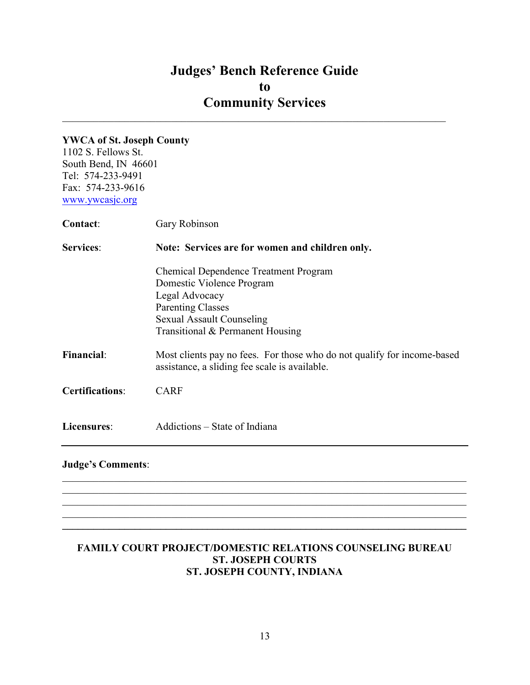$\mathcal{L}_\mathcal{L} = \mathcal{L}_\mathcal{L} = \mathcal{L}_\mathcal{L} = \mathcal{L}_\mathcal{L} = \mathcal{L}_\mathcal{L} = \mathcal{L}_\mathcal{L} = \mathcal{L}_\mathcal{L} = \mathcal{L}_\mathcal{L} = \mathcal{L}_\mathcal{L} = \mathcal{L}_\mathcal{L} = \mathcal{L}_\mathcal{L} = \mathcal{L}_\mathcal{L} = \mathcal{L}_\mathcal{L} = \mathcal{L}_\mathcal{L} = \mathcal{L}_\mathcal{L} = \mathcal{L}_\mathcal{L} = \mathcal{L}_\mathcal{L}$ 

### YWCA of St. Joseph County

1102 S. Fellows St. South Bend, IN 46601 Tel: 574-233-9491 Fax: 574-233-9616 www.ywcasjc.org

| <b>Contact:</b>        | Gary Robinson                                                                                                                                                                                   |  |
|------------------------|-------------------------------------------------------------------------------------------------------------------------------------------------------------------------------------------------|--|
| <b>Services:</b>       | Note: Services are for women and children only.                                                                                                                                                 |  |
|                        | <b>Chemical Dependence Treatment Program</b><br>Domestic Violence Program<br>Legal Advocacy<br><b>Parenting Classes</b><br><b>Sexual Assault Counseling</b><br>Transitional & Permanent Housing |  |
| <b>Financial:</b>      | Most clients pay no fees. For those who do not qualify for income-based<br>assistance, a sliding fee scale is available.                                                                        |  |
| <b>Certifications:</b> | <b>CARF</b>                                                                                                                                                                                     |  |
| Licensures:            | Addictions – State of Indiana                                                                                                                                                                   |  |
|                        |                                                                                                                                                                                                 |  |

## Judge's Comments:

## FAMILY COURT PROJECT/DOMESTIC RELATIONS COUNSELING BUREAU ST. JOSEPH COURTS ST. JOSEPH COUNTY, INDIANA

 $\mathcal{L}_\mathcal{L} = \mathcal{L}_\mathcal{L} = \mathcal{L}_\mathcal{L} = \mathcal{L}_\mathcal{L} = \mathcal{L}_\mathcal{L} = \mathcal{L}_\mathcal{L} = \mathcal{L}_\mathcal{L} = \mathcal{L}_\mathcal{L} = \mathcal{L}_\mathcal{L} = \mathcal{L}_\mathcal{L} = \mathcal{L}_\mathcal{L} = \mathcal{L}_\mathcal{L} = \mathcal{L}_\mathcal{L} = \mathcal{L}_\mathcal{L} = \mathcal{L}_\mathcal{L} = \mathcal{L}_\mathcal{L} = \mathcal{L}_\mathcal{L}$ 

▃

 $\mathcal{L}_\mathcal{L} = \{ \mathcal{L}_\mathcal{L} = \{ \mathcal{L}_\mathcal{L} = \{ \mathcal{L}_\mathcal{L} = \{ \mathcal{L}_\mathcal{L} = \{ \mathcal{L}_\mathcal{L} = \{ \mathcal{L}_\mathcal{L} = \{ \mathcal{L}_\mathcal{L} = \{ \mathcal{L}_\mathcal{L} = \{ \mathcal{L}_\mathcal{L} = \{ \mathcal{L}_\mathcal{L} = \{ \mathcal{L}_\mathcal{L} = \{ \mathcal{L}_\mathcal{L} = \{ \mathcal{L}_\mathcal{L} = \{ \mathcal{L}_\mathcal{$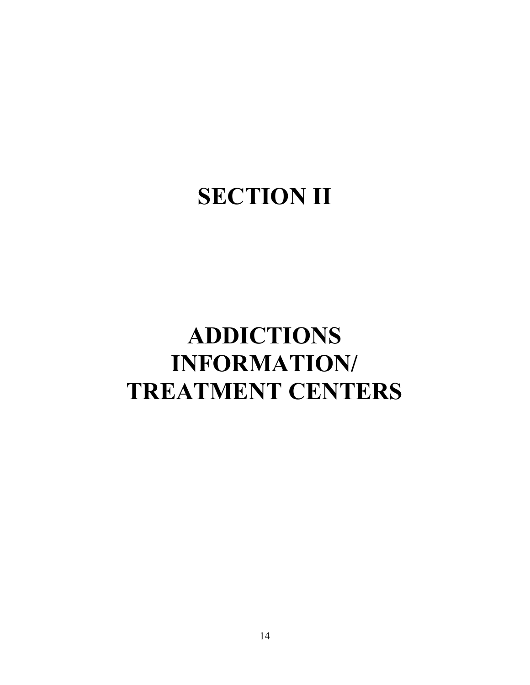# SECTION II

# ADDICTIONS INFORMATION/ TREATMENT CENTERS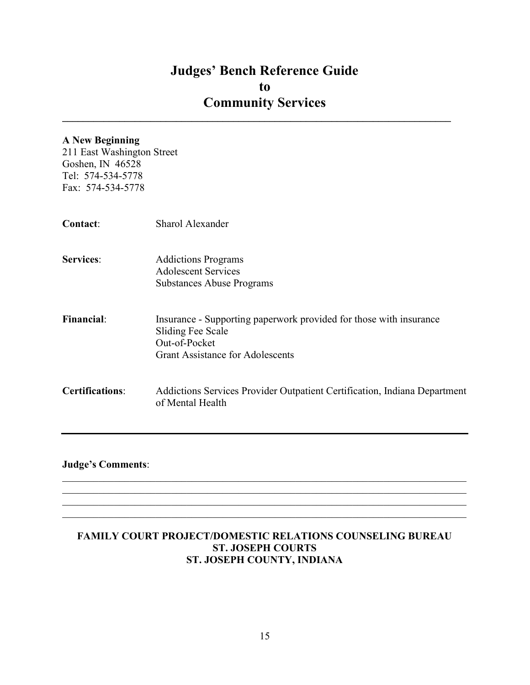$\mathcal{L}_\text{max}$  and  $\mathcal{L}_\text{max}$  and  $\mathcal{L}_\text{max}$  and  $\mathcal{L}_\text{max}$  and  $\mathcal{L}_\text{max}$  and  $\mathcal{L}_\text{max}$ 

## A New Beginning

211 East Washington Street Goshen, IN 46528 Tel: 574-534-5778 Fax: 574-534-5778

| Contact:               | Sharol Alexander                                                                                                                                    |
|------------------------|-----------------------------------------------------------------------------------------------------------------------------------------------------|
| <b>Services:</b>       | <b>Addictions Programs</b><br><b>Adolescent Services</b><br><b>Substances Abuse Programs</b>                                                        |
| <b>Financial:</b>      | Insurance - Supporting paperwork provided for those with insurance<br>Sliding Fee Scale<br>Out-of-Pocket<br><b>Grant Assistance for Adolescents</b> |
| <b>Certifications:</b> | Addictions Services Provider Outpatient Certification, Indiana Department<br>of Mental Health                                                       |

## Judge's Comments:

## FAMILY COURT PROJECT/DOMESTIC RELATIONS COUNSELING BUREAU ST. JOSEPH COURTS ST. JOSEPH COUNTY, INDIANA

 $\mathcal{L}_\mathcal{L} = \mathcal{L}_\mathcal{L} = \mathcal{L}_\mathcal{L} = \mathcal{L}_\mathcal{L} = \mathcal{L}_\mathcal{L} = \mathcal{L}_\mathcal{L} = \mathcal{L}_\mathcal{L} = \mathcal{L}_\mathcal{L} = \mathcal{L}_\mathcal{L} = \mathcal{L}_\mathcal{L} = \mathcal{L}_\mathcal{L} = \mathcal{L}_\mathcal{L} = \mathcal{L}_\mathcal{L} = \mathcal{L}_\mathcal{L} = \mathcal{L}_\mathcal{L} = \mathcal{L}_\mathcal{L} = \mathcal{L}_\mathcal{L}$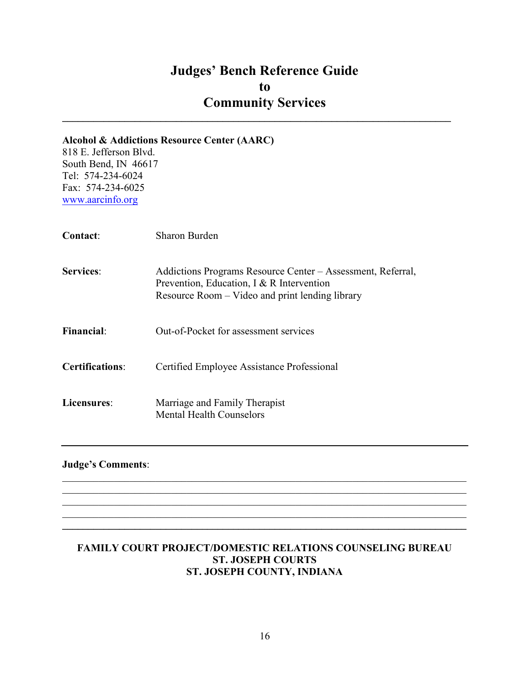$\mathcal{L}_\text{max}$  and  $\mathcal{L}_\text{max}$  and  $\mathcal{L}_\text{max}$  and  $\mathcal{L}_\text{max}$  and  $\mathcal{L}_\text{max}$  and  $\mathcal{L}_\text{max}$ 

# Alcohol & Addictions Resource Center (AARC)

818 E. Jefferson Blvd. South Bend, IN 46617 Tel: 574-234-6024 Fax: 574-234-6025 www.aarcinfo.org

| Contact:               | Sharon Burden                                                                                                                                               |
|------------------------|-------------------------------------------------------------------------------------------------------------------------------------------------------------|
| <b>Services:</b>       | Addictions Programs Resource Center – Assessment, Referral,<br>Prevention, Education, I & R Intervention<br>Resource Room – Video and print lending library |
| Financial:             | Out-of-Pocket for assessment services                                                                                                                       |
| <b>Certifications:</b> | Certified Employee Assistance Professional                                                                                                                  |
| Licensures:            | Marriage and Family Therapist<br>Mental Health Counselors                                                                                                   |

## Judge's Comments:

## FAMILY COURT PROJECT/DOMESTIC RELATIONS COUNSELING BUREAU ST. JOSEPH COURTS ST. JOSEPH COUNTY, INDIANA

 $\mathcal{L}_\mathcal{L} = \mathcal{L}_\mathcal{L} = \mathcal{L}_\mathcal{L} = \mathcal{L}_\mathcal{L} = \mathcal{L}_\mathcal{L} = \mathcal{L}_\mathcal{L} = \mathcal{L}_\mathcal{L} = \mathcal{L}_\mathcal{L} = \mathcal{L}_\mathcal{L} = \mathcal{L}_\mathcal{L} = \mathcal{L}_\mathcal{L} = \mathcal{L}_\mathcal{L} = \mathcal{L}_\mathcal{L} = \mathcal{L}_\mathcal{L} = \mathcal{L}_\mathcal{L} = \mathcal{L}_\mathcal{L} = \mathcal{L}_\mathcal{L}$ 

 $\mathcal{L}_\mathcal{L} = \{ \mathcal{L}_\mathcal{L} = \{ \mathcal{L}_\mathcal{L} = \{ \mathcal{L}_\mathcal{L} = \{ \mathcal{L}_\mathcal{L} = \{ \mathcal{L}_\mathcal{L} = \{ \mathcal{L}_\mathcal{L} = \{ \mathcal{L}_\mathcal{L} = \{ \mathcal{L}_\mathcal{L} = \{ \mathcal{L}_\mathcal{L} = \{ \mathcal{L}_\mathcal{L} = \{ \mathcal{L}_\mathcal{L} = \{ \mathcal{L}_\mathcal{L} = \{ \mathcal{L}_\mathcal{L} = \{ \mathcal{L}_\mathcal{$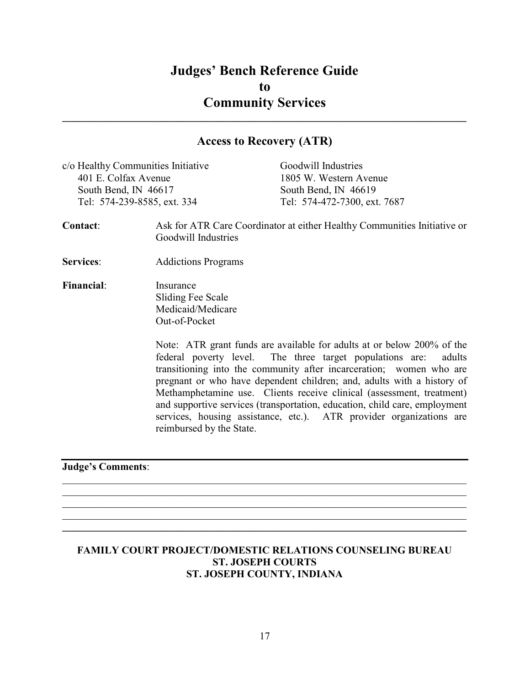## Access to Recovery (ATR)

 $\_$ 

| c/o Healthy Communities Initiative | Goodwill Industries          |
|------------------------------------|------------------------------|
| 401 E. Colfax Avenue               | 1805 W. Western Avenue       |
| South Bend, IN 46617               | South Bend, IN 46619         |
| Tel: 574-239-8585, ext. 334        | Tel: 574-472-7300, ext. 7687 |
|                                    |                              |
|                                    |                              |

- Contact: Ask for ATR Care Coordinator at either Healthy Communities Initiative or Goodwill Industries
- Services: Addictions Programs
- Financial: Insurance Sliding Fee Scale Medicaid/Medicare Out-of-Pocket

Note: ATR grant funds are available for adults at or below 200% of the federal poverty level. The three target populations are: adults transitioning into the community after incarceration; women who are pregnant or who have dependent children; and, adults with a history of Methamphetamine use. Clients receive clinical (assessment, treatment) and supportive services (transportation, education, child care, employment services, housing assistance, etc.). ATR provider organizations are reimbursed by the State.

#### Judge's Comments:

#### FAMILY COURT PROJECT/DOMESTIC RELATIONS COUNSELING BUREAU ST. JOSEPH COURTS ST. JOSEPH COUNTY, INDIANA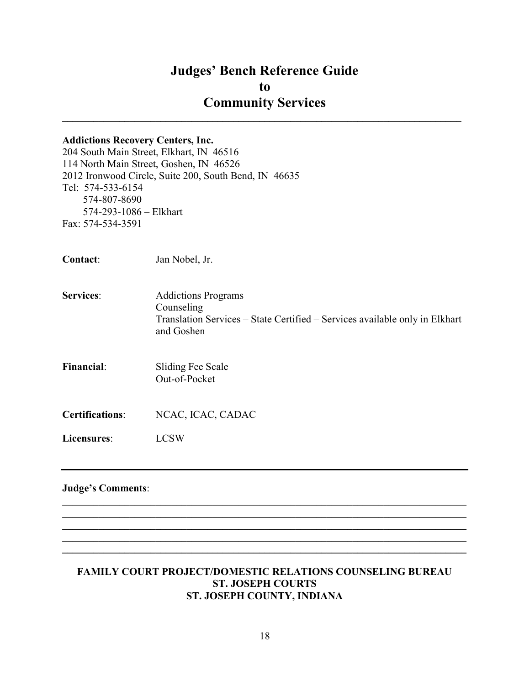# Addictions Recovery Centers, Inc. 204 South Main Street, Elkhart, IN 46516 114 North Main Street, Goshen, IN 46526 2012 Ironwood Circle, Suite 200, South Bend, IN 46635 Tel: 574-533-6154 574-807-8690 574-293-1086 – Elkhart Fax: 574-534-3591 Contact: Jan Nobel, Jr. Services: Addictions Programs Counseling Translation Services – State Certified – Services available only in Elkhart and Goshen Financial: Sliding Fee Scale Out-of-Pocket Certifications: NCAC, ICAC, CADAC Licensures: LCSW Judge's Comments:  $\mathcal{L}_\mathcal{L} = \mathcal{L}_\mathcal{L} = \mathcal{L}_\mathcal{L} = \mathcal{L}_\mathcal{L} = \mathcal{L}_\mathcal{L} = \mathcal{L}_\mathcal{L} = \mathcal{L}_\mathcal{L} = \mathcal{L}_\mathcal{L} = \mathcal{L}_\mathcal{L} = \mathcal{L}_\mathcal{L} = \mathcal{L}_\mathcal{L} = \mathcal{L}_\mathcal{L} = \mathcal{L}_\mathcal{L} = \mathcal{L}_\mathcal{L} = \mathcal{L}_\mathcal{L} = \mathcal{L}_\mathcal{L} = \mathcal{L}_\mathcal{L}$

#### FAMILY COURT PROJECT/DOMESTIC RELATIONS COUNSELING BUREAU ST. JOSEPH COURTS ST. JOSEPH COUNTY, INDIANA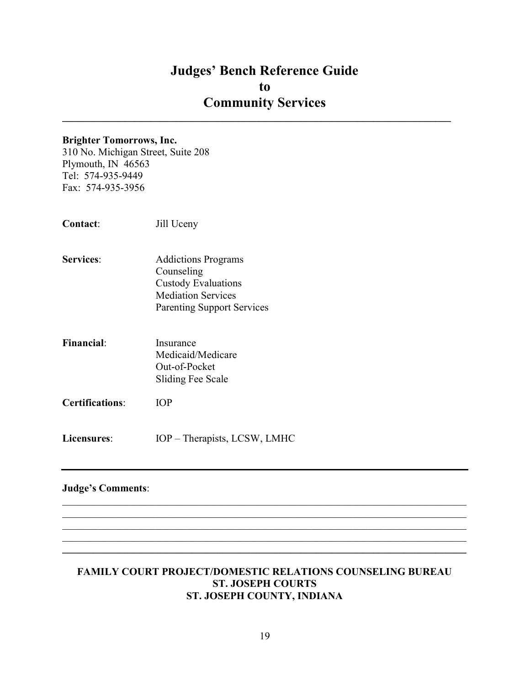$\mathcal{L}_\text{max}$  and  $\mathcal{L}_\text{max}$  and  $\mathcal{L}_\text{max}$  and  $\mathcal{L}_\text{max}$  and  $\mathcal{L}_\text{max}$  and  $\mathcal{L}_\text{max}$ 

#### Brighter Tomorrows, Inc.

310 No. Michigan Street, Suite 208 Plymouth, IN 46563 Tel: 574-935-9449 Fax: 574-935-3956

| Contact: | Jill Uceny |
|----------|------------|
|----------|------------|

- Services: Addictions Programs Counseling Custody Evaluations Mediation Services Parenting Support Services
- Financial: Insurance Medicaid/Medicare Out-of-Pocket Sliding Fee Scale
- Certifications: IOP
- Licensures: IOP Therapists, LCSW, LMHC

#### Judge's Comments:

#### FAMILY COURT PROJECT/DOMESTIC RELATIONS COUNSELING BUREAU ST. JOSEPH COURTS ST. JOSEPH COUNTY, INDIANA

 $\_$ 

 $\mathcal{L}_\mathcal{L} = \mathcal{L}_\mathcal{L} = \mathcal{L}_\mathcal{L} = \mathcal{L}_\mathcal{L} = \mathcal{L}_\mathcal{L} = \mathcal{L}_\mathcal{L} = \mathcal{L}_\mathcal{L} = \mathcal{L}_\mathcal{L} = \mathcal{L}_\mathcal{L} = \mathcal{L}_\mathcal{L} = \mathcal{L}_\mathcal{L} = \mathcal{L}_\mathcal{L} = \mathcal{L}_\mathcal{L} = \mathcal{L}_\mathcal{L} = \mathcal{L}_\mathcal{L} = \mathcal{L}_\mathcal{L} = \mathcal{L}_\mathcal{L}$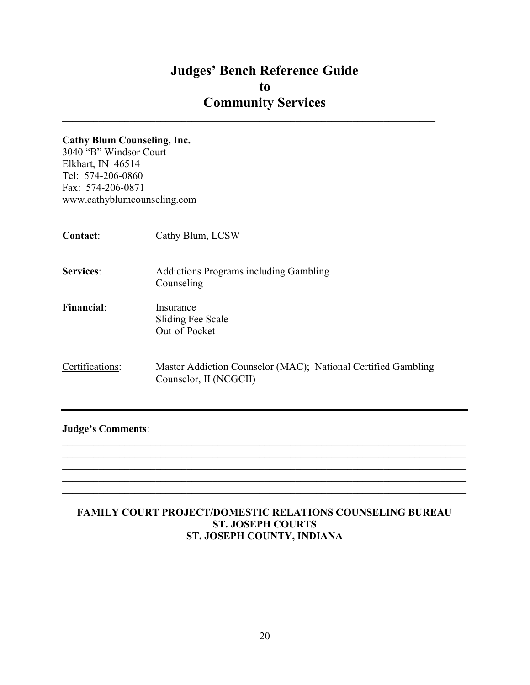$\mathcal{L}_\text{max}$  and  $\mathcal{L}_\text{max}$  and  $\mathcal{L}_\text{max}$  and  $\mathcal{L}_\text{max}$  and  $\mathcal{L}_\text{max}$  and  $\mathcal{L}_\text{max}$ 

#### Cathy Blum Counseling, Inc.

3040 "B" Windsor Court Elkhart, IN 46514 Tel: 574-206-0860 Fax: 574-206-0871 www.cathyblumcounseling.com

| <b>Contact:</b>   | Cathy Blum, LCSW                                                                        |
|-------------------|-----------------------------------------------------------------------------------------|
| <b>Services:</b>  | <b>Addictions Programs including Gambling</b><br>Counseling                             |
| <b>Financial:</b> | Insurance<br>Sliding Fee Scale<br>Out-of-Pocket                                         |
| Certifications:   | Master Addiction Counselor (MAC); National Certified Gambling<br>Counselor, II (NCGCII) |

## Judge's Comments:

## FAMILY COURT PROJECT/DOMESTIC RELATIONS COUNSELING BUREAU ST. JOSEPH COURTS ST. JOSEPH COUNTY, INDIANA

 $\mathcal{L}_\mathcal{L} = \mathcal{L}_\mathcal{L} = \mathcal{L}_\mathcal{L} = \mathcal{L}_\mathcal{L} = \mathcal{L}_\mathcal{L} = \mathcal{L}_\mathcal{L} = \mathcal{L}_\mathcal{L} = \mathcal{L}_\mathcal{L} = \mathcal{L}_\mathcal{L} = \mathcal{L}_\mathcal{L} = \mathcal{L}_\mathcal{L} = \mathcal{L}_\mathcal{L} = \mathcal{L}_\mathcal{L} = \mathcal{L}_\mathcal{L} = \mathcal{L}_\mathcal{L} = \mathcal{L}_\mathcal{L} = \mathcal{L}_\mathcal{L}$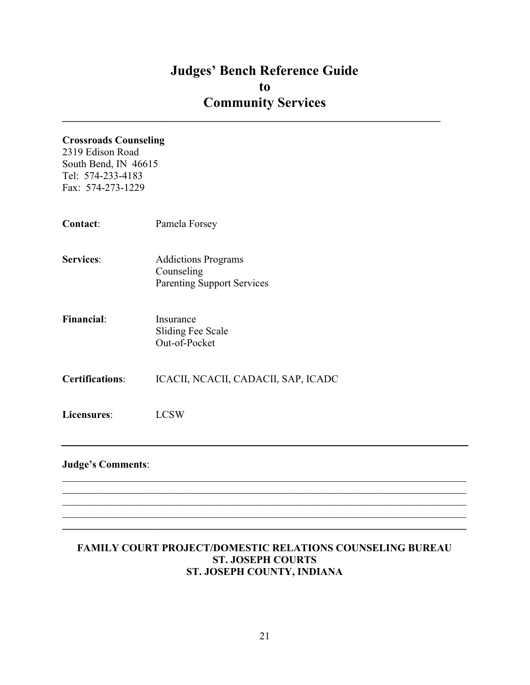$\mathcal{L}_\text{max}$  and  $\mathcal{L}_\text{max}$  and  $\mathcal{L}_\text{max}$  and  $\mathcal{L}_\text{max}$  and  $\mathcal{L}_\text{max}$  and  $\mathcal{L}_\text{max}$ 

## Crossroads Counseling

2319 Edison Road South Bend, IN 46615 Tel: 574-233-4183 Fax: 574-273-1229

| Contact:                 | Pamela Forsey                                                                 |
|--------------------------|-------------------------------------------------------------------------------|
| <b>Services:</b>         | <b>Addictions Programs</b><br>Counseling<br><b>Parenting Support Services</b> |
| <b>Financial:</b>        | Insurance<br><b>Sliding Fee Scale</b><br>Out-of-Pocket                        |
| <b>Certifications:</b>   | ICACII, NCACII, CADACII, SAP, ICADC                                           |
| Licensures:              | <b>LCSW</b>                                                                   |
| <b>Judge's Comments:</b> |                                                                               |

## FAMILY COURT PROJECT/DOMESTIC RELATIONS COUNSELING BUREAU ST. JOSEPH COURTS ST. JOSEPH COUNTY, INDIANA

 $\mathcal{L}_\mathcal{L} = \{ \mathcal{L}_\mathcal{L} = \{ \mathcal{L}_\mathcal{L} = \{ \mathcal{L}_\mathcal{L} = \{ \mathcal{L}_\mathcal{L} = \{ \mathcal{L}_\mathcal{L} = \{ \mathcal{L}_\mathcal{L} = \{ \mathcal{L}_\mathcal{L} = \{ \mathcal{L}_\mathcal{L} = \{ \mathcal{L}_\mathcal{L} = \{ \mathcal{L}_\mathcal{L} = \{ \mathcal{L}_\mathcal{L} = \{ \mathcal{L}_\mathcal{L} = \{ \mathcal{L}_\mathcal{L} = \{ \mathcal{L}_\mathcal{$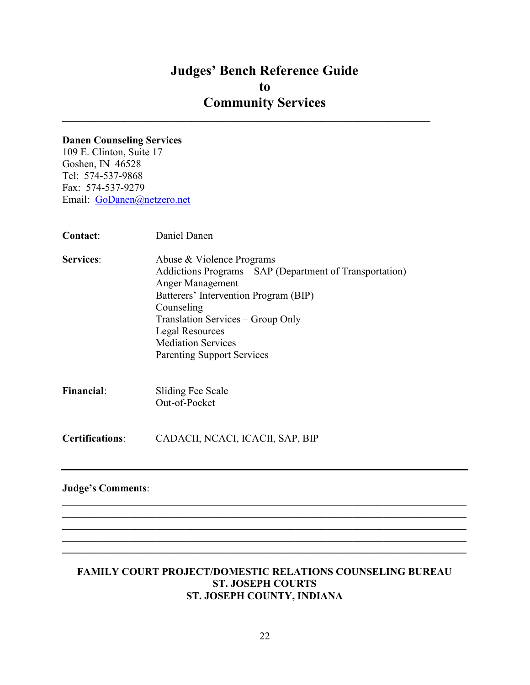$\_$ 

#### Danen Counseling Services

109 E. Clinton, Suite 17 Goshen, IN 46528 Tel: 574-537-9868 Fax: 574-537-9279 Email: GoDanen@netzero.net

| Contact:                 | Daniel Danen                                                                                                                                                                                                                                                                                      |
|--------------------------|---------------------------------------------------------------------------------------------------------------------------------------------------------------------------------------------------------------------------------------------------------------------------------------------------|
| <b>Services:</b>         | Abuse & Violence Programs<br>Addictions Programs - SAP (Department of Transportation)<br>Anger Management<br>Batterers' Intervention Program (BIP)<br>Counseling<br>Translation Services – Group Only<br><b>Legal Resources</b><br><b>Mediation Services</b><br><b>Parenting Support Services</b> |
| <b>Financial:</b>        | Sliding Fee Scale<br>Out-of-Pocket                                                                                                                                                                                                                                                                |
| <b>Certifications:</b>   | CADACII, NCACI, ICACII, SAP, BIP                                                                                                                                                                                                                                                                  |
| <b>Judge's Comments:</b> |                                                                                                                                                                                                                                                                                                   |

#### FAMILY COURT PROJECT/DOMESTIC RELATIONS COUNSELING BUREAU ST. JOSEPH COURTS ST. JOSEPH COUNTY, INDIANA

 $\_$ 

 $\mathcal{L}_\mathcal{L} = \mathcal{L}_\mathcal{L} = \mathcal{L}_\mathcal{L} = \mathcal{L}_\mathcal{L} = \mathcal{L}_\mathcal{L} = \mathcal{L}_\mathcal{L} = \mathcal{L}_\mathcal{L} = \mathcal{L}_\mathcal{L} = \mathcal{L}_\mathcal{L} = \mathcal{L}_\mathcal{L} = \mathcal{L}_\mathcal{L} = \mathcal{L}_\mathcal{L} = \mathcal{L}_\mathcal{L} = \mathcal{L}_\mathcal{L} = \mathcal{L}_\mathcal{L} = \mathcal{L}_\mathcal{L} = \mathcal{L}_\mathcal{L}$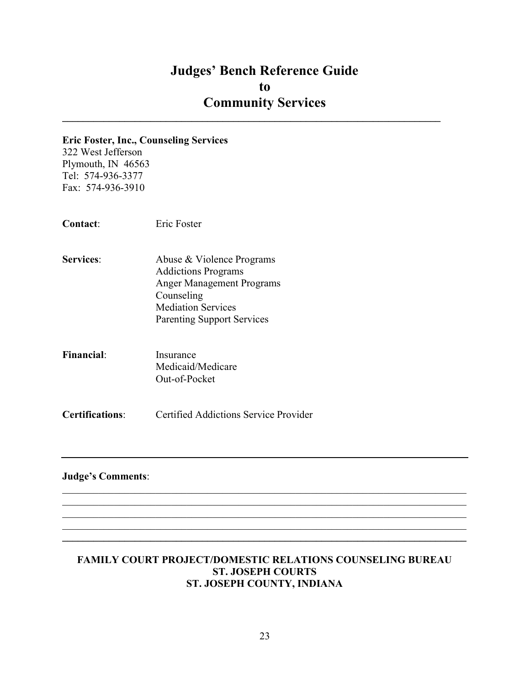$\mathcal{L}_\text{max}$  and  $\mathcal{L}_\text{max}$  and  $\mathcal{L}_\text{max}$  and  $\mathcal{L}_\text{max}$  and  $\mathcal{L}_\text{max}$  and  $\mathcal{L}_\text{max}$ 

#### Eric Foster, Inc., Counseling Services

322 West Jefferson Plymouth, IN 46563 Tel: 574-936-3377 Fax: 574-936-3910

Contact: Eric Foster

- Services: Abuse & Violence Programs Addictions Programs Anger Management Programs Counseling Mediation Services Parenting Support Services
- Financial: Insurance Medicaid/Medicare Out-of-Pocket

Certifications: Certified Addictions Service Provider

## Judge's Comments:

#### FAMILY COURT PROJECT/DOMESTIC RELATIONS COUNSELING BUREAU ST. JOSEPH COURTS ST. JOSEPH COUNTY, INDIANA

 $\mathcal{L}_\mathcal{L} = \mathcal{L}_\mathcal{L} = \mathcal{L}_\mathcal{L} = \mathcal{L}_\mathcal{L} = \mathcal{L}_\mathcal{L} = \mathcal{L}_\mathcal{L} = \mathcal{L}_\mathcal{L} = \mathcal{L}_\mathcal{L} = \mathcal{L}_\mathcal{L} = \mathcal{L}_\mathcal{L} = \mathcal{L}_\mathcal{L} = \mathcal{L}_\mathcal{L} = \mathcal{L}_\mathcal{L} = \mathcal{L}_\mathcal{L} = \mathcal{L}_\mathcal{L} = \mathcal{L}_\mathcal{L} = \mathcal{L}_\mathcal{L}$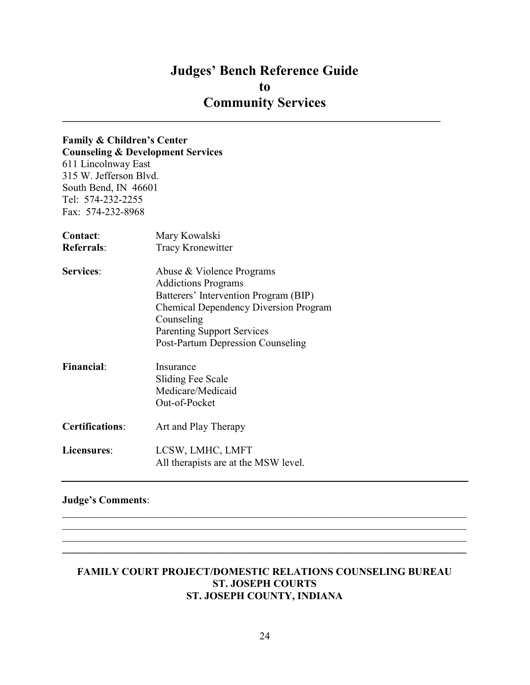## Judges' Bench Reference Guide to Community Services  $\mathcal{L}_\text{max}$  and  $\mathcal{L}_\text{max}$  and  $\mathcal{L}_\text{max}$  and  $\mathcal{L}_\text{max}$  and  $\mathcal{L}_\text{max}$  and  $\mathcal{L}_\text{max}$

# Family & Children's Center

Counseling & Development Services 611 Lincolnway East 315 W. Jefferson Blvd. South Bend, IN 46601 Tel: 574-232-2255 Fax: 574-232-8968

| Contact:               | Mary Kowalski                                |
|------------------------|----------------------------------------------|
| <b>Referrals:</b>      | <b>Tracy Kronewitter</b>                     |
| <b>Services:</b>       | Abuse & Violence Programs                    |
|                        | <b>Addictions Programs</b>                   |
|                        | Batterers' Intervention Program (BIP)        |
|                        | <b>Chemical Dependency Diversion Program</b> |
|                        | Counseling                                   |
|                        | <b>Parenting Support Services</b>            |
|                        | Post-Partum Depression Counseling            |
| <b>Financial:</b>      | Insurance                                    |
|                        | Sliding Fee Scale                            |
|                        | Medicare/Medicaid                            |
|                        | Out-of-Pocket                                |
| <b>Certifications:</b> | Art and Play Therapy                         |
| Licensures:            | LCSW, LMHC, LMFT                             |
|                        | All therapists are at the MSW level.         |

## Judge's Comments:

#### FAMILY COURT PROJECT/DOMESTIC RELATIONS COUNSELING BUREAU ST. JOSEPH COURTS ST. JOSEPH COUNTY, INDIANA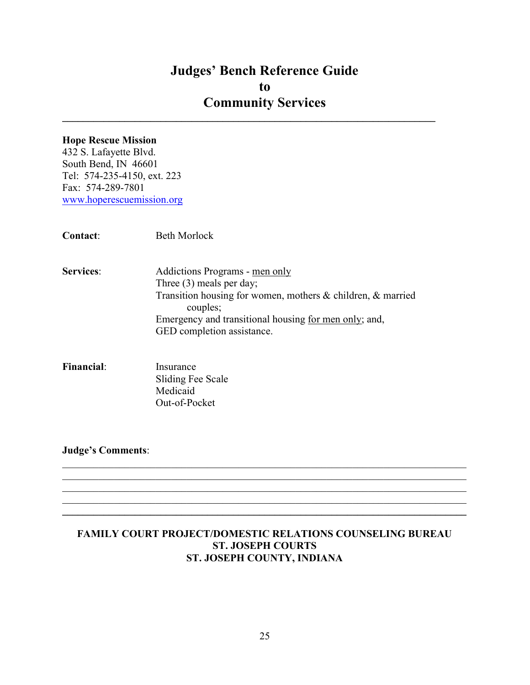$\mathcal{L}_\text{max}$  and  $\mathcal{L}_\text{max}$  and  $\mathcal{L}_\text{max}$  and  $\mathcal{L}_\text{max}$  and  $\mathcal{L}_\text{max}$  and  $\mathcal{L}_\text{max}$ 

#### Hope Rescue Mission

432 S. Lafayette Blvd. South Bend, IN 46601 Tel: 574-235-4150, ext. 223 Fax: 574-289-7801 www.hoperescuemission.org

| <b>Contact:</b>  | Beth Morlock                                                                                                                                                                                                                   |
|------------------|--------------------------------------------------------------------------------------------------------------------------------------------------------------------------------------------------------------------------------|
| <b>Services:</b> | Addictions Programs - men only<br>Three $(3)$ meals per day;<br>Transition housing for women, mothers & children, & married<br>couples;<br>Emergency and transitional housing for men only; and,<br>GED completion assistance. |
|                  |                                                                                                                                                                                                                                |

Financial: Insurance Sliding Fee Scale Medicaid Out-of-Pocket

Judge's Comments:

## FAMILY COURT PROJECT/DOMESTIC RELATIONS COUNSELING BUREAU ST. JOSEPH COURTS ST. JOSEPH COUNTY, INDIANA

 $\mathcal{L}_\mathcal{L} = \mathcal{L}_\mathcal{L} = \mathcal{L}_\mathcal{L} = \mathcal{L}_\mathcal{L} = \mathcal{L}_\mathcal{L} = \mathcal{L}_\mathcal{L} = \mathcal{L}_\mathcal{L} = \mathcal{L}_\mathcal{L} = \mathcal{L}_\mathcal{L} = \mathcal{L}_\mathcal{L} = \mathcal{L}_\mathcal{L} = \mathcal{L}_\mathcal{L} = \mathcal{L}_\mathcal{L} = \mathcal{L}_\mathcal{L} = \mathcal{L}_\mathcal{L} = \mathcal{L}_\mathcal{L} = \mathcal{L}_\mathcal{L}$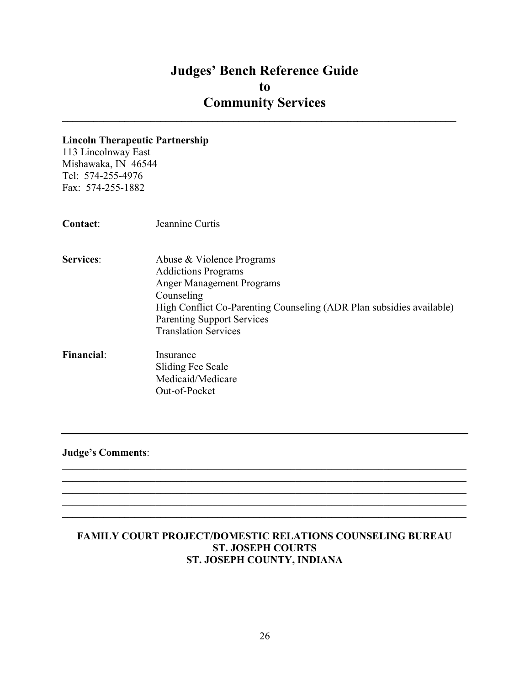$\mathcal{L}_\text{max}$  and  $\mathcal{L}_\text{max}$  and  $\mathcal{L}_\text{max}$  and  $\mathcal{L}_\text{max}$  and  $\mathcal{L}_\text{max}$  and  $\mathcal{L}_\text{max}$ 

#### Lincoln Therapeutic Partnership

113 Lincolnway East Mishawaka, IN 46544 Tel: 574-255-4976 Fax: 574-255-1882

- Services: Abuse & Violence Programs Addictions Programs Anger Management Programs Counseling High Conflict Co-Parenting Counseling (ADR Plan subsidies available) Parenting Support Services Translation Services
- Financial: Insurance Sliding Fee Scale Medicaid/Medicare Out-of-Pocket

Judge's Comments:

## FAMILY COURT PROJECT/DOMESTIC RELATIONS COUNSELING BUREAU ST. JOSEPH COURTS ST. JOSEPH COUNTY, INDIANA

 $\mathcal{L}_\mathcal{L} = \mathcal{L}_\mathcal{L} = \mathcal{L}_\mathcal{L} = \mathcal{L}_\mathcal{L} = \mathcal{L}_\mathcal{L} = \mathcal{L}_\mathcal{L} = \mathcal{L}_\mathcal{L} = \mathcal{L}_\mathcal{L} = \mathcal{L}_\mathcal{L} = \mathcal{L}_\mathcal{L} = \mathcal{L}_\mathcal{L} = \mathcal{L}_\mathcal{L} = \mathcal{L}_\mathcal{L} = \mathcal{L}_\mathcal{L} = \mathcal{L}_\mathcal{L} = \mathcal{L}_\mathcal{L} = \mathcal{L}_\mathcal{L}$ 

 $\mathcal{L}_\mathcal{L} = \mathcal{L}_\mathcal{L} = \mathcal{L}_\mathcal{L} = \mathcal{L}_\mathcal{L} = \mathcal{L}_\mathcal{L} = \mathcal{L}_\mathcal{L} = \mathcal{L}_\mathcal{L} = \mathcal{L}_\mathcal{L} = \mathcal{L}_\mathcal{L} = \mathcal{L}_\mathcal{L} = \mathcal{L}_\mathcal{L} = \mathcal{L}_\mathcal{L} = \mathcal{L}_\mathcal{L} = \mathcal{L}_\mathcal{L} = \mathcal{L}_\mathcal{L} = \mathcal{L}_\mathcal{L} = \mathcal{L}_\mathcal{L}$  $\mathcal{L}_\mathcal{L} = \{ \mathcal{L}_\mathcal{L} = \{ \mathcal{L}_\mathcal{L} = \{ \mathcal{L}_\mathcal{L} = \{ \mathcal{L}_\mathcal{L} = \{ \mathcal{L}_\mathcal{L} = \{ \mathcal{L}_\mathcal{L} = \{ \mathcal{L}_\mathcal{L} = \{ \mathcal{L}_\mathcal{L} = \{ \mathcal{L}_\mathcal{L} = \{ \mathcal{L}_\mathcal{L} = \{ \mathcal{L}_\mathcal{L} = \{ \mathcal{L}_\mathcal{L} = \{ \mathcal{L}_\mathcal{L} = \{ \mathcal{L}_\mathcal{$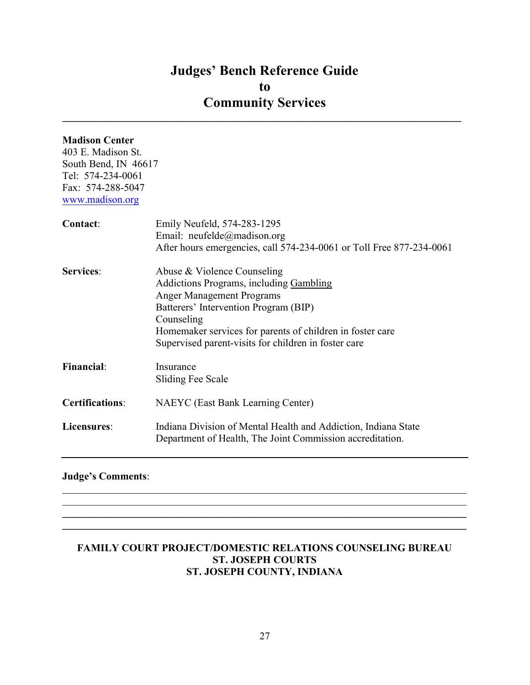$\_$ 

### Madison Center

403 E. Madison St. South Bend, IN 46617 Tel: 574-234-0061 Fax: 574-288-5047 www.madison.org

| Contact:               | Emily Neufeld, 574-283-1295<br>Email: neufelde@madison.org<br>After hours emergencies, call 574-234-0061 or Toll Free 877-234-0061                                                                                                                                                     |
|------------------------|----------------------------------------------------------------------------------------------------------------------------------------------------------------------------------------------------------------------------------------------------------------------------------------|
| <b>Services:</b>       | Abuse & Violence Counseling<br>Addictions Programs, including Gambling<br><b>Anger Management Programs</b><br>Batterers' Intervention Program (BIP)<br>Counseling<br>Homemaker services for parents of children in foster care<br>Supervised parent-visits for children in foster care |
| <b>Financial:</b>      | Insurance<br>Sliding Fee Scale                                                                                                                                                                                                                                                         |
| <b>Certifications:</b> | <b>NAEYC</b> (East Bank Learning Center)                                                                                                                                                                                                                                               |
| Licensures:            | Indiana Division of Mental Health and Addiction, Indiana State<br>Department of Health, The Joint Commission accreditation.                                                                                                                                                            |

## Judge's Comments:

## FAMILY COURT PROJECT/DOMESTIC RELATIONS COUNSELING BUREAU ST. JOSEPH COURTS ST. JOSEPH COUNTY, INDIANA

 $\mathcal{L}_\mathcal{L} = \mathcal{L}_\mathcal{L} = \mathcal{L}_\mathcal{L} = \mathcal{L}_\mathcal{L} = \mathcal{L}_\mathcal{L} = \mathcal{L}_\mathcal{L} = \mathcal{L}_\mathcal{L} = \mathcal{L}_\mathcal{L} = \mathcal{L}_\mathcal{L} = \mathcal{L}_\mathcal{L} = \mathcal{L}_\mathcal{L} = \mathcal{L}_\mathcal{L} = \mathcal{L}_\mathcal{L} = \mathcal{L}_\mathcal{L} = \mathcal{L}_\mathcal{L} = \mathcal{L}_\mathcal{L} = \mathcal{L}_\mathcal{L}$  $\mathcal{L}_\mathcal{L} = \{ \mathcal{L}_\mathcal{L} = \{ \mathcal{L}_\mathcal{L} = \{ \mathcal{L}_\mathcal{L} = \{ \mathcal{L}_\mathcal{L} = \{ \mathcal{L}_\mathcal{L} = \{ \mathcal{L}_\mathcal{L} = \{ \mathcal{L}_\mathcal{L} = \{ \mathcal{L}_\mathcal{L} = \{ \mathcal{L}_\mathcal{L} = \{ \mathcal{L}_\mathcal{L} = \{ \mathcal{L}_\mathcal{L} = \{ \mathcal{L}_\mathcal{L} = \{ \mathcal{L}_\mathcal{L} = \{ \mathcal{L}_\mathcal{$  $\mathcal{L}_\mathcal{L} = \{ \mathcal{L}_\mathcal{L} = \{ \mathcal{L}_\mathcal{L} = \{ \mathcal{L}_\mathcal{L} = \{ \mathcal{L}_\mathcal{L} = \{ \mathcal{L}_\mathcal{L} = \{ \mathcal{L}_\mathcal{L} = \{ \mathcal{L}_\mathcal{L} = \{ \mathcal{L}_\mathcal{L} = \{ \mathcal{L}_\mathcal{L} = \{ \mathcal{L}_\mathcal{L} = \{ \mathcal{L}_\mathcal{L} = \{ \mathcal{L}_\mathcal{L} = \{ \mathcal{L}_\mathcal{L} = \{ \mathcal{L}_\mathcal{$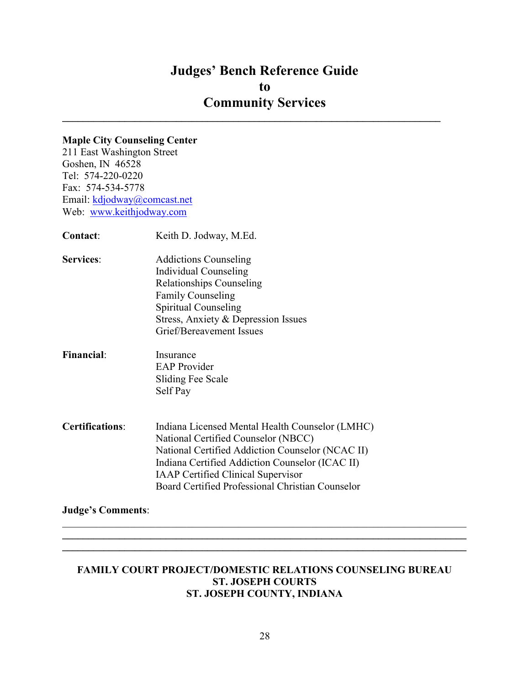## Judges' Bench Reference Guide to Community Services  $\mathcal{L}_\text{max}$  and  $\mathcal{L}_\text{max}$  and  $\mathcal{L}_\text{max}$  and  $\mathcal{L}_\text{max}$  and  $\mathcal{L}_\text{max}$  and  $\mathcal{L}_\text{max}$

## Maple City Counseling Center

211 East Washington Street Goshen, IN 46528 Tel: 574-220-0220 Fax: 574-534-5778 Email: kdjodway@comcast.net Web: www.keithjodway.com

| Contact:               | Keith D. Jodway, M.Ed.                                                                                                                                                                                                                                                                         |
|------------------------|------------------------------------------------------------------------------------------------------------------------------------------------------------------------------------------------------------------------------------------------------------------------------------------------|
| <b>Services:</b>       | <b>Addictions Counseling</b><br>Individual Counseling<br><b>Relationships Counseling</b><br><b>Family Counseling</b><br>Spiritual Counseling<br>Stress, Anxiety & Depression Issues<br>Grief/Bereavement Issues                                                                                |
| <b>Financial:</b>      | Insurance<br><b>EAP</b> Provider<br>Sliding Fee Scale<br>Self Pay                                                                                                                                                                                                                              |
| <b>Certifications:</b> | Indiana Licensed Mental Health Counselor (LMHC)<br>National Certified Counselor (NBCC)<br>National Certified Addiction Counselor (NCAC II)<br>Indiana Certified Addiction Counselor (ICAC II)<br><b>IAAP Certified Clinical Supervisor</b><br>Board Certified Professional Christian Counselor |

## Judge's Comments:

#### FAMILY COURT PROJECT/DOMESTIC RELATIONS COUNSELING BUREAU ST. JOSEPH COURTS ST. JOSEPH COUNTY, INDIANA

 $\_$  $\mathcal{L}_\mathcal{L} = \{ \mathcal{L}_\mathcal{L} = \{ \mathcal{L}_\mathcal{L} = \{ \mathcal{L}_\mathcal{L} = \{ \mathcal{L}_\mathcal{L} = \{ \mathcal{L}_\mathcal{L} = \{ \mathcal{L}_\mathcal{L} = \{ \mathcal{L}_\mathcal{L} = \{ \mathcal{L}_\mathcal{L} = \{ \mathcal{L}_\mathcal{L} = \{ \mathcal{L}_\mathcal{L} = \{ \mathcal{L}_\mathcal{L} = \{ \mathcal{L}_\mathcal{L} = \{ \mathcal{L}_\mathcal{L} = \{ \mathcal{L}_\mathcal{$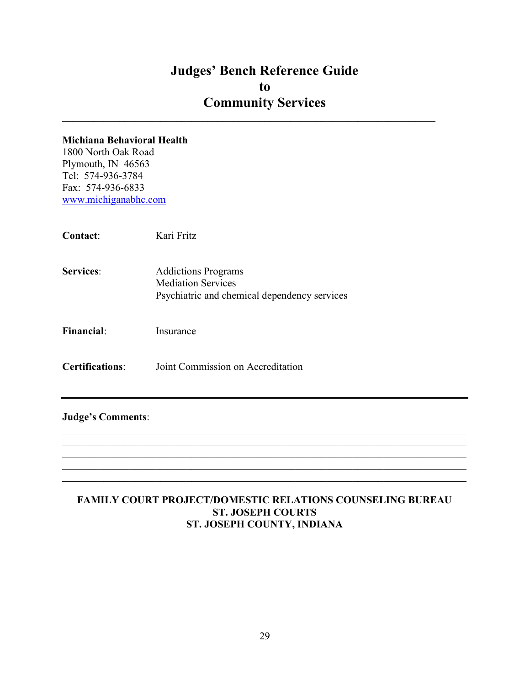$\mathcal{L}_\text{max}$  and  $\mathcal{L}_\text{max}$  and  $\mathcal{L}_\text{max}$  and  $\mathcal{L}_\text{max}$  and  $\mathcal{L}_\text{max}$  and  $\mathcal{L}_\text{max}$ 

#### Michiana Behavioral Health

1800 North Oak Road Plymouth, IN 46563 Tel: 574-936-3784 Fax: 574-936-6833 www.michiganabhc.com

Contact: Kari Fritz

Services: Addictions Programs Mediation Services Psychiatric and chemical dependency services

Financial: Insurance

Certifications: Joint Commission on Accreditation

#### Judge's Comments:

## FAMILY COURT PROJECT/DOMESTIC RELATIONS COUNSELING BUREAU ST. JOSEPH COURTS ST. JOSEPH COUNTY, INDIANA

 $\mathcal{L}_\mathcal{L} = \mathcal{L}_\mathcal{L} = \mathcal{L}_\mathcal{L} = \mathcal{L}_\mathcal{L} = \mathcal{L}_\mathcal{L} = \mathcal{L}_\mathcal{L} = \mathcal{L}_\mathcal{L} = \mathcal{L}_\mathcal{L} = \mathcal{L}_\mathcal{L} = \mathcal{L}_\mathcal{L} = \mathcal{L}_\mathcal{L} = \mathcal{L}_\mathcal{L} = \mathcal{L}_\mathcal{L} = \mathcal{L}_\mathcal{L} = \mathcal{L}_\mathcal{L} = \mathcal{L}_\mathcal{L} = \mathcal{L}_\mathcal{L}$  $\_$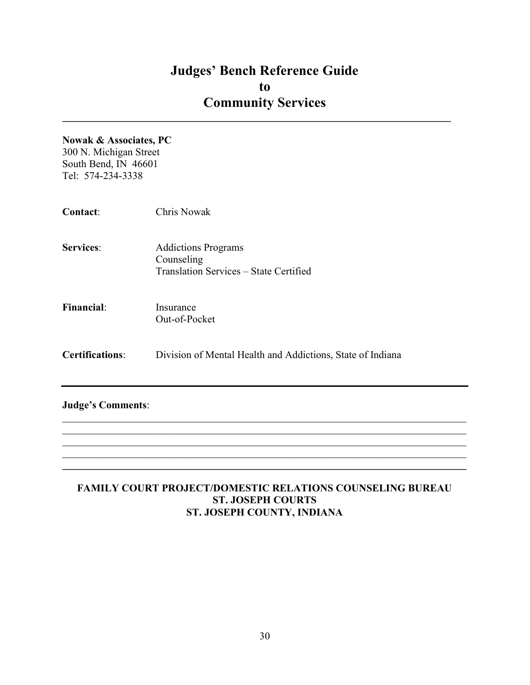$\mathcal{L}_\text{max}$  and  $\mathcal{L}_\text{max}$  and  $\mathcal{L}_\text{max}$  and  $\mathcal{L}_\text{max}$  and  $\mathcal{L}_\text{max}$  and  $\mathcal{L}_\text{max}$ 

#### Nowak & Associates, PC

300 N. Michigan Street South Bend, IN 46601 Tel: 574-234-3338

| <b>Contact:</b>          | <b>Chris Nowak</b>                                                                 |
|--------------------------|------------------------------------------------------------------------------------|
| <b>Services:</b>         | <b>Addictions Programs</b><br>Counseling<br>Translation Services – State Certified |
| <b>Financial:</b>        | Insurance<br>Out-of-Pocket                                                         |
| <b>Certifications:</b>   | Division of Mental Health and Addictions, State of Indiana                         |
| <b>Judge's Comments:</b> |                                                                                    |

## FAMILY COURT PROJECT/DOMESTIC RELATIONS COUNSELING BUREAU ST. JOSEPH COURTS ST. JOSEPH COUNTY, INDIANA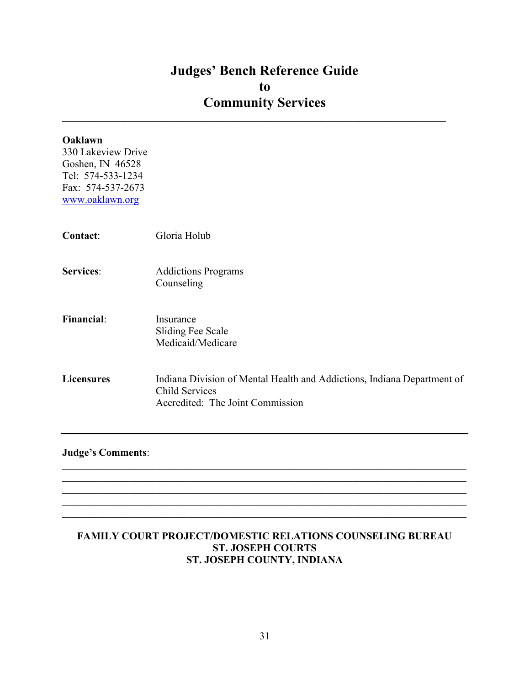$\mathcal{L}_\text{max}$  and  $\mathcal{L}_\text{max}$  and  $\mathcal{L}_\text{max}$  and  $\mathcal{L}_\text{max}$  and  $\mathcal{L}_\text{max}$  and  $\mathcal{L}_\text{max}$ 

| Oaklawn<br>330 Lakeview Drive<br>Goshen, IN 46528<br>Tel: 574-533-1234<br>Fax: 574-537-2673<br>www.oaklawn.org |                                                                                                                               |
|----------------------------------------------------------------------------------------------------------------|-------------------------------------------------------------------------------------------------------------------------------|
| Contact:                                                                                                       | Gloria Holub                                                                                                                  |
| <b>Services:</b>                                                                                               | <b>Addictions Programs</b><br>Counseling                                                                                      |
| <b>Financial:</b>                                                                                              | Insurance<br>Sliding Fee Scale<br>Medicaid/Medicare                                                                           |
| <b>Licensures</b>                                                                                              | Indiana Division of Mental Health and Addictions, Indiana Department of<br>Child Services<br>Accredited: The Joint Commission |

Judge's Comments:

## FAMILY COURT PROJECT/DOMESTIC RELATIONS COUNSELING BUREAU ST. JOSEPH COURTS ST. JOSEPH COUNTY, INDIANA

 $\mathcal{L}_\mathcal{L} = \mathcal{L}_\mathcal{L} = \mathcal{L}_\mathcal{L} = \mathcal{L}_\mathcal{L} = \mathcal{L}_\mathcal{L} = \mathcal{L}_\mathcal{L} = \mathcal{L}_\mathcal{L} = \mathcal{L}_\mathcal{L} = \mathcal{L}_\mathcal{L} = \mathcal{L}_\mathcal{L} = \mathcal{L}_\mathcal{L} = \mathcal{L}_\mathcal{L} = \mathcal{L}_\mathcal{L} = \mathcal{L}_\mathcal{L} = \mathcal{L}_\mathcal{L} = \mathcal{L}_\mathcal{L} = \mathcal{L}_\mathcal{L}$ 

 $\mathcal{L}_\mathcal{L} = \mathcal{L}_\mathcal{L} = \mathcal{L}_\mathcal{L} = \mathcal{L}_\mathcal{L} = \mathcal{L}_\mathcal{L} = \mathcal{L}_\mathcal{L} = \mathcal{L}_\mathcal{L} = \mathcal{L}_\mathcal{L} = \mathcal{L}_\mathcal{L} = \mathcal{L}_\mathcal{L} = \mathcal{L}_\mathcal{L} = \mathcal{L}_\mathcal{L} = \mathcal{L}_\mathcal{L} = \mathcal{L}_\mathcal{L} = \mathcal{L}_\mathcal{L} = \mathcal{L}_\mathcal{L} = \mathcal{L}_\mathcal{L}$  $\mathcal{L}_\mathcal{L} = \{ \mathcal{L}_\mathcal{L} = \{ \mathcal{L}_\mathcal{L} = \{ \mathcal{L}_\mathcal{L} = \{ \mathcal{L}_\mathcal{L} = \{ \mathcal{L}_\mathcal{L} = \{ \mathcal{L}_\mathcal{L} = \{ \mathcal{L}_\mathcal{L} = \{ \mathcal{L}_\mathcal{L} = \{ \mathcal{L}_\mathcal{L} = \{ \mathcal{L}_\mathcal{L} = \{ \mathcal{L}_\mathcal{L} = \{ \mathcal{L}_\mathcal{L} = \{ \mathcal{L}_\mathcal{L} = \{ \mathcal{L}_\mathcal{$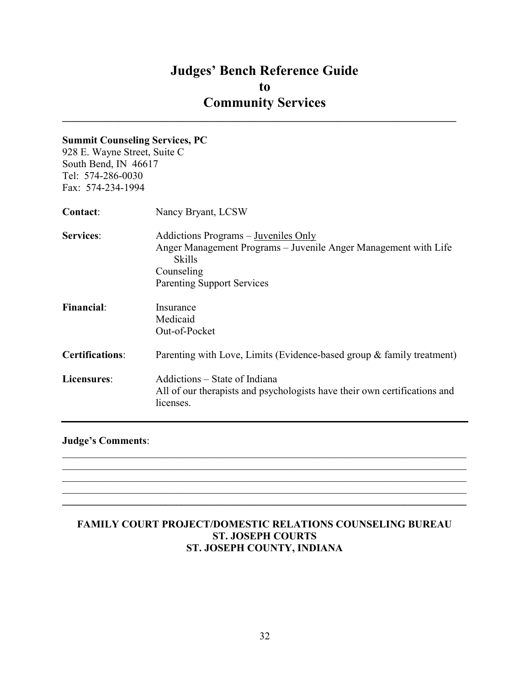$\mathcal{L}_\text{max}$  and  $\mathcal{L}_\text{max}$  and  $\mathcal{L}_\text{max}$  and  $\mathcal{L}_\text{max}$  and  $\mathcal{L}_\text{max}$  and  $\mathcal{L}_\text{max}$ 

#### Summit Counseling Services, PC

928 E. Wayne Street, Suite C South Bend, IN 46617 Tel: 574-286-0030 Fax: 574-234-1994

| <b>Contact:</b>        | Nancy Bryant, LCSW                                                                                                      |
|------------------------|-------------------------------------------------------------------------------------------------------------------------|
| <b>Services:</b>       | Addictions Programs – Juveniles Only<br>Anger Management Programs – Juvenile Anger Management with Life<br>Skills       |
|                        | Counseling<br><b>Parenting Support Services</b>                                                                         |
| <b>Financial:</b>      | Insurance<br>Medicaid<br>Out-of-Pocket                                                                                  |
| <b>Certifications:</b> | Parenting with Love, Limits (Evidence-based group & family treatment)                                                   |
| Licensures:            | Addictions – State of Indiana<br>All of our therapists and psychologists have their own certifications and<br>licenses. |

#### Judge's Comments:

## FAMILY COURT PROJECT/DOMESTIC RELATIONS COUNSELING BUREAU ST. JOSEPH COURTS ST. JOSEPH COUNTY, INDIANA

 $\mathcal{L}_\mathcal{L} = \mathcal{L}_\mathcal{L} = \mathcal{L}_\mathcal{L} = \mathcal{L}_\mathcal{L} = \mathcal{L}_\mathcal{L} = \mathcal{L}_\mathcal{L} = \mathcal{L}_\mathcal{L} = \mathcal{L}_\mathcal{L} = \mathcal{L}_\mathcal{L} = \mathcal{L}_\mathcal{L} = \mathcal{L}_\mathcal{L} = \mathcal{L}_\mathcal{L} = \mathcal{L}_\mathcal{L} = \mathcal{L}_\mathcal{L} = \mathcal{L}_\mathcal{L} = \mathcal{L}_\mathcal{L} = \mathcal{L}_\mathcal{L}$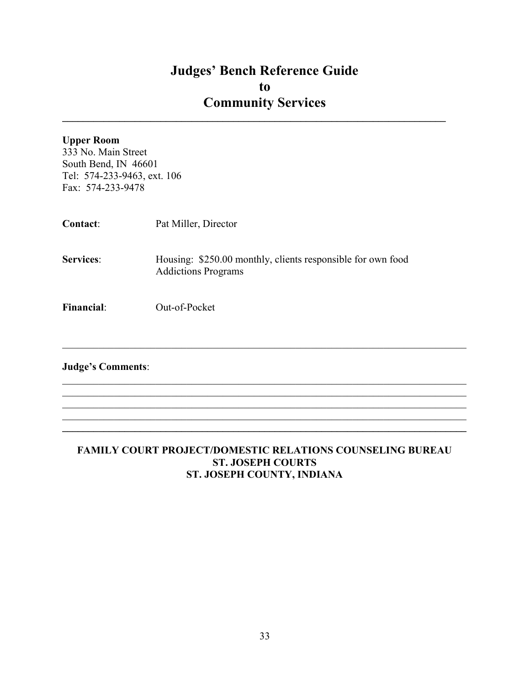$\mathcal{L}_\text{max}$  and  $\mathcal{L}_\text{max}$  and  $\mathcal{L}_\text{max}$  and  $\mathcal{L}_\text{max}$  and  $\mathcal{L}_\text{max}$  and  $\mathcal{L}_\text{max}$ 

| <b>Upper Room</b><br>333 No. Main Street<br>South Bend, IN 46601<br>Tel: 574-233-9463, ext. 106<br>Fax: 574-233-9478 |                                                                                           |
|----------------------------------------------------------------------------------------------------------------------|-------------------------------------------------------------------------------------------|
| <b>Contact:</b>                                                                                                      | Pat Miller, Director                                                                      |
| <b>Services:</b>                                                                                                     | Housing: \$250.00 monthly, clients responsible for own food<br><b>Addictions Programs</b> |
| <b>Financial:</b>                                                                                                    | Out-of-Pocket                                                                             |
| <b>Judge's Comments:</b>                                                                                             |                                                                                           |
|                                                                                                                      |                                                                                           |

#### FAMILY COURT PROJECT/DOMESTIC RELATIONS COUNSELING BUREAU ST. JOSEPH COURTS ST. JOSEPH COUNTY, INDIANA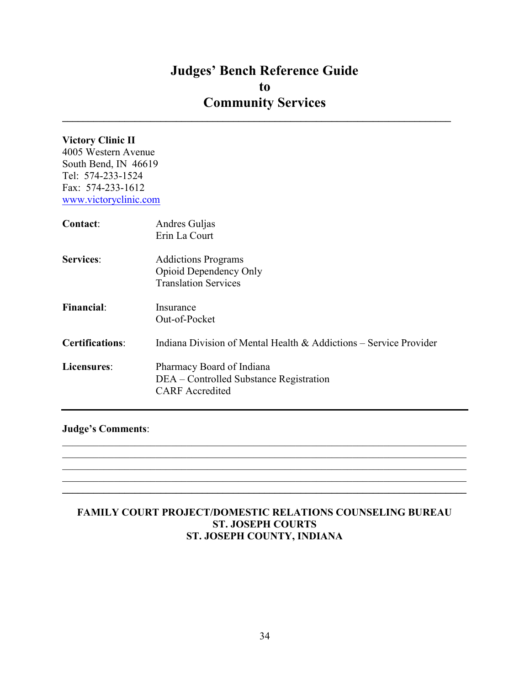$\mathcal{L}_\text{max}$  and  $\mathcal{L}_\text{max}$  and  $\mathcal{L}_\text{max}$  and  $\mathcal{L}_\text{max}$  and  $\mathcal{L}_\text{max}$  and  $\mathcal{L}_\text{max}$ 

## Victory Clinic II

4005 Western Avenue South Bend, IN 46619 Tel: 574-233-1524 Fax: 574-233-1612 www.victoryclinic.com

| <b>Contact:</b>        | Andres Guljas<br>Erin La Court                                                                 |
|------------------------|------------------------------------------------------------------------------------------------|
| <b>Services:</b>       | <b>Addictions Programs</b><br>Opioid Dependency Only<br><b>Translation Services</b>            |
| <b>Financial:</b>      | Insurance<br>Out-of-Pocket                                                                     |
| <b>Certifications:</b> | Indiana Division of Mental Health & Addictions – Service Provider                              |
| Licensures:            | Pharmacy Board of Indiana<br>DEA – Controlled Substance Registration<br><b>CARF</b> Accredited |

#### Judge's Comments:

#### FAMILY COURT PROJECT/DOMESTIC RELATIONS COUNSELING BUREAU ST. JOSEPH COURTS ST. JOSEPH COUNTY, INDIANA

 $\mathcal{L}_\mathcal{L} = \mathcal{L}_\mathcal{L} = \mathcal{L}_\mathcal{L} = \mathcal{L}_\mathcal{L} = \mathcal{L}_\mathcal{L} = \mathcal{L}_\mathcal{L} = \mathcal{L}_\mathcal{L} = \mathcal{L}_\mathcal{L} = \mathcal{L}_\mathcal{L} = \mathcal{L}_\mathcal{L} = \mathcal{L}_\mathcal{L} = \mathcal{L}_\mathcal{L} = \mathcal{L}_\mathcal{L} = \mathcal{L}_\mathcal{L} = \mathcal{L}_\mathcal{L} = \mathcal{L}_\mathcal{L} = \mathcal{L}_\mathcal{L}$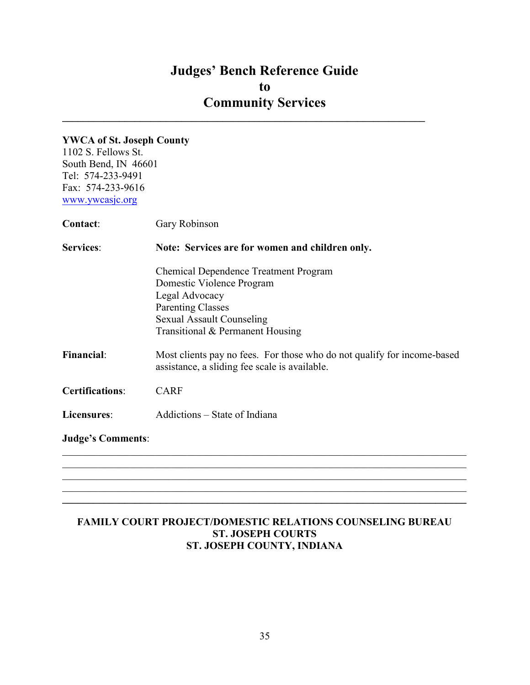$\mathcal{L}_\text{max} = \mathcal{L}_\text{max} = \mathcal{L}_\text{max} = \mathcal{L}_\text{max} = \mathcal{L}_\text{max} = \mathcal{L}_\text{max} = \mathcal{L}_\text{max} = \mathcal{L}_\text{max} = \mathcal{L}_\text{max} = \mathcal{L}_\text{max} = \mathcal{L}_\text{max} = \mathcal{L}_\text{max} = \mathcal{L}_\text{max} = \mathcal{L}_\text{max} = \mathcal{L}_\text{max} = \mathcal{L}_\text{max} = \mathcal{L}_\text{max} = \mathcal{L}_\text{max} = \mathcal{$ 

### YWCA of St. Joseph County

1102 S. Fellows St. South Bend, IN 46601 Tel: 574-233-9491 Fax: 574-233-9616 www.ywcasjc.org

| <b>Contact:</b>          | Gary Robinson                                                                                                            |  |
|--------------------------|--------------------------------------------------------------------------------------------------------------------------|--|
| <b>Services:</b>         | Note: Services are for women and children only.                                                                          |  |
|                          | <b>Chemical Dependence Treatment Program</b><br>Domestic Violence Program<br>Legal Advocacy                              |  |
|                          | <b>Parenting Classes</b><br><b>Sexual Assault Counseling</b><br>Transitional & Permanent Housing                         |  |
| <b>Financial:</b>        | Most clients pay no fees. For those who do not qualify for income-based<br>assistance, a sliding fee scale is available. |  |
| <b>Certifications:</b>   | <b>CARF</b>                                                                                                              |  |
| Licensures:              | Addictions – State of Indiana                                                                                            |  |
| <b>Judge's Comments:</b> |                                                                                                                          |  |
|                          |                                                                                                                          |  |
|                          |                                                                                                                          |  |

## FAMILY COURT PROJECT/DOMESTIC RELATIONS COUNSELING BUREAU ST. JOSEPH COURTS ST. JOSEPH COUNTY, INDIANA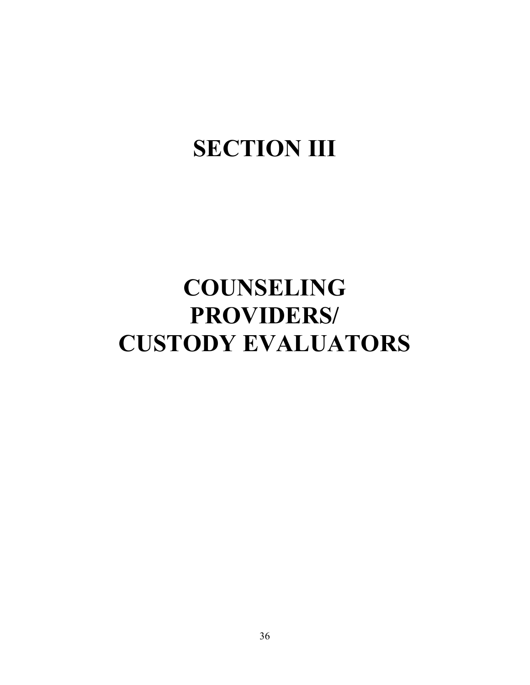# **SECTION III**

# COUNSELING PROVIDERS/ CUSTODY EVALUATORS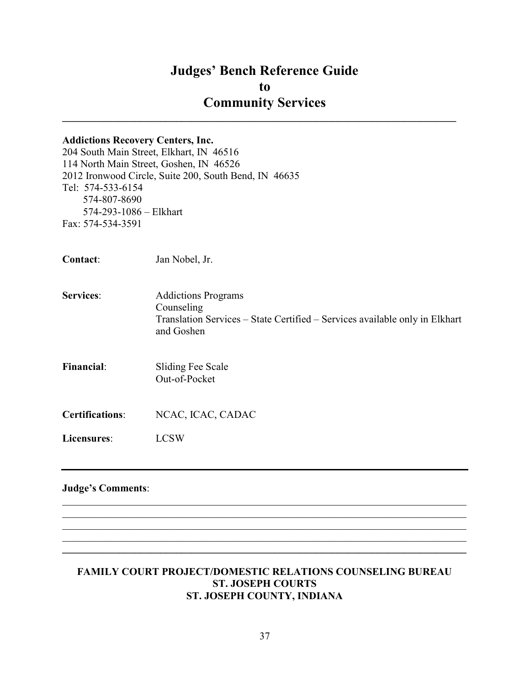## Judges' Bench Reference Guide to Community Services  $\mathcal{L}_\text{max}$  and  $\mathcal{L}_\text{max}$  and  $\mathcal{L}_\text{max}$  and  $\mathcal{L}_\text{max}$  and  $\mathcal{L}_\text{max}$  and  $\mathcal{L}_\text{max}$

# Addictions Recovery Centers, Inc. 204 South Main Street, Elkhart, IN 46516 114 North Main Street, Goshen, IN 46526 2012 Ironwood Circle, Suite 200, South Bend, IN 46635 Tel: 574-533-6154 574-807-8690 574-293-1086 – Elkhart Fax: 574-534-3591 Contact: Jan Nobel, Jr. Services: Addictions Programs Counseling Translation Services – State Certified – Services available only in Elkhart and Goshen Financial: Sliding Fee Scale Out-of-Pocket Certifications: NCAC, ICAC, CADAC Licensures: LCSW Judge's Comments:  $\mathcal{L}_\mathcal{L} = \mathcal{L}_\mathcal{L} = \mathcal{L}_\mathcal{L} = \mathcal{L}_\mathcal{L} = \mathcal{L}_\mathcal{L} = \mathcal{L}_\mathcal{L} = \mathcal{L}_\mathcal{L} = \mathcal{L}_\mathcal{L} = \mathcal{L}_\mathcal{L} = \mathcal{L}_\mathcal{L} = \mathcal{L}_\mathcal{L} = \mathcal{L}_\mathcal{L} = \mathcal{L}_\mathcal{L} = \mathcal{L}_\mathcal{L} = \mathcal{L}_\mathcal{L} = \mathcal{L}_\mathcal{L} = \mathcal{L}_\mathcal{L}$

#### FAMILY COURT PROJECT/DOMESTIC RELATIONS COUNSELING BUREAU ST. JOSEPH COURTS ST. JOSEPH COUNTY, INDIANA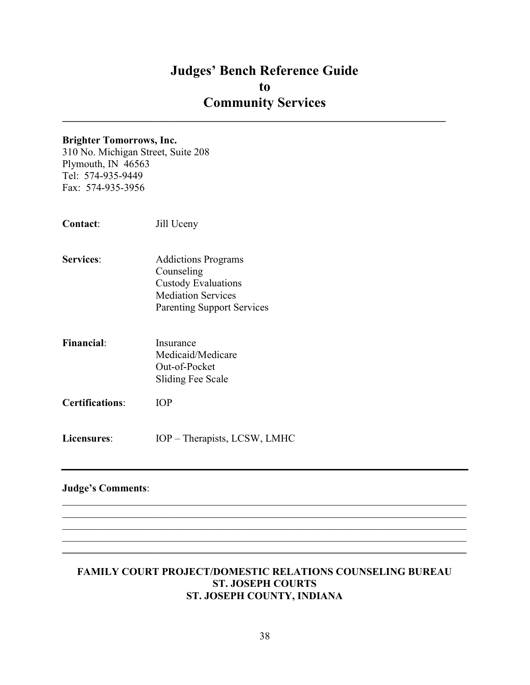$\mathcal{L}_\text{max}$  and  $\mathcal{L}_\text{max}$  and  $\mathcal{L}_\text{max}$  and  $\mathcal{L}_\text{max}$  and  $\mathcal{L}_\text{max}$  and  $\mathcal{L}_\text{max}$ 

#### Brighter Tomorrows, Inc.

310 No. Michigan Street, Suite 208 Plymouth, IN 46563 Tel: 574-935-9449 Fax: 574-935-3956

- Services: Addictions Programs Counseling Custody Evaluations Mediation Services Parenting Support Services
- Financial: Insurance Medicaid/Medicare Out-of-Pocket Sliding Fee Scale
- Certifications: IOP
- Licensures: IOP Therapists, LCSW, LMHC

#### Judge's Comments:

#### FAMILY COURT PROJECT/DOMESTIC RELATIONS COUNSELING BUREAU ST. JOSEPH COURTS ST. JOSEPH COUNTY, INDIANA

 $\_$ 

 $\mathcal{L}_\mathcal{L} = \mathcal{L}_\mathcal{L} = \mathcal{L}_\mathcal{L} = \mathcal{L}_\mathcal{L} = \mathcal{L}_\mathcal{L} = \mathcal{L}_\mathcal{L} = \mathcal{L}_\mathcal{L} = \mathcal{L}_\mathcal{L} = \mathcal{L}_\mathcal{L} = \mathcal{L}_\mathcal{L} = \mathcal{L}_\mathcal{L} = \mathcal{L}_\mathcal{L} = \mathcal{L}_\mathcal{L} = \mathcal{L}_\mathcal{L} = \mathcal{L}_\mathcal{L} = \mathcal{L}_\mathcal{L} = \mathcal{L}_\mathcal{L}$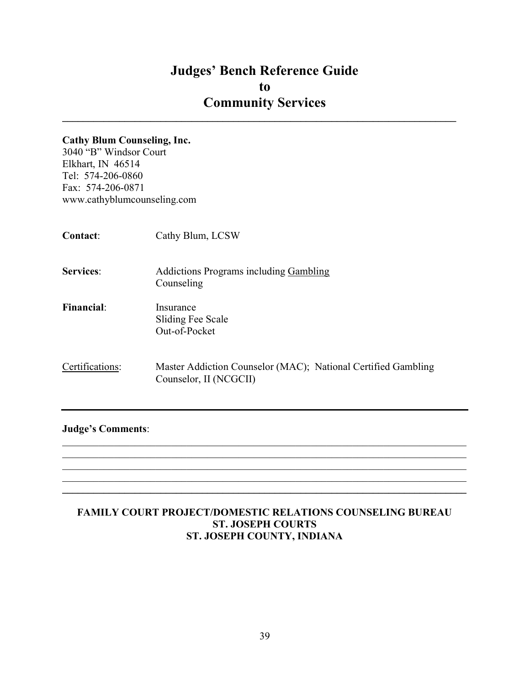$\mathcal{L}_\text{max}$  and  $\mathcal{L}_\text{max}$  and  $\mathcal{L}_\text{max}$  and  $\mathcal{L}_\text{max}$  and  $\mathcal{L}_\text{max}$  and  $\mathcal{L}_\text{max}$ 

#### Cathy Blum Counseling, Inc.

3040 "B" Windsor Court Elkhart, IN 46514 Tel: 574-206-0860 Fax: 574-206-0871 www.cathyblumcounseling.com

| <b>Contact:</b>   | Cathy Blum, LCSW                                                                        |
|-------------------|-----------------------------------------------------------------------------------------|
| <b>Services:</b>  | <b>Addictions Programs including Gambling</b><br>Counseling                             |
| <b>Financial:</b> | Insurance<br>Sliding Fee Scale<br>Out-of-Pocket                                         |
| Certifications:   | Master Addiction Counselor (MAC); National Certified Gambling<br>Counselor, II (NCGCII) |

## Judge's Comments:

## FAMILY COURT PROJECT/DOMESTIC RELATIONS COUNSELING BUREAU ST. JOSEPH COURTS ST. JOSEPH COUNTY, INDIANA

 $\mathcal{L}_\mathcal{L} = \mathcal{L}_\mathcal{L} = \mathcal{L}_\mathcal{L} = \mathcal{L}_\mathcal{L} = \mathcal{L}_\mathcal{L} = \mathcal{L}_\mathcal{L} = \mathcal{L}_\mathcal{L} = \mathcal{L}_\mathcal{L} = \mathcal{L}_\mathcal{L} = \mathcal{L}_\mathcal{L} = \mathcal{L}_\mathcal{L} = \mathcal{L}_\mathcal{L} = \mathcal{L}_\mathcal{L} = \mathcal{L}_\mathcal{L} = \mathcal{L}_\mathcal{L} = \mathcal{L}_\mathcal{L} = \mathcal{L}_\mathcal{L}$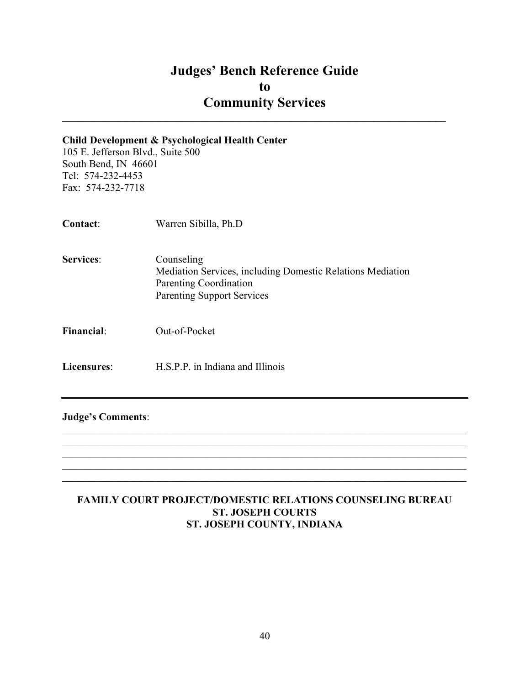$\mathcal{L}_\text{max}$  and  $\mathcal{L}_\text{max}$  and  $\mathcal{L}_\text{max}$  and  $\mathcal{L}_\text{max}$  and  $\mathcal{L}_\text{max}$  and  $\mathcal{L}_\text{max}$ 

#### Child Development & Psychological Health Center

105 E. Jefferson Blvd., Suite 500 South Bend, IN 46601 Tel: 574-232-4453 Fax: 574-232-7718

| Contact:          | Warren Sibilla, Ph.D                                                                                                                    |
|-------------------|-----------------------------------------------------------------------------------------------------------------------------------------|
| <b>Services:</b>  | Counseling<br>Mediation Services, including Domestic Relations Mediation<br>Parenting Coordination<br><b>Parenting Support Services</b> |
| <b>Financial:</b> | Out-of-Pocket                                                                                                                           |
| Licensures:       | H.S.P.P. in Indiana and Illinois                                                                                                        |

Judge's Comments:

## FAMILY COURT PROJECT/DOMESTIC RELATIONS COUNSELING BUREAU ST. JOSEPH COURTS ST. JOSEPH COUNTY, INDIANA

 $\mathcal{L}_\mathcal{L} = \mathcal{L}_\mathcal{L} = \mathcal{L}_\mathcal{L} = \mathcal{L}_\mathcal{L} = \mathcal{L}_\mathcal{L} = \mathcal{L}_\mathcal{L} = \mathcal{L}_\mathcal{L} = \mathcal{L}_\mathcal{L} = \mathcal{L}_\mathcal{L} = \mathcal{L}_\mathcal{L} = \mathcal{L}_\mathcal{L} = \mathcal{L}_\mathcal{L} = \mathcal{L}_\mathcal{L} = \mathcal{L}_\mathcal{L} = \mathcal{L}_\mathcal{L} = \mathcal{L}_\mathcal{L} = \mathcal{L}_\mathcal{L}$  $\_$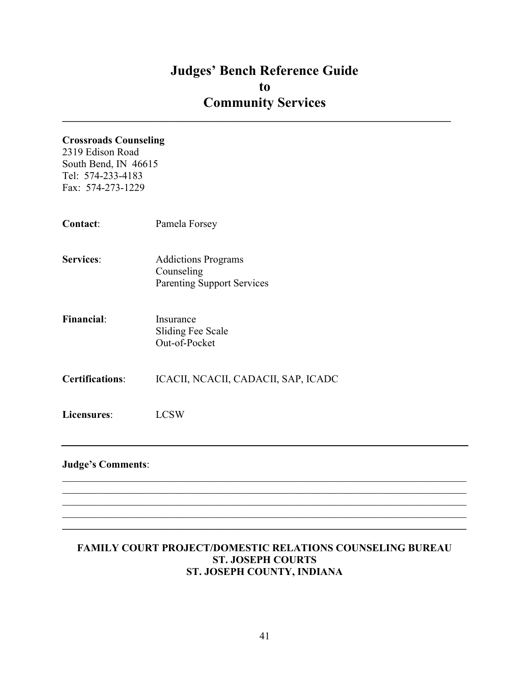$\mathcal{L}_\text{max}$  and  $\mathcal{L}_\text{max}$  and  $\mathcal{L}_\text{max}$  and  $\mathcal{L}_\text{max}$  and  $\mathcal{L}_\text{max}$  and  $\mathcal{L}_\text{max}$ 

## Crossroads Counseling

2319 Edison Road South Bend, IN 46615 Tel: 574-233-4183 Fax: 574-273-1229

| Contact:                 | Pamela Forsey                                                                 |
|--------------------------|-------------------------------------------------------------------------------|
| <b>Services:</b>         | <b>Addictions Programs</b><br>Counseling<br><b>Parenting Support Services</b> |
| <b>Financial:</b>        | Insurance<br>Sliding Fee Scale<br>Out-of-Pocket                               |
| <b>Certifications:</b>   | ICACII, NCACII, CADACII, SAP, ICADC                                           |
| Licensures:              | <b>LCSW</b>                                                                   |
| <b>Judge's Comments:</b> |                                                                               |

## FAMILY COURT PROJECT/DOMESTIC RELATIONS COUNSELING BUREAU ST. JOSEPH COURTS ST. JOSEPH COUNTY, INDIANA

 $\mathcal{L}_\mathcal{L} = \{ \mathcal{L}_\mathcal{L} = \{ \mathcal{L}_\mathcal{L} = \{ \mathcal{L}_\mathcal{L} = \{ \mathcal{L}_\mathcal{L} = \{ \mathcal{L}_\mathcal{L} = \{ \mathcal{L}_\mathcal{L} = \{ \mathcal{L}_\mathcal{L} = \{ \mathcal{L}_\mathcal{L} = \{ \mathcal{L}_\mathcal{L} = \{ \mathcal{L}_\mathcal{L} = \{ \mathcal{L}_\mathcal{L} = \{ \mathcal{L}_\mathcal{L} = \{ \mathcal{L}_\mathcal{L} = \{ \mathcal{L}_\mathcal{$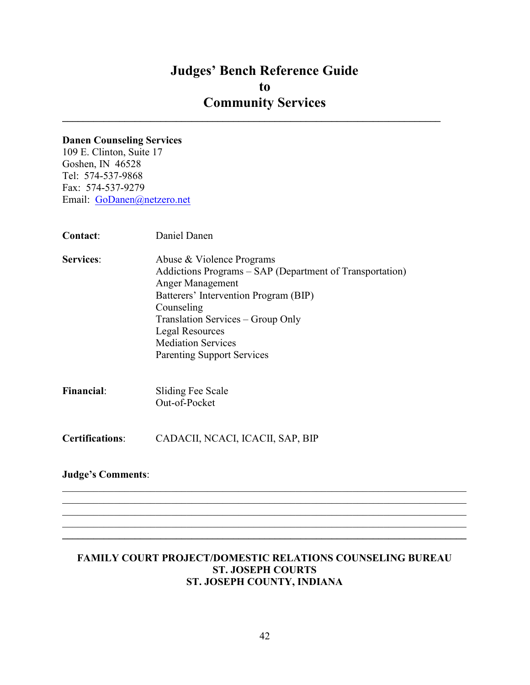$\mathcal{L}_\text{max}$  and  $\mathcal{L}_\text{max}$  and  $\mathcal{L}_\text{max}$  and  $\mathcal{L}_\text{max}$  and  $\mathcal{L}_\text{max}$  and  $\mathcal{L}_\text{max}$ 

### Danen Counseling Services

109 E. Clinton, Suite 17 Goshen, IN 46528 Tel: 574-537-9868 Fax: 574-537-9279 Email: GoDanen@netzero.net

| Contact:                 | Daniel Danen                                                                                                                                                                                                                                                                                      |
|--------------------------|---------------------------------------------------------------------------------------------------------------------------------------------------------------------------------------------------------------------------------------------------------------------------------------------------|
| <b>Services:</b>         | Abuse & Violence Programs<br>Addictions Programs – SAP (Department of Transportation)<br>Anger Management<br>Batterers' Intervention Program (BIP)<br>Counseling<br>Translation Services – Group Only<br><b>Legal Resources</b><br><b>Mediation Services</b><br><b>Parenting Support Services</b> |
| <b>Financial:</b>        | Sliding Fee Scale<br>Out-of-Pocket                                                                                                                                                                                                                                                                |
| <b>Certifications:</b>   | CADACII, NCACI, ICACII, SAP, BIP                                                                                                                                                                                                                                                                  |
| <b>Judge's Comments:</b> |                                                                                                                                                                                                                                                                                                   |

#### FAMILY COURT PROJECT/DOMESTIC RELATIONS COUNSELING BUREAU ST. JOSEPH COURTS ST. JOSEPH COUNTY, INDIANA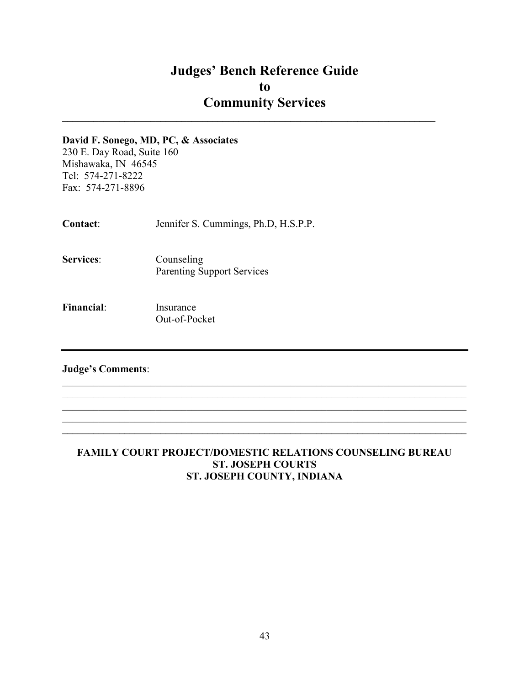$\mathcal{L}_\text{max}$  and  $\mathcal{L}_\text{max}$  and  $\mathcal{L}_\text{max}$  and  $\mathcal{L}_\text{max}$  and  $\mathcal{L}_\text{max}$  and  $\mathcal{L}_\text{max}$ 

#### David F. Sonego, MD, PC, & Associates

230 E. Day Road, Suite 160 Mishawaka, IN 46545 Tel: 574-271-8222 Fax: 574-271-8896

Contact: Jennifer S. Cummings, Ph.D, H.S.P.P.

- Services: Counseling Parenting Support Services
- Financial: Insurance Out-of-Pocket

## Judge's Comments:

## FAMILY COURT PROJECT/DOMESTIC RELATIONS COUNSELING BUREAU ST. JOSEPH COURTS ST. JOSEPH COUNTY, INDIANA

 $\mathcal{L}_\mathcal{L} = \mathcal{L}_\mathcal{L} = \mathcal{L}_\mathcal{L} = \mathcal{L}_\mathcal{L} = \mathcal{L}_\mathcal{L} = \mathcal{L}_\mathcal{L} = \mathcal{L}_\mathcal{L} = \mathcal{L}_\mathcal{L} = \mathcal{L}_\mathcal{L} = \mathcal{L}_\mathcal{L} = \mathcal{L}_\mathcal{L} = \mathcal{L}_\mathcal{L} = \mathcal{L}_\mathcal{L} = \mathcal{L}_\mathcal{L} = \mathcal{L}_\mathcal{L} = \mathcal{L}_\mathcal{L} = \mathcal{L}_\mathcal{L}$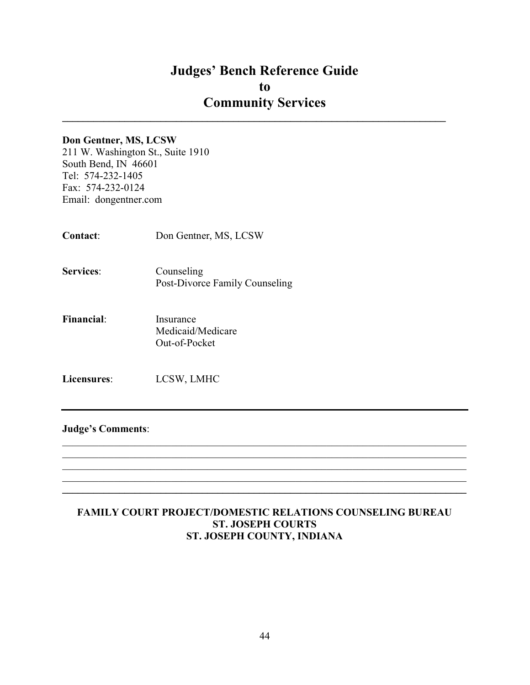$\mathcal{L}_\text{max}$  and  $\mathcal{L}_\text{max}$  and  $\mathcal{L}_\text{max}$  and  $\mathcal{L}_\text{max}$  and  $\mathcal{L}_\text{max}$  and  $\mathcal{L}_\text{max}$ 

#### Don Gentner, MS, LCSW

211 W. Washington St., Suite 1910 South Bend, IN 46601 Tel: 574-232-1405 Fax: 574-232-0124 Email: dongentner.com

Contact: Don Gentner, MS, LCSW

Services: Counseling Post-Divorce Family Counseling

Financial: Insurance Medicaid/Medicare Out-of-Pocket

Licensures: LCSW, LMHC

#### Judge's Comments:

#### FAMILY COURT PROJECT/DOMESTIC RELATIONS COUNSELING BUREAU ST. JOSEPH COURTS ST. JOSEPH COUNTY, INDIANA

 $\mathcal{L}_\mathcal{L} = \mathcal{L}_\mathcal{L} = \mathcal{L}_\mathcal{L} = \mathcal{L}_\mathcal{L} = \mathcal{L}_\mathcal{L} = \mathcal{L}_\mathcal{L} = \mathcal{L}_\mathcal{L} = \mathcal{L}_\mathcal{L} = \mathcal{L}_\mathcal{L} = \mathcal{L}_\mathcal{L} = \mathcal{L}_\mathcal{L} = \mathcal{L}_\mathcal{L} = \mathcal{L}_\mathcal{L} = \mathcal{L}_\mathcal{L} = \mathcal{L}_\mathcal{L} = \mathcal{L}_\mathcal{L} = \mathcal{L}_\mathcal{L}$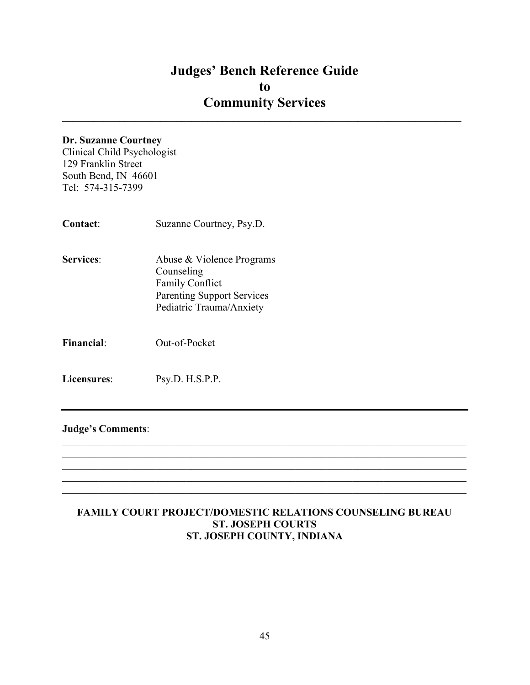$\mathcal{L}_\text{max}$  and  $\mathcal{L}_\text{max}$  and  $\mathcal{L}_\text{max}$  and  $\mathcal{L}_\text{max}$  and  $\mathcal{L}_\text{max}$  and  $\mathcal{L}_\text{max}$ 

#### Dr. Suzanne Courtney

Clinical Child Psychologist 129 Franklin Street South Bend, IN 46601 Tel: 574-315-7399

- Contact: Suzanne Courtney, Psy.D. Services: Abuse & Violence Programs Counseling Family Conflict Parenting Support Services Pediatric Trauma/Anxiety
- Financial: Out-of-Pocket

Licensures: Psy.D. H.S.P.P.

Judge's Comments:

#### FAMILY COURT PROJECT/DOMESTIC RELATIONS COUNSELING BUREAU ST. JOSEPH COURTS ST. JOSEPH COUNTY, INDIANA

 $\mathcal{L}_\mathcal{L} = \mathcal{L}_\mathcal{L} = \mathcal{L}_\mathcal{L} = \mathcal{L}_\mathcal{L} = \mathcal{L}_\mathcal{L} = \mathcal{L}_\mathcal{L} = \mathcal{L}_\mathcal{L} = \mathcal{L}_\mathcal{L} = \mathcal{L}_\mathcal{L} = \mathcal{L}_\mathcal{L} = \mathcal{L}_\mathcal{L} = \mathcal{L}_\mathcal{L} = \mathcal{L}_\mathcal{L} = \mathcal{L}_\mathcal{L} = \mathcal{L}_\mathcal{L} = \mathcal{L}_\mathcal{L} = \mathcal{L}_\mathcal{L}$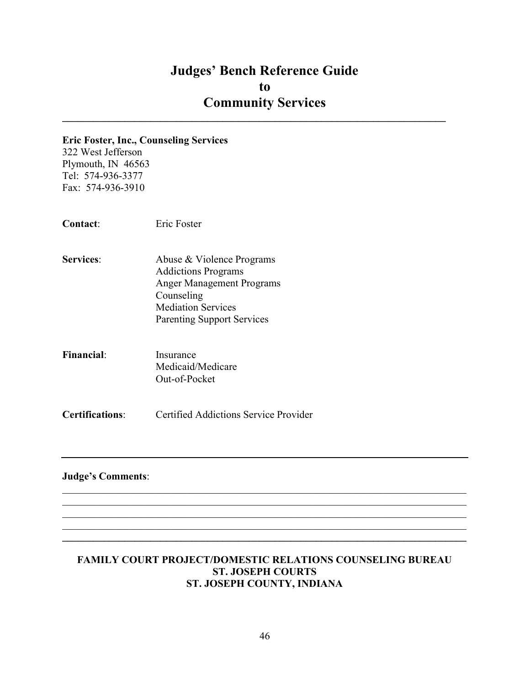$\mathcal{L}_\text{max}$  and  $\mathcal{L}_\text{max}$  and  $\mathcal{L}_\text{max}$  and  $\mathcal{L}_\text{max}$  and  $\mathcal{L}_\text{max}$  and  $\mathcal{L}_\text{max}$ 

#### Eric Foster, Inc., Counseling Services

322 West Jefferson Plymouth, IN 46563 Tel: 574-936-3377 Fax: 574-936-3910

Contact: Eric Foster

- Services: Abuse & Violence Programs Addictions Programs Anger Management Programs Counseling Mediation Services Parenting Support Services
- Financial: Insurance Medicaid/Medicare Out-of-Pocket

Certifications: Certified Addictions Service Provider

## Judge's Comments:

#### FAMILY COURT PROJECT/DOMESTIC RELATIONS COUNSELING BUREAU ST. JOSEPH COURTS ST. JOSEPH COUNTY, INDIANA

 $\mathcal{L}_\mathcal{L} = \mathcal{L}_\mathcal{L} = \mathcal{L}_\mathcal{L} = \mathcal{L}_\mathcal{L} = \mathcal{L}_\mathcal{L} = \mathcal{L}_\mathcal{L} = \mathcal{L}_\mathcal{L} = \mathcal{L}_\mathcal{L} = \mathcal{L}_\mathcal{L} = \mathcal{L}_\mathcal{L} = \mathcal{L}_\mathcal{L} = \mathcal{L}_\mathcal{L} = \mathcal{L}_\mathcal{L} = \mathcal{L}_\mathcal{L} = \mathcal{L}_\mathcal{L} = \mathcal{L}_\mathcal{L} = \mathcal{L}_\mathcal{L}$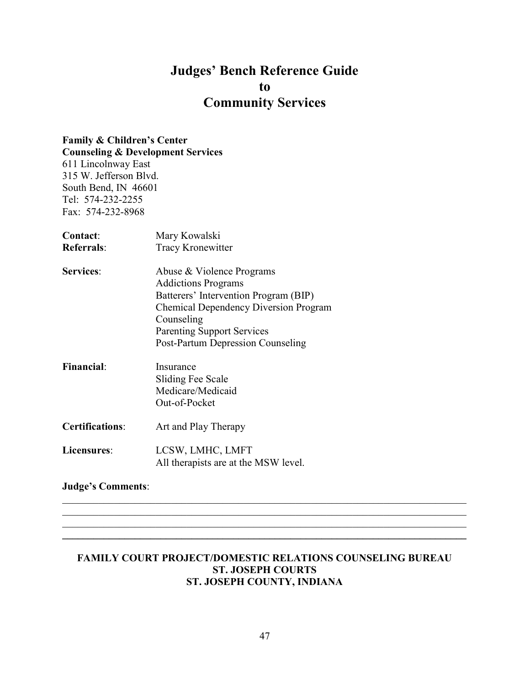# Family & Children's Center

Counseling & Development Services 611 Lincolnway East 315 W. Jefferson Blvd. South Bend, IN 46601 Tel: 574-232-2255 Fax: 574-232-8968

| Contact:               | Mary Kowalski                                |
|------------------------|----------------------------------------------|
| <b>Referrals:</b>      | Tracy Kronewitter                            |
| <b>Services:</b>       | Abuse & Violence Programs                    |
|                        | <b>Addictions Programs</b>                   |
|                        | Batterers' Intervention Program (BIP)        |
|                        | <b>Chemical Dependency Diversion Program</b> |
|                        | Counseling                                   |
|                        | <b>Parenting Support Services</b>            |
|                        | Post-Partum Depression Counseling            |
| <b>Financial:</b>      | Insurance                                    |
|                        | <b>Sliding Fee Scale</b>                     |
|                        | Medicare/Medicaid                            |
|                        | Out-of-Pocket                                |
| <b>Certifications:</b> | Art and Play Therapy                         |
| Licensures:            | LCSW, LMHC, LMFT                             |
|                        | All therapists are at the MSW level.         |

## Judge's Comments:

#### FAMILY COURT PROJECT/DOMESTIC RELATIONS COUNSELING BUREAU ST. JOSEPH COURTS ST. JOSEPH COUNTY, INDIANA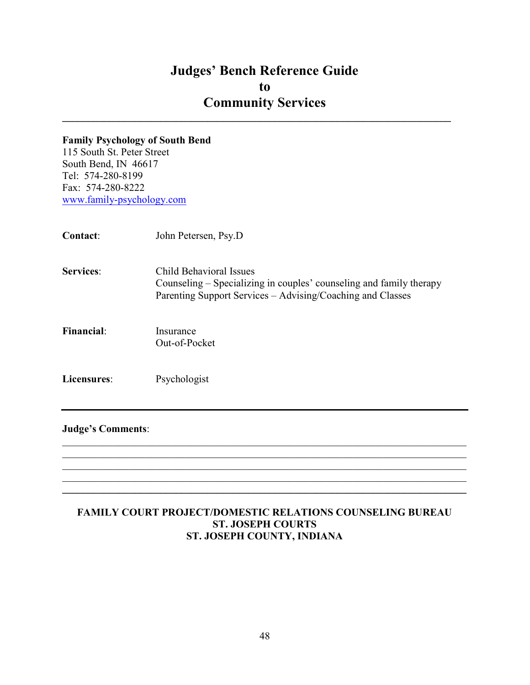$\mathcal{L}_\text{max}$  and  $\mathcal{L}_\text{max}$  and  $\mathcal{L}_\text{max}$  and  $\mathcal{L}_\text{max}$  and  $\mathcal{L}_\text{max}$  and  $\mathcal{L}_\text{max}$ 

### Family Psychology of South Bend

115 South St. Peter Street South Bend, IN 46617 Tel: 574-280-8199 Fax: 574-280-8222 www.family-psychology.com

| Contact:          | John Petersen, Psy.D                                                                                                                                         |
|-------------------|--------------------------------------------------------------------------------------------------------------------------------------------------------------|
| <b>Services:</b>  | Child Behavioral Issues<br>Counseling – Specializing in couples' counseling and family therapy<br>Parenting Support Services – Advising/Coaching and Classes |
| <b>Financial:</b> | Insurance<br>Out-of-Pocket                                                                                                                                   |
| Licensures:       | Psychologist                                                                                                                                                 |

#### Judge's Comments:

## FAMILY COURT PROJECT/DOMESTIC RELATIONS COUNSELING BUREAU ST. JOSEPH COURTS ST. JOSEPH COUNTY, INDIANA

 $\mathcal{L}_\mathcal{L} = \mathcal{L}_\mathcal{L} = \mathcal{L}_\mathcal{L} = \mathcal{L}_\mathcal{L} = \mathcal{L}_\mathcal{L} = \mathcal{L}_\mathcal{L} = \mathcal{L}_\mathcal{L} = \mathcal{L}_\mathcal{L} = \mathcal{L}_\mathcal{L} = \mathcal{L}_\mathcal{L} = \mathcal{L}_\mathcal{L} = \mathcal{L}_\mathcal{L} = \mathcal{L}_\mathcal{L} = \mathcal{L}_\mathcal{L} = \mathcal{L}_\mathcal{L} = \mathcal{L}_\mathcal{L} = \mathcal{L}_\mathcal{L}$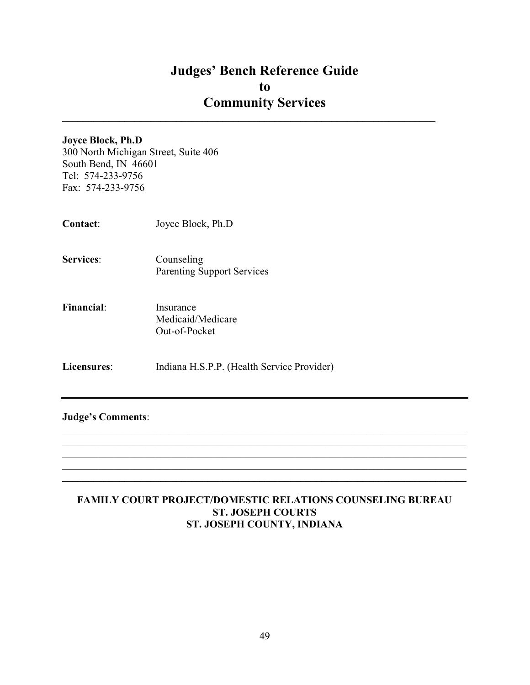$\mathcal{L}_\text{max}$  and  $\mathcal{L}_\text{max}$  and  $\mathcal{L}_\text{max}$  and  $\mathcal{L}_\text{max}$  and  $\mathcal{L}_\text{max}$  and  $\mathcal{L}_\text{max}$ 

#### Joyce Block, Ph.D

300 North Michigan Street, Suite 406 South Bend, IN 46601 Tel: 574-233-9756 Fax: 574-233-9756

- Contact: Joyce Block, Ph.D
- Services: Counseling Parenting Support Services
- Financial: Insurance Medicaid/Medicare Out-of-Pocket
- Licensures: Indiana H.S.P.P. (Health Service Provider)

#### Judge's Comments:

## FAMILY COURT PROJECT/DOMESTIC RELATIONS COUNSELING BUREAU ST. JOSEPH COURTS ST. JOSEPH COUNTY, INDIANA

 $\mathcal{L}_\mathcal{L} = \mathcal{L}_\mathcal{L} = \mathcal{L}_\mathcal{L} = \mathcal{L}_\mathcal{L} = \mathcal{L}_\mathcal{L} = \mathcal{L}_\mathcal{L} = \mathcal{L}_\mathcal{L} = \mathcal{L}_\mathcal{L} = \mathcal{L}_\mathcal{L} = \mathcal{L}_\mathcal{L} = \mathcal{L}_\mathcal{L} = \mathcal{L}_\mathcal{L} = \mathcal{L}_\mathcal{L} = \mathcal{L}_\mathcal{L} = \mathcal{L}_\mathcal{L} = \mathcal{L}_\mathcal{L} = \mathcal{L}_\mathcal{L}$  $\_$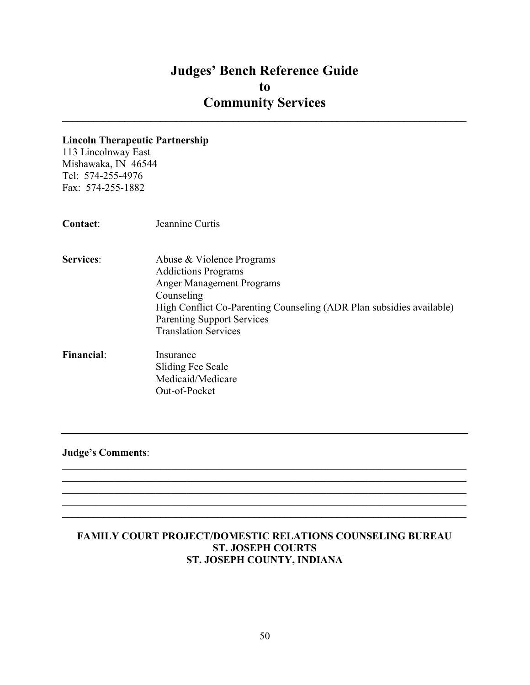$\_$ 

#### Lincoln Therapeutic Partnership

113 Lincolnway East Mishawaka, IN 46544 Tel: 574-255-4976 Fax: 574-255-1882

- Services: Abuse & Violence Programs Addictions Programs Anger Management Programs Counseling High Conflict Co-Parenting Counseling (ADR Plan subsidies available) Parenting Support Services Translation Services
- Financial: Insurance Sliding Fee Scale Medicaid/Medicare Out-of-Pocket

Judge's Comments:

## FAMILY COURT PROJECT/DOMESTIC RELATIONS COUNSELING BUREAU ST. JOSEPH COURTS ST. JOSEPH COUNTY, INDIANA

 $\mathcal{L}_\mathcal{L} = \mathcal{L}_\mathcal{L} = \mathcal{L}_\mathcal{L} = \mathcal{L}_\mathcal{L} = \mathcal{L}_\mathcal{L} = \mathcal{L}_\mathcal{L} = \mathcal{L}_\mathcal{L} = \mathcal{L}_\mathcal{L} = \mathcal{L}_\mathcal{L} = \mathcal{L}_\mathcal{L} = \mathcal{L}_\mathcal{L} = \mathcal{L}_\mathcal{L} = \mathcal{L}_\mathcal{L} = \mathcal{L}_\mathcal{L} = \mathcal{L}_\mathcal{L} = \mathcal{L}_\mathcal{L} = \mathcal{L}_\mathcal{L}$ 

 $\mathcal{L}_\mathcal{L} = \mathcal{L}_\mathcal{L} = \mathcal{L}_\mathcal{L} = \mathcal{L}_\mathcal{L} = \mathcal{L}_\mathcal{L} = \mathcal{L}_\mathcal{L} = \mathcal{L}_\mathcal{L} = \mathcal{L}_\mathcal{L} = \mathcal{L}_\mathcal{L} = \mathcal{L}_\mathcal{L} = \mathcal{L}_\mathcal{L} = \mathcal{L}_\mathcal{L} = \mathcal{L}_\mathcal{L} = \mathcal{L}_\mathcal{L} = \mathcal{L}_\mathcal{L} = \mathcal{L}_\mathcal{L} = \mathcal{L}_\mathcal{L}$  $\mathcal{L}_\mathcal{L} = \{ \mathcal{L}_\mathcal{L} = \{ \mathcal{L}_\mathcal{L} = \{ \mathcal{L}_\mathcal{L} = \{ \mathcal{L}_\mathcal{L} = \{ \mathcal{L}_\mathcal{L} = \{ \mathcal{L}_\mathcal{L} = \{ \mathcal{L}_\mathcal{L} = \{ \mathcal{L}_\mathcal{L} = \{ \mathcal{L}_\mathcal{L} = \{ \mathcal{L}_\mathcal{L} = \{ \mathcal{L}_\mathcal{L} = \{ \mathcal{L}_\mathcal{L} = \{ \mathcal{L}_\mathcal{L} = \{ \mathcal{L}_\mathcal{$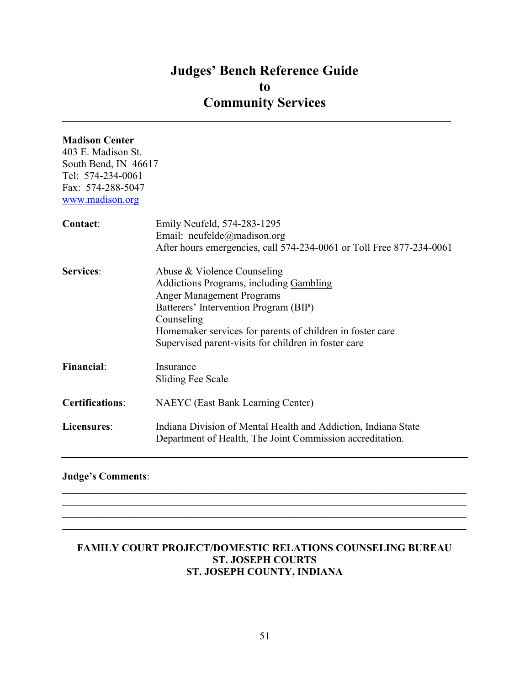$\mathcal{L}_\text{max}$  and  $\mathcal{L}_\text{max}$  and  $\mathcal{L}_\text{max}$  and  $\mathcal{L}_\text{max}$  and  $\mathcal{L}_\text{max}$  and  $\mathcal{L}_\text{max}$ 

## Madison Center

403 E. Madison St. South Bend, IN 46617 Tel: 574-234-0061 Fax: 574-288-5047 www.madison.org

| Contact:               | Emily Neufeld, 574-283-1295<br>Email: neufelde@madison.org<br>After hours emergencies, call 574-234-0061 or Toll Free 877-234-0061                                                                                                                                                     |
|------------------------|----------------------------------------------------------------------------------------------------------------------------------------------------------------------------------------------------------------------------------------------------------------------------------------|
| <b>Services:</b>       | Abuse & Violence Counseling<br>Addictions Programs, including Gambling<br><b>Anger Management Programs</b><br>Batterers' Intervention Program (BIP)<br>Counseling<br>Homemaker services for parents of children in foster care<br>Supervised parent-visits for children in foster care |
| <b>Financial:</b>      | Insurance<br>Sliding Fee Scale                                                                                                                                                                                                                                                         |
| <b>Certifications:</b> | <b>NAEYC</b> (East Bank Learning Center)                                                                                                                                                                                                                                               |
| Licensures:            | Indiana Division of Mental Health and Addiction, Indiana State<br>Department of Health, The Joint Commission accreditation.                                                                                                                                                            |

## Judge's Comments:

## FAMILY COURT PROJECT/DOMESTIC RELATIONS COUNSELING BUREAU ST. JOSEPH COURTS ST. JOSEPH COUNTY, INDIANA

 $\mathcal{L}_\mathcal{L} = \mathcal{L}_\mathcal{L} = \mathcal{L}_\mathcal{L} = \mathcal{L}_\mathcal{L} = \mathcal{L}_\mathcal{L} = \mathcal{L}_\mathcal{L} = \mathcal{L}_\mathcal{L} = \mathcal{L}_\mathcal{L} = \mathcal{L}_\mathcal{L} = \mathcal{L}_\mathcal{L} = \mathcal{L}_\mathcal{L} = \mathcal{L}_\mathcal{L} = \mathcal{L}_\mathcal{L} = \mathcal{L}_\mathcal{L} = \mathcal{L}_\mathcal{L} = \mathcal{L}_\mathcal{L} = \mathcal{L}_\mathcal{L}$ 

 $\mathcal{L}_\mathcal{L} = \{ \mathcal{L}_\mathcal{L} = \{ \mathcal{L}_\mathcal{L} = \{ \mathcal{L}_\mathcal{L} = \{ \mathcal{L}_\mathcal{L} = \{ \mathcal{L}_\mathcal{L} = \{ \mathcal{L}_\mathcal{L} = \{ \mathcal{L}_\mathcal{L} = \{ \mathcal{L}_\mathcal{L} = \{ \mathcal{L}_\mathcal{L} = \{ \mathcal{L}_\mathcal{L} = \{ \mathcal{L}_\mathcal{L} = \{ \mathcal{L}_\mathcal{L} = \{ \mathcal{L}_\mathcal{L} = \{ \mathcal{L}_\mathcal{$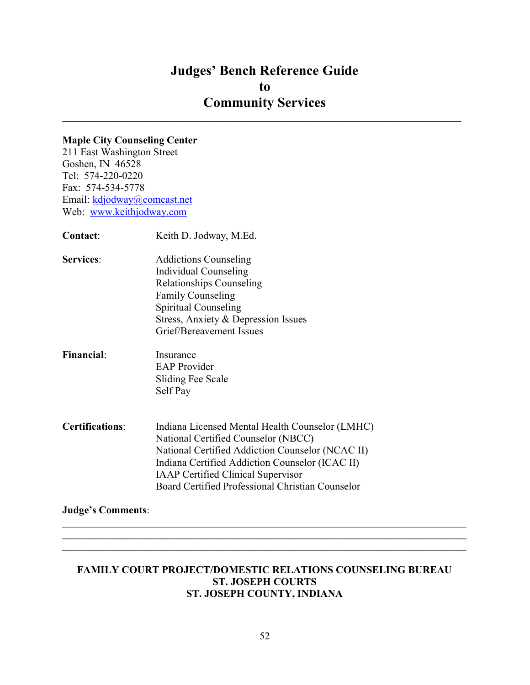## Judges' Bench Reference Guide to Community Services  $\mathcal{L}_\text{max}$  and  $\mathcal{L}_\text{max}$  and  $\mathcal{L}_\text{max}$  and  $\mathcal{L}_\text{max}$  and  $\mathcal{L}_\text{max}$  and  $\mathcal{L}_\text{max}$

## Maple City Counseling Center

211 East Washington Street Goshen, IN 46528 Tel: 574-220-0220 Fax: 574-534-5778 Email: kdjodway@comcast.net Web: www.keithjodway.com

| Contact:               | Keith D. Jodway, M.Ed.                                                                                                                                                                                                                                                                         |
|------------------------|------------------------------------------------------------------------------------------------------------------------------------------------------------------------------------------------------------------------------------------------------------------------------------------------|
| <b>Services:</b>       | <b>Addictions Counseling</b><br>Individual Counseling<br>Relationships Counseling<br><b>Family Counseling</b><br>Spiritual Counseling<br>Stress, Anxiety & Depression Issues                                                                                                                   |
|                        | Grief/Bereavement Issues                                                                                                                                                                                                                                                                       |
| <b>Financial:</b>      | Insurance<br><b>EAP</b> Provider<br>Sliding Fee Scale<br>Self Pay                                                                                                                                                                                                                              |
| <b>Certifications:</b> | Indiana Licensed Mental Health Counselor (LMHC)<br>National Certified Counselor (NBCC)<br>National Certified Addiction Counselor (NCAC II)<br>Indiana Certified Addiction Counselor (ICAC II)<br><b>IAAP Certified Clinical Supervisor</b><br>Board Certified Professional Christian Counselor |

## Judge's Comments:

#### FAMILY COURT PROJECT/DOMESTIC RELATIONS COUNSELING BUREAU ST. JOSEPH COURTS ST. JOSEPH COUNTY, INDIANA

 $\_$  $\mathcal{L}_\mathcal{L} = \{ \mathcal{L}_\mathcal{L} = \{ \mathcal{L}_\mathcal{L} = \{ \mathcal{L}_\mathcal{L} = \{ \mathcal{L}_\mathcal{L} = \{ \mathcal{L}_\mathcal{L} = \{ \mathcal{L}_\mathcal{L} = \{ \mathcal{L}_\mathcal{L} = \{ \mathcal{L}_\mathcal{L} = \{ \mathcal{L}_\mathcal{L} = \{ \mathcal{L}_\mathcal{L} = \{ \mathcal{L}_\mathcal{L} = \{ \mathcal{L}_\mathcal{L} = \{ \mathcal{L}_\mathcal{L} = \{ \mathcal{L}_\mathcal{$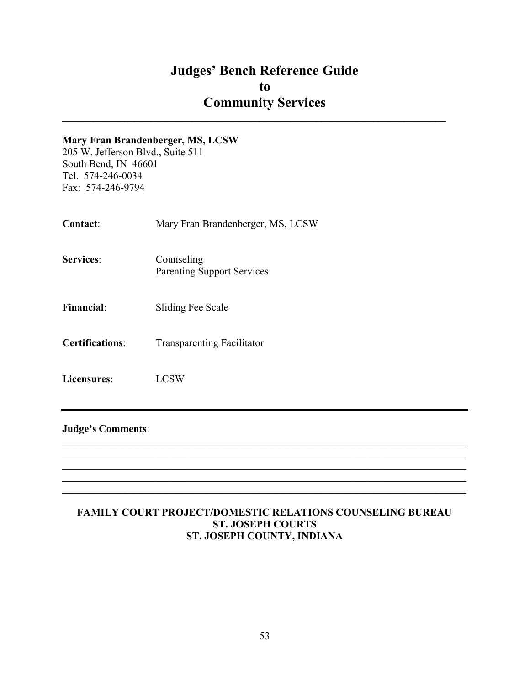$\mathcal{L}_\text{max}$  and  $\mathcal{L}_\text{max}$  and  $\mathcal{L}_\text{max}$  and  $\mathcal{L}_\text{max}$  and  $\mathcal{L}_\text{max}$  and  $\mathcal{L}_\text{max}$ 

#### Mary Fran Brandenberger, MS, LCSW

205 W. Jefferson Blvd., Suite 511 South Bend, IN 46601 Tel. 574-246-0034 Fax: 574-246-9794

- Contact: Mary Fran Brandenberger, MS, LCSW
- Services: Counseling Parenting Support Services
- Financial: Sliding Fee Scale
- Certifications: Transparenting Facilitator
- Licensures: LCSW

#### Judge's Comments:

#### FAMILY COURT PROJECT/DOMESTIC RELATIONS COUNSELING BUREAU ST. JOSEPH COURTS ST. JOSEPH COUNTY, INDIANA

 $\mathcal{L}_\mathcal{L} = \mathcal{L}_\mathcal{L} = \mathcal{L}_\mathcal{L} = \mathcal{L}_\mathcal{L} = \mathcal{L}_\mathcal{L} = \mathcal{L}_\mathcal{L} = \mathcal{L}_\mathcal{L} = \mathcal{L}_\mathcal{L} = \mathcal{L}_\mathcal{L} = \mathcal{L}_\mathcal{L} = \mathcal{L}_\mathcal{L} = \mathcal{L}_\mathcal{L} = \mathcal{L}_\mathcal{L} = \mathcal{L}_\mathcal{L} = \mathcal{L}_\mathcal{L} = \mathcal{L}_\mathcal{L} = \mathcal{L}_\mathcal{L}$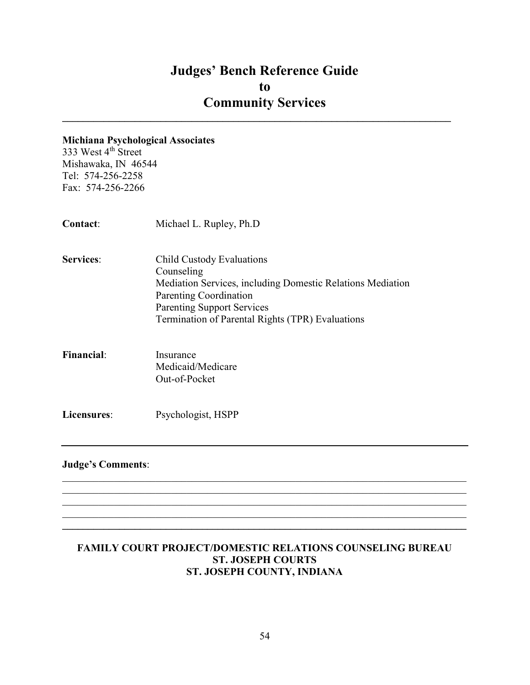$\mathcal{L}_\text{max}$  and  $\mathcal{L}_\text{max}$  and  $\mathcal{L}_\text{max}$  and  $\mathcal{L}_\text{max}$  and  $\mathcal{L}_\text{max}$  and  $\mathcal{L}_\text{max}$ 

#### Michiana Psychological Associates

333 West 4<sup>th</sup> Street Mishawaka, IN 46544 Tel: 574-256-2258 Fax: 574-256-2266

Contact: Michael L. Rupley, Ph.D Services: Child Custody Evaluations Counseling Mediation Services, including Domestic Relations Mediation Parenting Coordination Parenting Support Services Termination of Parental Rights (TPR) Evaluations Financial: Insurance Medicaid/Medicare Out-of-Pocket

Licensures: Psychologist, HSPP

#### Judge's Comments:

## FAMILY COURT PROJECT/DOMESTIC RELATIONS COUNSELING BUREAU ST. JOSEPH COURTS ST. JOSEPH COUNTY, INDIANA

 $\mathcal{L}_\mathcal{L} = \mathcal{L}_\mathcal{L} = \mathcal{L}_\mathcal{L} = \mathcal{L}_\mathcal{L} = \mathcal{L}_\mathcal{L} = \mathcal{L}_\mathcal{L} = \mathcal{L}_\mathcal{L} = \mathcal{L}_\mathcal{L} = \mathcal{L}_\mathcal{L} = \mathcal{L}_\mathcal{L} = \mathcal{L}_\mathcal{L} = \mathcal{L}_\mathcal{L} = \mathcal{L}_\mathcal{L} = \mathcal{L}_\mathcal{L} = \mathcal{L}_\mathcal{L} = \mathcal{L}_\mathcal{L} = \mathcal{L}_\mathcal{L}$ 

 $\mathcal{L}_\mathcal{L} = \{ \mathcal{L}_\mathcal{L} = \{ \mathcal{L}_\mathcal{L} = \{ \mathcal{L}_\mathcal{L} = \{ \mathcal{L}_\mathcal{L} = \{ \mathcal{L}_\mathcal{L} = \{ \mathcal{L}_\mathcal{L} = \{ \mathcal{L}_\mathcal{L} = \{ \mathcal{L}_\mathcal{L} = \{ \mathcal{L}_\mathcal{L} = \{ \mathcal{L}_\mathcal{L} = \{ \mathcal{L}_\mathcal{L} = \{ \mathcal{L}_\mathcal{L} = \{ \mathcal{L}_\mathcal{L} = \{ \mathcal{L}_\mathcal{$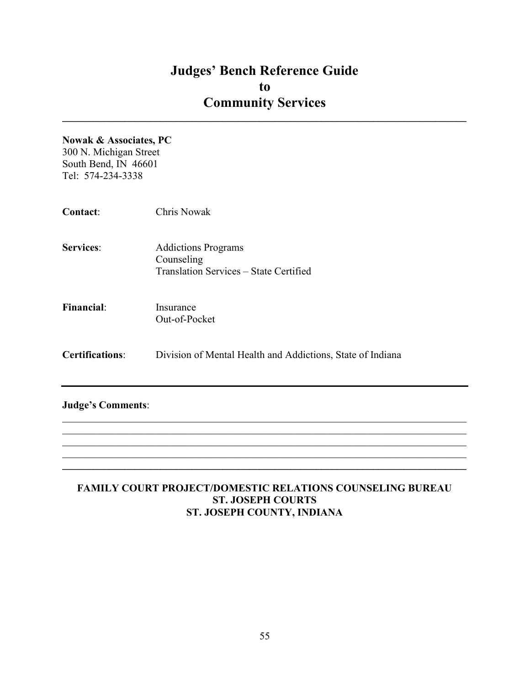$\_$ 

#### Nowak & Associates, PC

300 N. Michigan Street South Bend, IN 46601 Tel: 574-234-3338

| Contact:                 | <b>Chris Nowak</b>                                                                 |
|--------------------------|------------------------------------------------------------------------------------|
| <b>Services:</b>         | <b>Addictions Programs</b><br>Counseling<br>Translation Services - State Certified |
| <b>Financial:</b>        | Insurance<br>Out-of-Pocket                                                         |
| <b>Certifications:</b>   | Division of Mental Health and Addictions, State of Indiana                         |
| <b>Judge's Comments:</b> |                                                                                    |

## FAMILY COURT PROJECT/DOMESTIC RELATIONS COUNSELING BUREAU ST. JOSEPH COURTS ST. JOSEPH COUNTY, INDIANA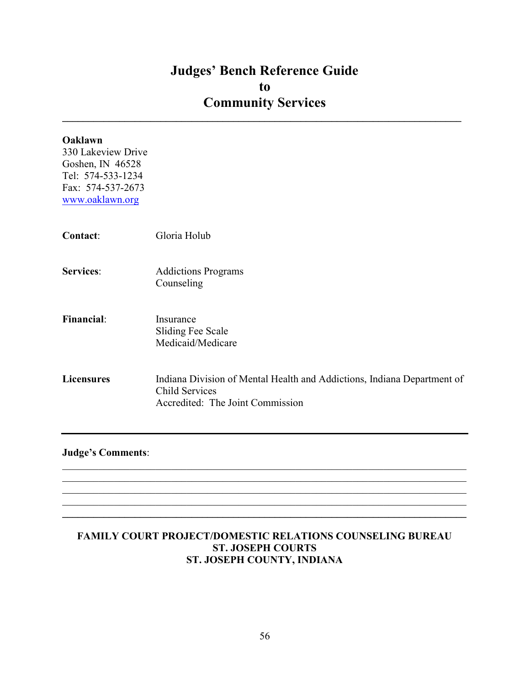$\mathcal{L}_\text{max}$  and  $\mathcal{L}_\text{max}$  and  $\mathcal{L}_\text{max}$  and  $\mathcal{L}_\text{max}$  and  $\mathcal{L}_\text{max}$  and  $\mathcal{L}_\text{max}$ 

| Oaklawn<br>330 Lakeview Drive<br>Goshen, IN 46528<br>Tel: 574-533-1234<br>Fax: 574-537-2673<br>www.oaklawn.org |                                                                                                                               |
|----------------------------------------------------------------------------------------------------------------|-------------------------------------------------------------------------------------------------------------------------------|
| Contact:                                                                                                       | Gloria Holub                                                                                                                  |
| <b>Services:</b>                                                                                               | <b>Addictions Programs</b><br>Counseling                                                                                      |
| <b>Financial:</b>                                                                                              | Insurance<br><b>Sliding Fee Scale</b><br>Medicaid/Medicare                                                                    |
| <b>Licensures</b>                                                                                              | Indiana Division of Mental Health and Addictions, Indiana Department of<br>Child Services<br>Accredited: The Joint Commission |

Judge's Comments:

## FAMILY COURT PROJECT/DOMESTIC RELATIONS COUNSELING BUREAU ST. JOSEPH COURTS ST. JOSEPH COUNTY, INDIANA

 $\mathcal{L}_\mathcal{L} = \mathcal{L}_\mathcal{L} = \mathcal{L}_\mathcal{L} = \mathcal{L}_\mathcal{L} = \mathcal{L}_\mathcal{L} = \mathcal{L}_\mathcal{L} = \mathcal{L}_\mathcal{L} = \mathcal{L}_\mathcal{L} = \mathcal{L}_\mathcal{L} = \mathcal{L}_\mathcal{L} = \mathcal{L}_\mathcal{L} = \mathcal{L}_\mathcal{L} = \mathcal{L}_\mathcal{L} = \mathcal{L}_\mathcal{L} = \mathcal{L}_\mathcal{L} = \mathcal{L}_\mathcal{L} = \mathcal{L}_\mathcal{L}$ 

 $\mathcal{L}_\mathcal{L} = \mathcal{L}_\mathcal{L} = \mathcal{L}_\mathcal{L} = \mathcal{L}_\mathcal{L} = \mathcal{L}_\mathcal{L} = \mathcal{L}_\mathcal{L} = \mathcal{L}_\mathcal{L} = \mathcal{L}_\mathcal{L} = \mathcal{L}_\mathcal{L} = \mathcal{L}_\mathcal{L} = \mathcal{L}_\mathcal{L} = \mathcal{L}_\mathcal{L} = \mathcal{L}_\mathcal{L} = \mathcal{L}_\mathcal{L} = \mathcal{L}_\mathcal{L} = \mathcal{L}_\mathcal{L} = \mathcal{L}_\mathcal{L}$  $\mathcal{L}_\mathcal{L} = \{ \mathcal{L}_\mathcal{L} = \{ \mathcal{L}_\mathcal{L} = \{ \mathcal{L}_\mathcal{L} = \{ \mathcal{L}_\mathcal{L} = \{ \mathcal{L}_\mathcal{L} = \{ \mathcal{L}_\mathcal{L} = \{ \mathcal{L}_\mathcal{L} = \{ \mathcal{L}_\mathcal{L} = \{ \mathcal{L}_\mathcal{L} = \{ \mathcal{L}_\mathcal{L} = \{ \mathcal{L}_\mathcal{L} = \{ \mathcal{L}_\mathcal{L} = \{ \mathcal{L}_\mathcal{L} = \{ \mathcal{L}_\mathcal{$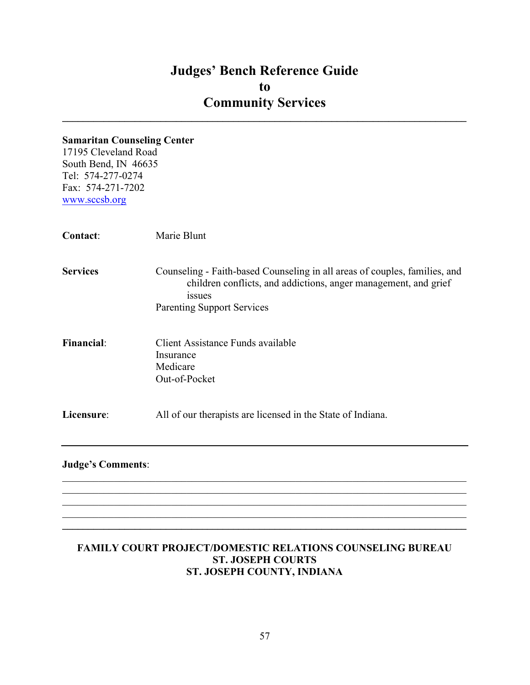$\_$ 

#### Samaritan Counseling Center

17195 Cleveland Road South Bend, IN 46635 Tel: 574-277-0274 Fax: 574-271-7202 www.sccsb.org

| Contact:          | Marie Blunt                                                                                                                                                                                         |
|-------------------|-----------------------------------------------------------------------------------------------------------------------------------------------------------------------------------------------------|
| <b>Services</b>   | Counseling - Faith-based Counseling in all areas of couples, families, and<br>children conflicts, and addictions, anger management, and grief<br><i>issues</i><br><b>Parenting Support Services</b> |
| <b>Financial:</b> | Client Assistance Funds available<br>Insurance<br>Medicare<br>Out-of-Pocket                                                                                                                         |
| Licensure:        | All of our therapists are licensed in the State of Indiana.                                                                                                                                         |
|                   |                                                                                                                                                                                                     |

## Judge's Comments:

## FAMILY COURT PROJECT/DOMESTIC RELATIONS COUNSELING BUREAU ST. JOSEPH COURTS ST. JOSEPH COUNTY, INDIANA

 $\mathcal{L}_\mathcal{L} = \mathcal{L}_\mathcal{L} = \mathcal{L}_\mathcal{L} = \mathcal{L}_\mathcal{L} = \mathcal{L}_\mathcal{L} = \mathcal{L}_\mathcal{L} = \mathcal{L}_\mathcal{L} = \mathcal{L}_\mathcal{L} = \mathcal{L}_\mathcal{L} = \mathcal{L}_\mathcal{L} = \mathcal{L}_\mathcal{L} = \mathcal{L}_\mathcal{L} = \mathcal{L}_\mathcal{L} = \mathcal{L}_\mathcal{L} = \mathcal{L}_\mathcal{L} = \mathcal{L}_\mathcal{L} = \mathcal{L}_\mathcal{L}$ 

 $\mathcal{L}_\mathcal{L} = \{ \mathcal{L}_\mathcal{L} = \{ \mathcal{L}_\mathcal{L} = \{ \mathcal{L}_\mathcal{L} = \{ \mathcal{L}_\mathcal{L} = \{ \mathcal{L}_\mathcal{L} = \{ \mathcal{L}_\mathcal{L} = \{ \mathcal{L}_\mathcal{L} = \{ \mathcal{L}_\mathcal{L} = \{ \mathcal{L}_\mathcal{L} = \{ \mathcal{L}_\mathcal{L} = \{ \mathcal{L}_\mathcal{L} = \{ \mathcal{L}_\mathcal{L} = \{ \mathcal{L}_\mathcal{L} = \{ \mathcal{L}_\mathcal{$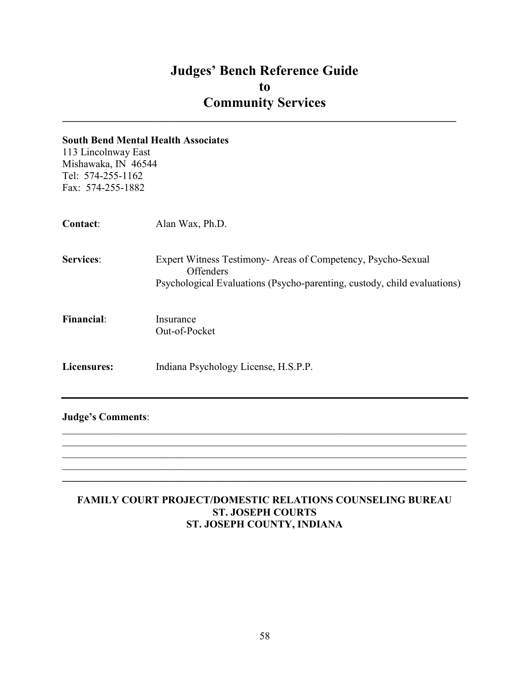$\mathcal{L}_\text{max}$  and  $\mathcal{L}_\text{max}$  and  $\mathcal{L}_\text{max}$  and  $\mathcal{L}_\text{max}$  and  $\mathcal{L}_\text{max}$  and  $\mathcal{L}_\text{max}$ 

#### South Bend Mental Health Associates

113 Lincolnway East Mishawaka, IN 46544 Tel: 574-255-1162 Fax: 574-255-1882

| <b>Contact:</b>   | Alan Wax, Ph.D.                                                                                                                                       |
|-------------------|-------------------------------------------------------------------------------------------------------------------------------------------------------|
| <b>Services:</b>  | Expert Witness Testimony- Areas of Competency, Psycho-Sexual<br>Offenders<br>Psychological Evaluations (Psycho-parenting, custody, child evaluations) |
| <b>Financial:</b> | Insurance<br>Out-of-Pocket                                                                                                                            |
| Licensures:       | Indiana Psychology License, H.S.P.P.                                                                                                                  |

## Judge's Comments:

FAMILY COURT PROJECT/DOMESTIC RELATIONS COUNSELING BUREAU ST. JOSEPH COURTS ST. JOSEPH COUNTY, INDIANA

 $\mathcal{L}_\mathcal{L} = \mathcal{L}_\mathcal{L} = \mathcal{L}_\mathcal{L} = \mathcal{L}_\mathcal{L} = \mathcal{L}_\mathcal{L} = \mathcal{L}_\mathcal{L} = \mathcal{L}_\mathcal{L} = \mathcal{L}_\mathcal{L} = \mathcal{L}_\mathcal{L} = \mathcal{L}_\mathcal{L} = \mathcal{L}_\mathcal{L} = \mathcal{L}_\mathcal{L} = \mathcal{L}_\mathcal{L} = \mathcal{L}_\mathcal{L} = \mathcal{L}_\mathcal{L} = \mathcal{L}_\mathcal{L} = \mathcal{L}_\mathcal{L}$  $\_$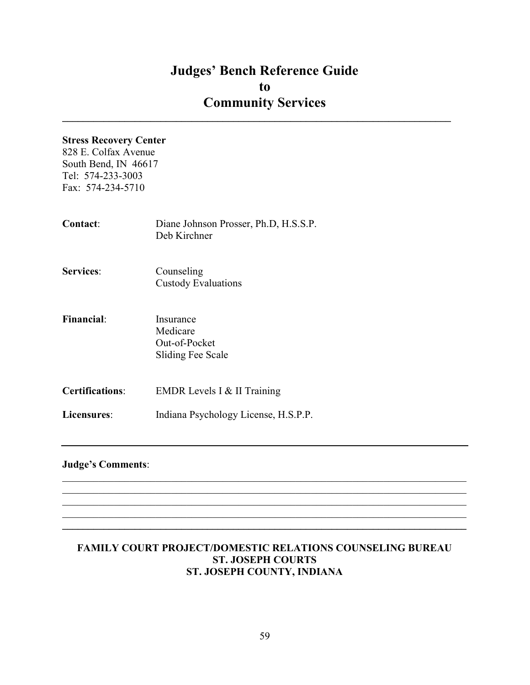$\mathcal{L}_\text{max}$  and  $\mathcal{L}_\text{max}$  and  $\mathcal{L}_\text{max}$  and  $\mathcal{L}_\text{max}$  and  $\mathcal{L}_\text{max}$  and  $\mathcal{L}_\text{max}$ 

## Stress Recovery Center

828 E. Colfax Avenue South Bend, IN 46617 Tel: 574-233-3003 Fax: 574-234-5710

| <b>Contact:</b>        | Diane Johnson Prosser, Ph.D, H.S.S.P.<br>Deb Kirchner       |
|------------------------|-------------------------------------------------------------|
| <b>Services:</b>       | Counseling<br><b>Custody Evaluations</b>                    |
| <b>Financial:</b>      | Insurance<br>Medicare<br>Out-of-Pocket<br>Sliding Fee Scale |
| <b>Certifications:</b> | EMDR Levels I & II Training                                 |
| Licensures:            | Indiana Psychology License, H.S.P.P.                        |

## Judge's Comments:

## FAMILY COURT PROJECT/DOMESTIC RELATIONS COUNSELING BUREAU ST. JOSEPH COURTS ST. JOSEPH COUNTY, INDIANA

 $\mathcal{L}_\mathcal{L} = \mathcal{L}_\mathcal{L} = \mathcal{L}_\mathcal{L} = \mathcal{L}_\mathcal{L} = \mathcal{L}_\mathcal{L} = \mathcal{L}_\mathcal{L} = \mathcal{L}_\mathcal{L} = \mathcal{L}_\mathcal{L} = \mathcal{L}_\mathcal{L} = \mathcal{L}_\mathcal{L} = \mathcal{L}_\mathcal{L} = \mathcal{L}_\mathcal{L} = \mathcal{L}_\mathcal{L} = \mathcal{L}_\mathcal{L} = \mathcal{L}_\mathcal{L} = \mathcal{L}_\mathcal{L} = \mathcal{L}_\mathcal{L}$ 

 $\mathcal{L}_\mathcal{L} = \{ \mathcal{L}_\mathcal{L} = \{ \mathcal{L}_\mathcal{L} = \{ \mathcal{L}_\mathcal{L} = \{ \mathcal{L}_\mathcal{L} = \{ \mathcal{L}_\mathcal{L} = \{ \mathcal{L}_\mathcal{L} = \{ \mathcal{L}_\mathcal{L} = \{ \mathcal{L}_\mathcal{L} = \{ \mathcal{L}_\mathcal{L} = \{ \mathcal{L}_\mathcal{L} = \{ \mathcal{L}_\mathcal{L} = \{ \mathcal{L}_\mathcal{L} = \{ \mathcal{L}_\mathcal{L} = \{ \mathcal{L}_\mathcal{$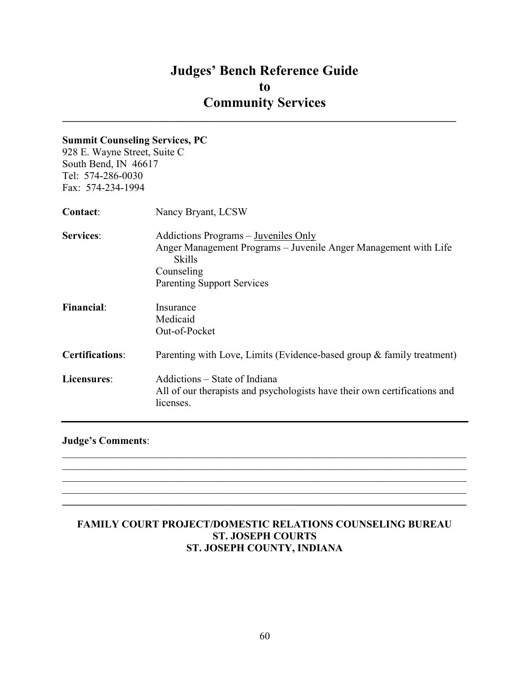$\mathcal{L}_\text{max}$  and  $\mathcal{L}_\text{max}$  and  $\mathcal{L}_\text{max}$  and  $\mathcal{L}_\text{max}$  and  $\mathcal{L}_\text{max}$  and  $\mathcal{L}_\text{max}$ 

#### Summit Counseling Services, PC

928 E. Wayne Street, Suite C South Bend, IN 46617 Tel: 574-286-0030 Fax: 574-234-1994

| Nancy Bryant, LCSW                                                                                                       |
|--------------------------------------------------------------------------------------------------------------------------|
| Addictions Programs – Juveniles Only<br>Anger Management Programs – Juvenile Anger Management with Life<br><b>Skills</b> |
| Counseling<br><b>Parenting Support Services</b>                                                                          |
| Insurance                                                                                                                |
| Medicaid<br>Out-of-Pocket                                                                                                |
| Parenting with Love, Limits (Evidence-based group & family treatment)                                                    |
| Addictions – State of Indiana<br>All of our therapists and psychologists have their own certifications and<br>licenses.  |
|                                                                                                                          |

#### Judge's Comments:

## FAMILY COURT PROJECT/DOMESTIC RELATIONS COUNSELING BUREAU ST. JOSEPH COURTS ST. JOSEPH COUNTY, INDIANA

 $\mathcal{L}_\mathcal{L} = \mathcal{L}_\mathcal{L} = \mathcal{L}_\mathcal{L} = \mathcal{L}_\mathcal{L} = \mathcal{L}_\mathcal{L} = \mathcal{L}_\mathcal{L} = \mathcal{L}_\mathcal{L} = \mathcal{L}_\mathcal{L} = \mathcal{L}_\mathcal{L} = \mathcal{L}_\mathcal{L} = \mathcal{L}_\mathcal{L} = \mathcal{L}_\mathcal{L} = \mathcal{L}_\mathcal{L} = \mathcal{L}_\mathcal{L} = \mathcal{L}_\mathcal{L} = \mathcal{L}_\mathcal{L} = \mathcal{L}_\mathcal{L}$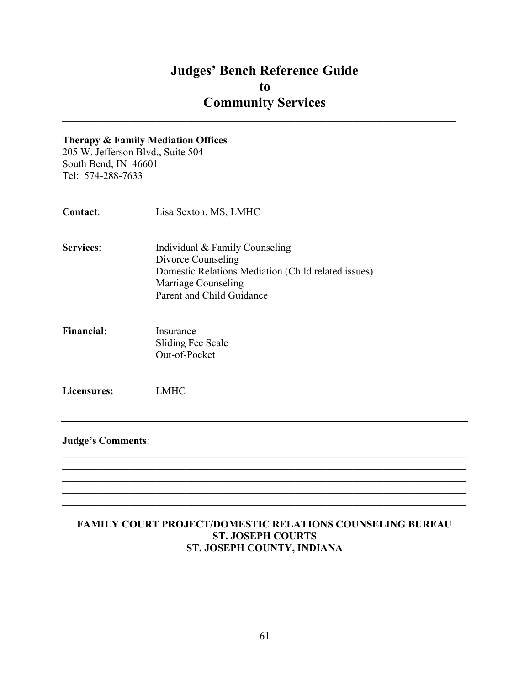$\mathcal{L}_\text{max}$  and  $\mathcal{L}_\text{max}$  and  $\mathcal{L}_\text{max}$  and  $\mathcal{L}_\text{max}$  and  $\mathcal{L}_\text{max}$  and  $\mathcal{L}_\text{max}$ 

#### Therapy & Family Mediation Offices

205 W. Jefferson Blvd., Suite 504 South Bend, IN 46601 Tel: 574-288-7633

| <b>Contact:</b>  | Lisa Sexton, MS, LMHC                               |
|------------------|-----------------------------------------------------|
| <b>Services:</b> | Individual & Family Counseling                      |
|                  | Divorce Counseling                                  |
|                  | Domestic Relations Mediation (Child related issues) |
|                  | Marriage Counseling                                 |
|                  | Parent and Child Guidance                           |
|                  |                                                     |

Financial: Insurance Sliding Fee Scale Out-of-Pocket

Licensures: LMHC

#### Judge's Comments:

## FAMILY COURT PROJECT/DOMESTIC RELATIONS COUNSELING BUREAU ST. JOSEPH COURTS ST. JOSEPH COUNTY, INDIANA

 $\mathcal{L}_\mathcal{L} = \mathcal{L}_\mathcal{L} = \mathcal{L}_\mathcal{L} = \mathcal{L}_\mathcal{L} = \mathcal{L}_\mathcal{L} = \mathcal{L}_\mathcal{L} = \mathcal{L}_\mathcal{L} = \mathcal{L}_\mathcal{L} = \mathcal{L}_\mathcal{L} = \mathcal{L}_\mathcal{L} = \mathcal{L}_\mathcal{L} = \mathcal{L}_\mathcal{L} = \mathcal{L}_\mathcal{L} = \mathcal{L}_\mathcal{L} = \mathcal{L}_\mathcal{L} = \mathcal{L}_\mathcal{L} = \mathcal{L}_\mathcal{L}$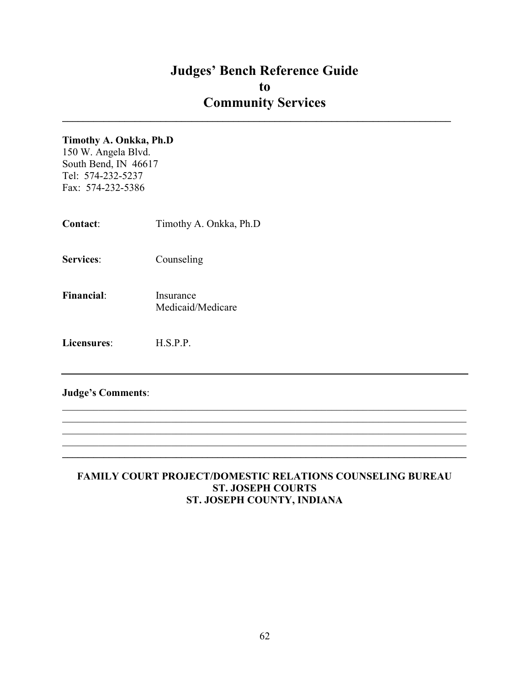$\mathcal{L}_\text{max}$  and  $\mathcal{L}_\text{max}$  and  $\mathcal{L}_\text{max}$  and  $\mathcal{L}_\text{max}$  and  $\mathcal{L}_\text{max}$  and  $\mathcal{L}_\text{max}$ 

## Timothy A. Onkka, Ph.D

150 W. Angela Blvd. South Bend, IN 46617 Tel: 574-232-5237 Fax: 574-232-5386

| <b>Contact:</b>  | Timothy A. Onkka, Ph.D |
|------------------|------------------------|
| <b>Services:</b> | Counseling             |

Financial: Insurance Medicaid/Medicare

Licensures: H.S.P.P.

## Judge's Comments:

## FAMILY COURT PROJECT/DOMESTIC RELATIONS COUNSELING BUREAU ST. JOSEPH COURTS ST. JOSEPH COUNTY, INDIANA

 $\_$ 

 $\mathcal{L}_\mathcal{L} = \mathcal{L}_\mathcal{L} = \mathcal{L}_\mathcal{L} = \mathcal{L}_\mathcal{L} = \mathcal{L}_\mathcal{L} = \mathcal{L}_\mathcal{L} = \mathcal{L}_\mathcal{L} = \mathcal{L}_\mathcal{L} = \mathcal{L}_\mathcal{L} = \mathcal{L}_\mathcal{L} = \mathcal{L}_\mathcal{L} = \mathcal{L}_\mathcal{L} = \mathcal{L}_\mathcal{L} = \mathcal{L}_\mathcal{L} = \mathcal{L}_\mathcal{L} = \mathcal{L}_\mathcal{L} = \mathcal{L}_\mathcal{L}$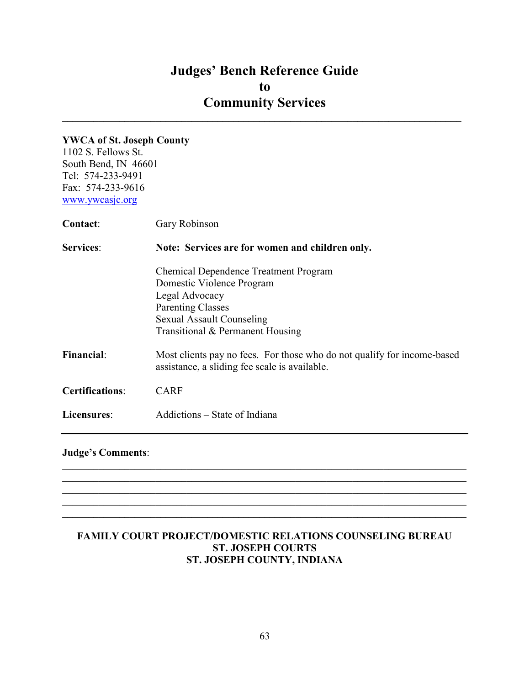$\mathcal{L}_\text{max}$  and  $\mathcal{L}_\text{max}$  and  $\mathcal{L}_\text{max}$  and  $\mathcal{L}_\text{max}$  and  $\mathcal{L}_\text{max}$  and  $\mathcal{L}_\text{max}$ 

### YWCA of St. Joseph County

1102 S. Fellows St. South Bend, IN 46601 Tel: 574-233-9491 Fax: 574-233-9616 www.ywcasjc.org

| <b>Contact:</b>        | Gary Robinson                                                                                                                                                                                   |  |
|------------------------|-------------------------------------------------------------------------------------------------------------------------------------------------------------------------------------------------|--|
| <b>Services:</b>       | Note: Services are for women and children only.                                                                                                                                                 |  |
|                        | <b>Chemical Dependence Treatment Program</b><br>Domestic Violence Program<br>Legal Advocacy<br><b>Parenting Classes</b><br><b>Sexual Assault Counseling</b><br>Transitional & Permanent Housing |  |
| <b>Financial:</b>      | Most clients pay no fees. For those who do not qualify for income-based<br>assistance, a sliding fee scale is available.                                                                        |  |
| <b>Certifications:</b> | <b>CARF</b>                                                                                                                                                                                     |  |
| Licensures:            | Addictions – State of Indiana                                                                                                                                                                   |  |

## Judge's Comments:

## FAMILY COURT PROJECT/DOMESTIC RELATIONS COUNSELING BUREAU ST. JOSEPH COURTS ST. JOSEPH COUNTY, INDIANA

 $\mathcal{L}_\mathcal{L} = \mathcal{L}_\mathcal{L} = \mathcal{L}_\mathcal{L} = \mathcal{L}_\mathcal{L} = \mathcal{L}_\mathcal{L} = \mathcal{L}_\mathcal{L} = \mathcal{L}_\mathcal{L} = \mathcal{L}_\mathcal{L} = \mathcal{L}_\mathcal{L} = \mathcal{L}_\mathcal{L} = \mathcal{L}_\mathcal{L} = \mathcal{L}_\mathcal{L} = \mathcal{L}_\mathcal{L} = \mathcal{L}_\mathcal{L} = \mathcal{L}_\mathcal{L} = \mathcal{L}_\mathcal{L} = \mathcal{L}_\mathcal{L}$ 

 $\mathcal{L}_\mathcal{L} = \mathcal{L}_\mathcal{L} = \mathcal{L}_\mathcal{L} = \mathcal{L}_\mathcal{L} = \mathcal{L}_\mathcal{L} = \mathcal{L}_\mathcal{L} = \mathcal{L}_\mathcal{L} = \mathcal{L}_\mathcal{L} = \mathcal{L}_\mathcal{L} = \mathcal{L}_\mathcal{L} = \mathcal{L}_\mathcal{L} = \mathcal{L}_\mathcal{L} = \mathcal{L}_\mathcal{L} = \mathcal{L}_\mathcal{L} = \mathcal{L}_\mathcal{L} = \mathcal{L}_\mathcal{L} = \mathcal{L}_\mathcal{L}$  $\mathcal{L}_\mathcal{L} = \{ \mathcal{L}_\mathcal{L} = \{ \mathcal{L}_\mathcal{L} = \{ \mathcal{L}_\mathcal{L} = \{ \mathcal{L}_\mathcal{L} = \{ \mathcal{L}_\mathcal{L} = \{ \mathcal{L}_\mathcal{L} = \{ \mathcal{L}_\mathcal{L} = \{ \mathcal{L}_\mathcal{L} = \{ \mathcal{L}_\mathcal{L} = \{ \mathcal{L}_\mathcal{L} = \{ \mathcal{L}_\mathcal{L} = \{ \mathcal{L}_\mathcal{L} = \{ \mathcal{L}_\mathcal{L} = \{ \mathcal{L}_\mathcal{$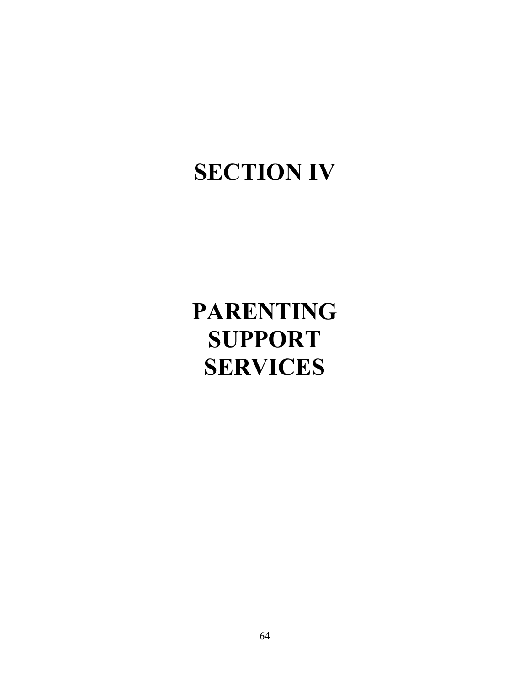# SECTION IV

# PARENTING SUPPORT SERVICES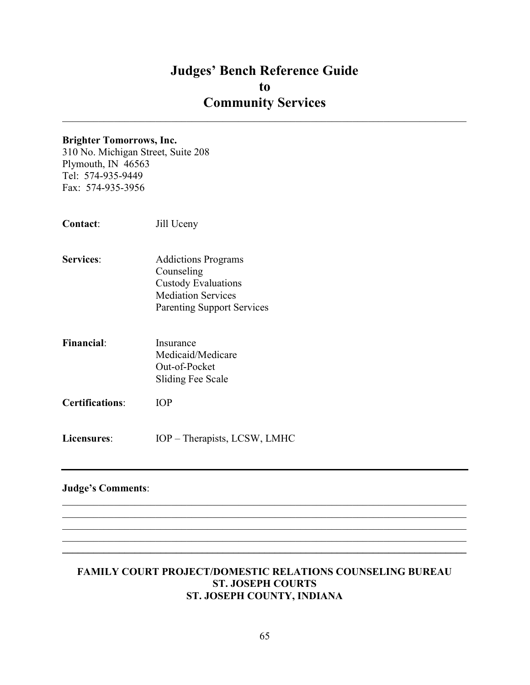$\mathcal{L}_\mathcal{L} = \mathcal{L}_\mathcal{L} = \mathcal{L}_\mathcal{L} = \mathcal{L}_\mathcal{L} = \mathcal{L}_\mathcal{L} = \mathcal{L}_\mathcal{L} = \mathcal{L}_\mathcal{L} = \mathcal{L}_\mathcal{L} = \mathcal{L}_\mathcal{L} = \mathcal{L}_\mathcal{L} = \mathcal{L}_\mathcal{L} = \mathcal{L}_\mathcal{L} = \mathcal{L}_\mathcal{L} = \mathcal{L}_\mathcal{L} = \mathcal{L}_\mathcal{L} = \mathcal{L}_\mathcal{L} = \mathcal{L}_\mathcal{L}$ 

#### Brighter Tomorrows, Inc.

310 No. Michigan Street, Suite 208 Plymouth, IN 46563 Tel: 574-935-9449 Fax: 574-935-3956

- Services: Addictions Programs Counseling Custody Evaluations Mediation Services Parenting Support Services
- Financial: Insurance Medicaid/Medicare Out-of-Pocket Sliding Fee Scale
- Certifications: IOP
- Licensures: IOP Therapists, LCSW, LMHC

#### Judge's Comments:

#### FAMILY COURT PROJECT/DOMESTIC RELATIONS COUNSELING BUREAU ST. JOSEPH COURTS ST. JOSEPH COUNTY, INDIANA

 $\_$ 

 $\mathcal{L}_\mathcal{L} = \mathcal{L}_\mathcal{L} = \mathcal{L}_\mathcal{L} = \mathcal{L}_\mathcal{L} = \mathcal{L}_\mathcal{L} = \mathcal{L}_\mathcal{L} = \mathcal{L}_\mathcal{L} = \mathcal{L}_\mathcal{L} = \mathcal{L}_\mathcal{L} = \mathcal{L}_\mathcal{L} = \mathcal{L}_\mathcal{L} = \mathcal{L}_\mathcal{L} = \mathcal{L}_\mathcal{L} = \mathcal{L}_\mathcal{L} = \mathcal{L}_\mathcal{L} = \mathcal{L}_\mathcal{L} = \mathcal{L}_\mathcal{L}$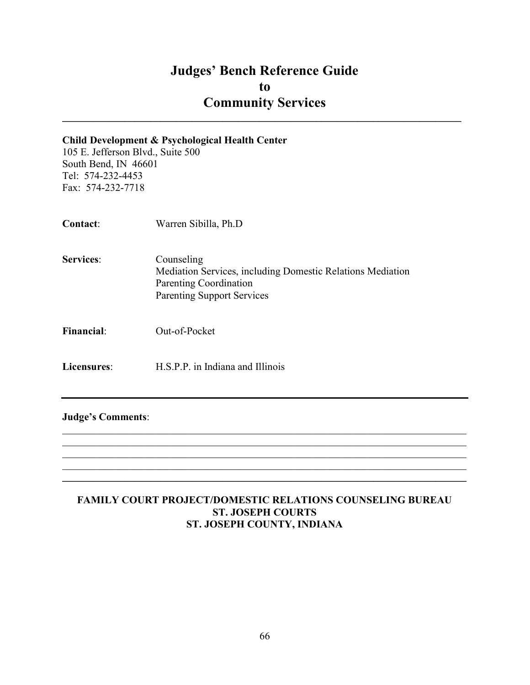$\mathcal{L}_\text{max}$  and  $\mathcal{L}_\text{max}$  and  $\mathcal{L}_\text{max}$  and  $\mathcal{L}_\text{max}$  and  $\mathcal{L}_\text{max}$  and  $\mathcal{L}_\text{max}$ 

#### Child Development & Psychological Health Center

105 E. Jefferson Blvd., Suite 500 South Bend, IN 46601 Tel: 574-232-4453 Fax: 574-232-7718

| <b>Contact:</b>   | Warren Sibilla, Ph.D                                                                                                                    |
|-------------------|-----------------------------------------------------------------------------------------------------------------------------------------|
| <b>Services:</b>  | Counseling<br>Mediation Services, including Domestic Relations Mediation<br>Parenting Coordination<br><b>Parenting Support Services</b> |
| <b>Financial:</b> | Out-of-Pocket                                                                                                                           |
| Licensures:       | H.S.P.P. in Indiana and Illinois                                                                                                        |

Judge's Comments:

## FAMILY COURT PROJECT/DOMESTIC RELATIONS COUNSELING BUREAU ST. JOSEPH COURTS ST. JOSEPH COUNTY, INDIANA

 $\mathcal{L}_\mathcal{L} = \mathcal{L}_\mathcal{L} = \mathcal{L}_\mathcal{L} = \mathcal{L}_\mathcal{L} = \mathcal{L}_\mathcal{L} = \mathcal{L}_\mathcal{L} = \mathcal{L}_\mathcal{L} = \mathcal{L}_\mathcal{L} = \mathcal{L}_\mathcal{L} = \mathcal{L}_\mathcal{L} = \mathcal{L}_\mathcal{L} = \mathcal{L}_\mathcal{L} = \mathcal{L}_\mathcal{L} = \mathcal{L}_\mathcal{L} = \mathcal{L}_\mathcal{L} = \mathcal{L}_\mathcal{L} = \mathcal{L}_\mathcal{L}$  $\_$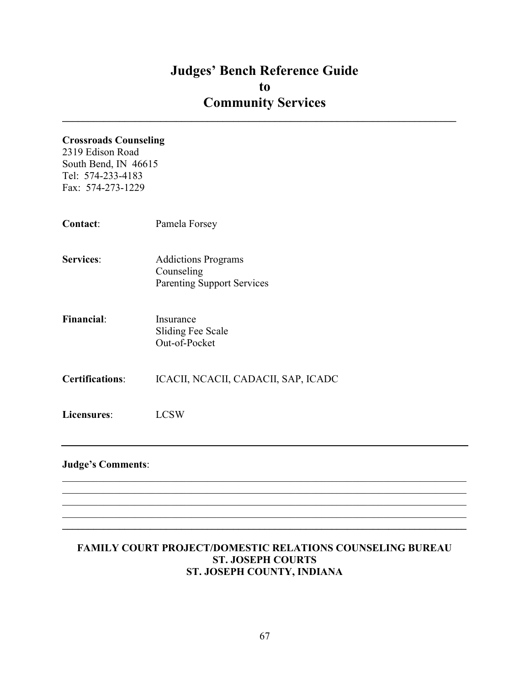$\mathcal{L}_\text{max}$  and  $\mathcal{L}_\text{max}$  and  $\mathcal{L}_\text{max}$  and  $\mathcal{L}_\text{max}$  and  $\mathcal{L}_\text{max}$  and  $\mathcal{L}_\text{max}$ 

## Crossroads Counseling

2319 Edison Road South Bend, IN 46615 Tel: 574-233-4183 Fax: 574-273-1229

| Contact:                 | Pamela Forsey                                                                 |
|--------------------------|-------------------------------------------------------------------------------|
| <b>Services:</b>         | <b>Addictions Programs</b><br>Counseling<br><b>Parenting Support Services</b> |
| <b>Financial:</b>        | Insurance<br>Sliding Fee Scale<br>Out-of-Pocket                               |
| <b>Certifications:</b>   | ICACII, NCACII, CADACII, SAP, ICADC                                           |
| Licensures:              | <b>LCSW</b>                                                                   |
| <b>Judge's Comments:</b> |                                                                               |

## FAMILY COURT PROJECT/DOMESTIC RELATIONS COUNSELING BUREAU ST. JOSEPH COURTS ST. JOSEPH COUNTY, INDIANA

 $\mathcal{L}_\mathcal{L} = \{ \mathcal{L}_\mathcal{L} = \{ \mathcal{L}_\mathcal{L} = \{ \mathcal{L}_\mathcal{L} = \{ \mathcal{L}_\mathcal{L} = \{ \mathcal{L}_\mathcal{L} = \{ \mathcal{L}_\mathcal{L} = \{ \mathcal{L}_\mathcal{L} = \{ \mathcal{L}_\mathcal{L} = \{ \mathcal{L}_\mathcal{L} = \{ \mathcal{L}_\mathcal{L} = \{ \mathcal{L}_\mathcal{L} = \{ \mathcal{L}_\mathcal{L} = \{ \mathcal{L}_\mathcal{L} = \{ \mathcal{L}_\mathcal{$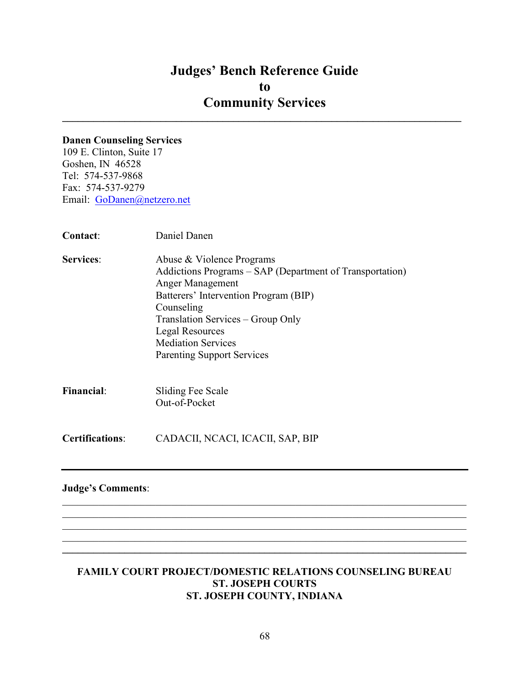$\mathcal{L}_\text{max}$  and  $\mathcal{L}_\text{max}$  and  $\mathcal{L}_\text{max}$  and  $\mathcal{L}_\text{max}$  and  $\mathcal{L}_\text{max}$  and  $\mathcal{L}_\text{max}$ 

#### Danen Counseling Services

109 E. Clinton, Suite 17 Goshen, IN 46528 Tel: 574-537-9868 Fax: 574-537-9279 Email: GoDanen@netzero.net

| Contact:                 | Daniel Danen                                                                                                                                                                                                                                                                                      |
|--------------------------|---------------------------------------------------------------------------------------------------------------------------------------------------------------------------------------------------------------------------------------------------------------------------------------------------|
| <b>Services:</b>         | Abuse & Violence Programs<br>Addictions Programs - SAP (Department of Transportation)<br>Anger Management<br>Batterers' Intervention Program (BIP)<br>Counseling<br>Translation Services – Group Only<br><b>Legal Resources</b><br><b>Mediation Services</b><br><b>Parenting Support Services</b> |
| <b>Financial:</b>        | Sliding Fee Scale<br>Out-of-Pocket                                                                                                                                                                                                                                                                |
| <b>Certifications:</b>   | CADACII, NCACI, ICACII, SAP, BIP                                                                                                                                                                                                                                                                  |
| <b>Judge's Comments:</b> |                                                                                                                                                                                                                                                                                                   |

#### FAMILY COURT PROJECT/DOMESTIC RELATIONS COUNSELING BUREAU ST. JOSEPH COURTS ST. JOSEPH COUNTY, INDIANA

 $\_$ 

 $\mathcal{L}_\mathcal{L} = \mathcal{L}_\mathcal{L} = \mathcal{L}_\mathcal{L} = \mathcal{L}_\mathcal{L} = \mathcal{L}_\mathcal{L} = \mathcal{L}_\mathcal{L} = \mathcal{L}_\mathcal{L} = \mathcal{L}_\mathcal{L} = \mathcal{L}_\mathcal{L} = \mathcal{L}_\mathcal{L} = \mathcal{L}_\mathcal{L} = \mathcal{L}_\mathcal{L} = \mathcal{L}_\mathcal{L} = \mathcal{L}_\mathcal{L} = \mathcal{L}_\mathcal{L} = \mathcal{L}_\mathcal{L} = \mathcal{L}_\mathcal{L}$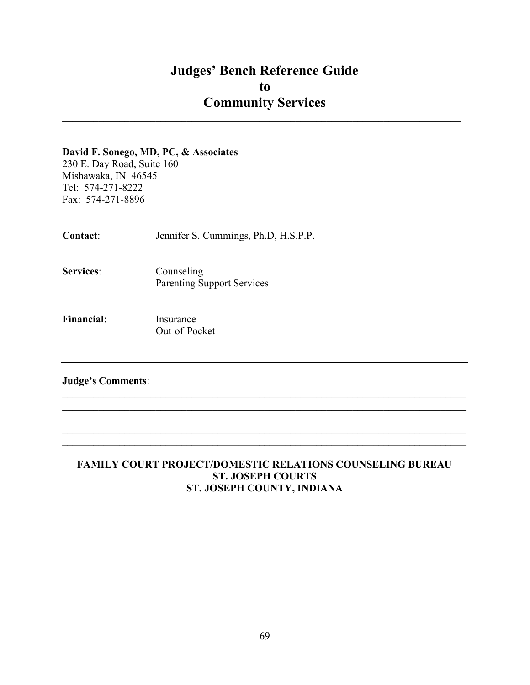$\mathcal{L}_\text{max}$  and  $\mathcal{L}_\text{max}$  and  $\mathcal{L}_\text{max}$  and  $\mathcal{L}_\text{max}$  and  $\mathcal{L}_\text{max}$  and  $\mathcal{L}_\text{max}$ 

#### David F. Sonego, MD, PC, & Associates

230 E. Day Road, Suite 160 Mishawaka, IN 46545 Tel: 574-271-8222 Fax: 574-271-8896

Contact: Jennifer S. Cummings, Ph.D, H.S.P.P.

- Services: Counseling Parenting Support Services
- Financial: Insurance Out-of-Pocket

## Judge's Comments:

## FAMILY COURT PROJECT/DOMESTIC RELATIONS COUNSELING BUREAU ST. JOSEPH COURTS ST. JOSEPH COUNTY, INDIANA

 $\mathcal{L}_\mathcal{L} = \mathcal{L}_\mathcal{L} = \mathcal{L}_\mathcal{L} = \mathcal{L}_\mathcal{L} = \mathcal{L}_\mathcal{L} = \mathcal{L}_\mathcal{L} = \mathcal{L}_\mathcal{L} = \mathcal{L}_\mathcal{L} = \mathcal{L}_\mathcal{L} = \mathcal{L}_\mathcal{L} = \mathcal{L}_\mathcal{L} = \mathcal{L}_\mathcal{L} = \mathcal{L}_\mathcal{L} = \mathcal{L}_\mathcal{L} = \mathcal{L}_\mathcal{L} = \mathcal{L}_\mathcal{L} = \mathcal{L}_\mathcal{L}$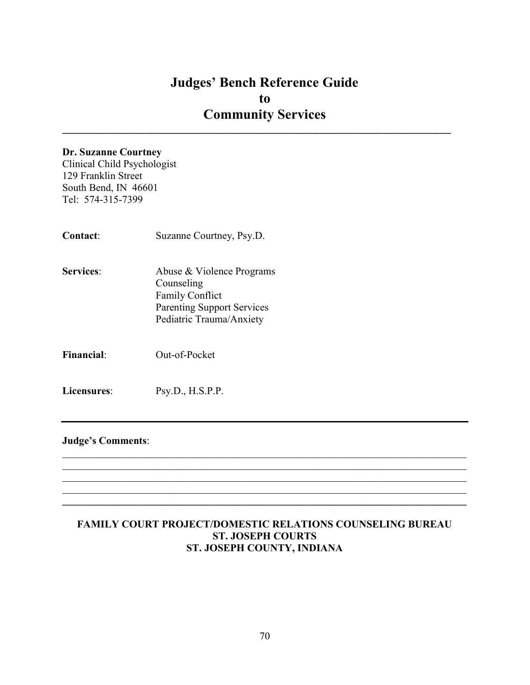$\mathcal{L}_\mathcal{L} = \{ \mathcal{L}_\mathcal{L} = \{ \mathcal{L}_\mathcal{L} = \{ \mathcal{L}_\mathcal{L} = \{ \mathcal{L}_\mathcal{L} = \{ \mathcal{L}_\mathcal{L} = \{ \mathcal{L}_\mathcal{L} = \{ \mathcal{L}_\mathcal{L} = \{ \mathcal{L}_\mathcal{L} = \{ \mathcal{L}_\mathcal{L} = \{ \mathcal{L}_\mathcal{L} = \{ \mathcal{L}_\mathcal{L} = \{ \mathcal{L}_\mathcal{L} = \{ \mathcal{L}_\mathcal{L} = \{ \mathcal{L}_\mathcal{$ 

#### Dr. Suzanne Courtney

Clinical Child Psychologist 129 Franklin Street South Bend, IN 46601 Tel: 574-315-7399

| Contact:          | Suzanne Courtney, Psy.D.                                                                                                           |
|-------------------|------------------------------------------------------------------------------------------------------------------------------------|
| <b>Services:</b>  | Abuse & Violence Programs<br>Counseling<br><b>Family Conflict</b><br><b>Parenting Support Services</b><br>Pediatric Trauma/Anxiety |
| <b>Financial:</b> | Out-of-Pocket                                                                                                                      |
| Licensures:       | Psv.D., H.S.P.P.                                                                                                                   |

#### Judge's Comments:

## FAMILY COURT PROJECT/DOMESTIC RELATIONS COUNSELING BUREAU ST. JOSEPH COURTS ST. JOSEPH COUNTY, INDIANA

 $\mathcal{L}_\mathcal{L} = \mathcal{L}_\mathcal{L} = \mathcal{L}_\mathcal{L} = \mathcal{L}_\mathcal{L} = \mathcal{L}_\mathcal{L} = \mathcal{L}_\mathcal{L} = \mathcal{L}_\mathcal{L} = \mathcal{L}_\mathcal{L} = \mathcal{L}_\mathcal{L} = \mathcal{L}_\mathcal{L} = \mathcal{L}_\mathcal{L} = \mathcal{L}_\mathcal{L} = \mathcal{L}_\mathcal{L} = \mathcal{L}_\mathcal{L} = \mathcal{L}_\mathcal{L} = \mathcal{L}_\mathcal{L} = \mathcal{L}_\mathcal{L}$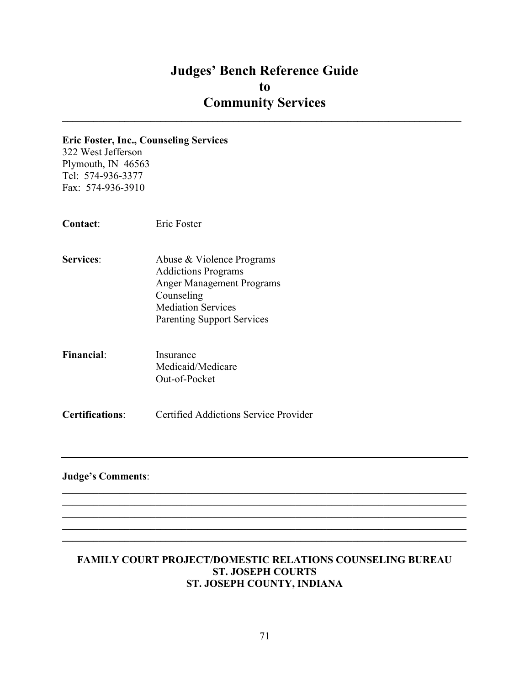$\mathcal{L}_\text{max}$  and  $\mathcal{L}_\text{max}$  and  $\mathcal{L}_\text{max}$  and  $\mathcal{L}_\text{max}$  and  $\mathcal{L}_\text{max}$  and  $\mathcal{L}_\text{max}$ 

#### Eric Foster, Inc., Counseling Services

322 West Jefferson Plymouth, IN 46563 Tel: 574-936-3377 Fax: 574-936-3910

Contact: Eric Foster

- Services: Abuse & Violence Programs Addictions Programs Anger Management Programs Counseling Mediation Services Parenting Support Services
- Financial: Insurance Medicaid/Medicare Out-of-Pocket

Certifications: Certified Addictions Service Provider

## Judge's Comments:

#### FAMILY COURT PROJECT/DOMESTIC RELATIONS COUNSELING BUREAU ST. JOSEPH COURTS ST. JOSEPH COUNTY, INDIANA

 $\mathcal{L}_\mathcal{L} = \mathcal{L}_\mathcal{L} = \mathcal{L}_\mathcal{L} = \mathcal{L}_\mathcal{L} = \mathcal{L}_\mathcal{L} = \mathcal{L}_\mathcal{L} = \mathcal{L}_\mathcal{L} = \mathcal{L}_\mathcal{L} = \mathcal{L}_\mathcal{L} = \mathcal{L}_\mathcal{L} = \mathcal{L}_\mathcal{L} = \mathcal{L}_\mathcal{L} = \mathcal{L}_\mathcal{L} = \mathcal{L}_\mathcal{L} = \mathcal{L}_\mathcal{L} = \mathcal{L}_\mathcal{L} = \mathcal{L}_\mathcal{L}$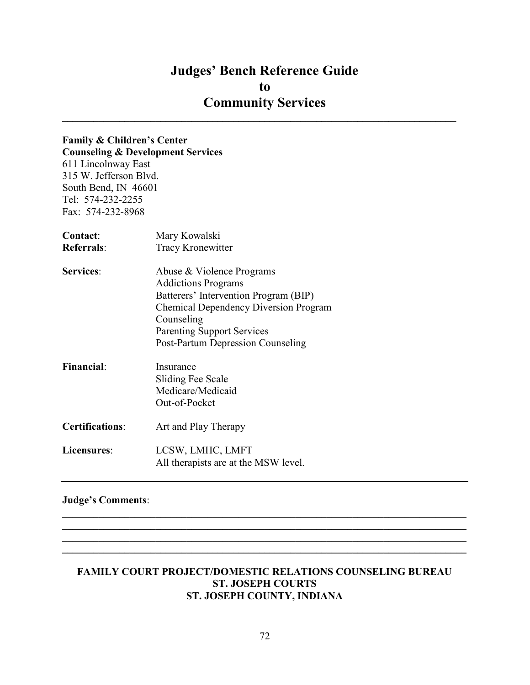## Judges' Bench Reference Guide to Community Services  $\mathcal{L}_\text{max}$  and  $\mathcal{L}_\text{max}$  and  $\mathcal{L}_\text{max}$  and  $\mathcal{L}_\text{max}$  and  $\mathcal{L}_\text{max}$  and  $\mathcal{L}_\text{max}$

# Family & Children's Center

Counseling & Development Services 611 Lincolnway East 315 W. Jefferson Blvd. South Bend, IN 46601 Tel: 574-232-2255 Fax: 574-232-8968

| Contact:               | Mary Kowalski                                |
|------------------------|----------------------------------------------|
| <b>Referrals:</b>      | <b>Tracy Kronewitter</b>                     |
| <b>Services:</b>       | Abuse & Violence Programs                    |
|                        | <b>Addictions Programs</b>                   |
|                        | Batterers' Intervention Program (BIP)        |
|                        | <b>Chemical Dependency Diversion Program</b> |
|                        | Counseling                                   |
|                        | <b>Parenting Support Services</b>            |
|                        | Post-Partum Depression Counseling            |
| <b>Financial:</b>      | Insurance                                    |
|                        | Sliding Fee Scale                            |
|                        | Medicare/Medicaid                            |
|                        | Out-of-Pocket                                |
| <b>Certifications:</b> | Art and Play Therapy                         |
| Licensures:            | LCSW, LMHC, LMFT                             |
|                        | All therapists are at the MSW level.         |

## Judge's Comments:

#### FAMILY COURT PROJECT/DOMESTIC RELATIONS COUNSELING BUREAU ST. JOSEPH COURTS ST. JOSEPH COUNTY, INDIANA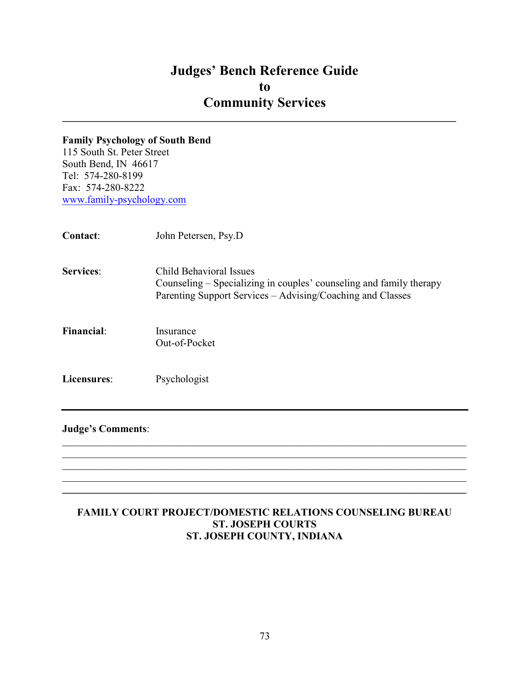$\mathcal{L}_\text{max}$  and  $\mathcal{L}_\text{max}$  and  $\mathcal{L}_\text{max}$  and  $\mathcal{L}_\text{max}$  and  $\mathcal{L}_\text{max}$  and  $\mathcal{L}_\text{max}$ 

## Family Psychology of South Bend

115 South St. Peter Street South Bend, IN 46617 Tel: 574-280-8199 Fax: 574-280-8222 www.family-psychology.com

| Contact:          | John Petersen, Psy.D                                                                                                                                         |
|-------------------|--------------------------------------------------------------------------------------------------------------------------------------------------------------|
| <b>Services:</b>  | Child Behavioral Issues<br>Counseling – Specializing in couples' counseling and family therapy<br>Parenting Support Services – Advising/Coaching and Classes |
| <b>Financial:</b> | Insurance<br>Out-of-Pocket                                                                                                                                   |
| Licensures:       | Psychologist                                                                                                                                                 |

#### Judge's Comments:

#### FAMILY COURT PROJECT/DOMESTIC RELATIONS COUNSELING BUREAU ST. JOSEPH COURTS ST. JOSEPH COUNTY, INDIANA

 $\mathcal{L}_\mathcal{L} = \mathcal{L}_\mathcal{L} = \mathcal{L}_\mathcal{L} = \mathcal{L}_\mathcal{L} = \mathcal{L}_\mathcal{L} = \mathcal{L}_\mathcal{L} = \mathcal{L}_\mathcal{L} = \mathcal{L}_\mathcal{L} = \mathcal{L}_\mathcal{L} = \mathcal{L}_\mathcal{L} = \mathcal{L}_\mathcal{L} = \mathcal{L}_\mathcal{L} = \mathcal{L}_\mathcal{L} = \mathcal{L}_\mathcal{L} = \mathcal{L}_\mathcal{L} = \mathcal{L}_\mathcal{L} = \mathcal{L}_\mathcal{L}$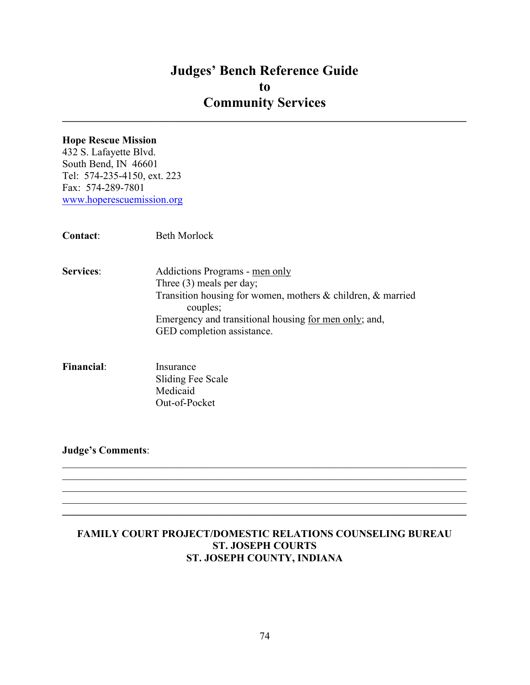$\_$ 

#### Hope Rescue Mission

432 S. Lafayette Blvd. South Bend, IN 46601 Tel: 574-235-4150, ext. 223 Fax: 574-289-7801 www.hoperescuemission.org

| <b>Contact:</b>  | <b>Beth Morlock</b>                                                                                                                                                                                                            |
|------------------|--------------------------------------------------------------------------------------------------------------------------------------------------------------------------------------------------------------------------------|
| <b>Services:</b> | Addictions Programs - men only<br>Three $(3)$ meals per day;<br>Transition housing for women, mothers & children, & married<br>couples;<br>Emergency and transitional housing for men only; and,<br>GED completion assistance. |
|                  |                                                                                                                                                                                                                                |

Financial: Insurance Sliding Fee Scale Medicaid Out-of-Pocket

Judge's Comments:

#### FAMILY COURT PROJECT/DOMESTIC RELATIONS COUNSELING BUREAU ST. JOSEPH COURTS ST. JOSEPH COUNTY, INDIANA

 $\mathcal{L}_\mathcal{L} = \mathcal{L}_\mathcal{L} = \mathcal{L}_\mathcal{L} = \mathcal{L}_\mathcal{L} = \mathcal{L}_\mathcal{L} = \mathcal{L}_\mathcal{L} = \mathcal{L}_\mathcal{L} = \mathcal{L}_\mathcal{L} = \mathcal{L}_\mathcal{L} = \mathcal{L}_\mathcal{L} = \mathcal{L}_\mathcal{L} = \mathcal{L}_\mathcal{L} = \mathcal{L}_\mathcal{L} = \mathcal{L}_\mathcal{L} = \mathcal{L}_\mathcal{L} = \mathcal{L}_\mathcal{L} = \mathcal{L}_\mathcal{L}$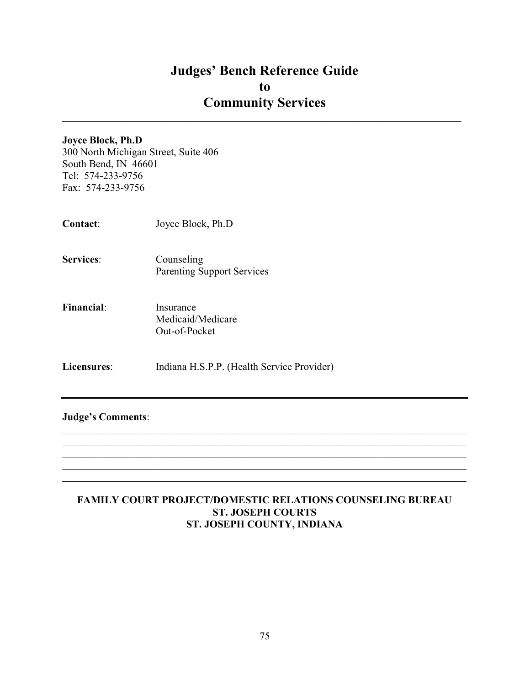$\mathcal{L}_\text{max}$  and  $\mathcal{L}_\text{max}$  and  $\mathcal{L}_\text{max}$  and  $\mathcal{L}_\text{max}$  and  $\mathcal{L}_\text{max}$  and  $\mathcal{L}_\text{max}$ 

#### Joyce Block, Ph.D

300 North Michigan Street, Suite 406 South Bend, IN 46601 Tel: 574-233-9756 Fax: 574-233-9756

- Contact: Joyce Block, Ph.D
- Services: Counseling Parenting Support Services
- Financial: Insurance Medicaid/Medicare Out-of-Pocket
- Licensures: Indiana H.S.P.P. (Health Service Provider)

#### Judge's Comments:

#### FAMILY COURT PROJECT/DOMESTIC RELATIONS COUNSELING BUREAU ST. JOSEPH COURTS ST. JOSEPH COUNTY, INDIANA

 $\mathcal{L}_\mathcal{L} = \mathcal{L}_\mathcal{L} = \mathcal{L}_\mathcal{L} = \mathcal{L}_\mathcal{L} = \mathcal{L}_\mathcal{L} = \mathcal{L}_\mathcal{L} = \mathcal{L}_\mathcal{L} = \mathcal{L}_\mathcal{L} = \mathcal{L}_\mathcal{L} = \mathcal{L}_\mathcal{L} = \mathcal{L}_\mathcal{L} = \mathcal{L}_\mathcal{L} = \mathcal{L}_\mathcal{L} = \mathcal{L}_\mathcal{L} = \mathcal{L}_\mathcal{L} = \mathcal{L}_\mathcal{L} = \mathcal{L}_\mathcal{L}$  $\_$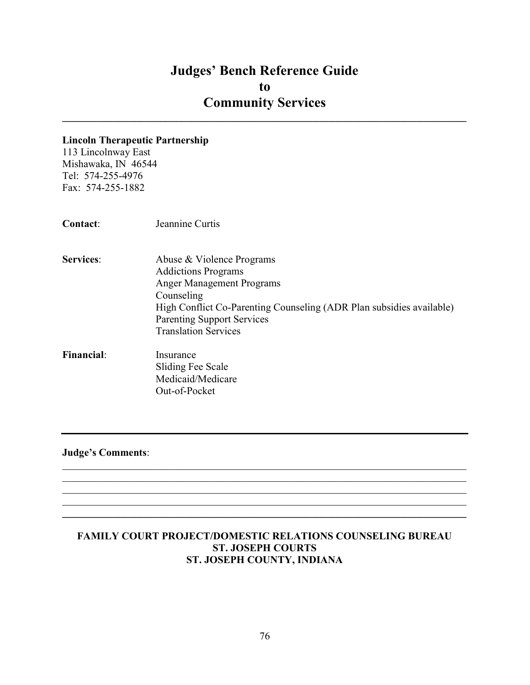$\_$ 

#### Lincoln Therapeutic Partnership

113 Lincolnway East Mishawaka, IN 46544 Tel: 574-255-4976 Fax: 574-255-1882

- Services: Abuse & Violence Programs Addictions Programs Anger Management Programs Counseling High Conflict Co-Parenting Counseling (ADR Plan subsidies available) Parenting Support Services Translation Services
- Financial: Insurance Sliding Fee Scale Medicaid/Medicare Out-of-Pocket

Judge's Comments:

#### FAMILY COURT PROJECT/DOMESTIC RELATIONS COUNSELING BUREAU ST. JOSEPH COURTS ST. JOSEPH COUNTY, INDIANA

 $\mathcal{L}_\mathcal{L} = \mathcal{L}_\mathcal{L} = \mathcal{L}_\mathcal{L} = \mathcal{L}_\mathcal{L} = \mathcal{L}_\mathcal{L} = \mathcal{L}_\mathcal{L} = \mathcal{L}_\mathcal{L} = \mathcal{L}_\mathcal{L} = \mathcal{L}_\mathcal{L} = \mathcal{L}_\mathcal{L} = \mathcal{L}_\mathcal{L} = \mathcal{L}_\mathcal{L} = \mathcal{L}_\mathcal{L} = \mathcal{L}_\mathcal{L} = \mathcal{L}_\mathcal{L} = \mathcal{L}_\mathcal{L} = \mathcal{L}_\mathcal{L}$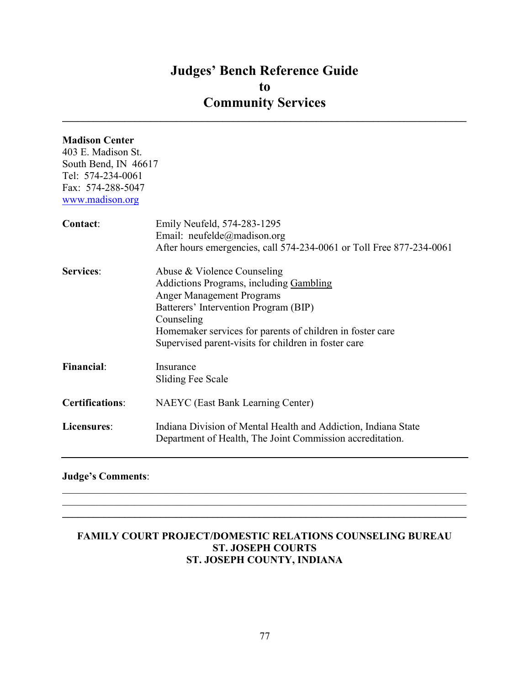$\_$ 

#### Madison Center

403 E. Madison St. South Bend, IN 46617 Tel: 574-234-0061 Fax: 574-288-5047 www.madison.org

| Contact:               | Emily Neufeld, 574-283-1295<br>Email: neufelde@madison.org<br>After hours emergencies, call 574-234-0061 or Toll Free 877-234-0061                                                                                                                                                     |
|------------------------|----------------------------------------------------------------------------------------------------------------------------------------------------------------------------------------------------------------------------------------------------------------------------------------|
| <b>Services:</b>       | Abuse & Violence Counseling<br>Addictions Programs, including Gambling<br><b>Anger Management Programs</b><br>Batterers' Intervention Program (BIP)<br>Counseling<br>Homemaker services for parents of children in foster care<br>Supervised parent-visits for children in foster care |
| <b>Financial:</b>      | Insurance<br>Sliding Fee Scale                                                                                                                                                                                                                                                         |
| <b>Certifications:</b> | <b>NAEYC</b> (East Bank Learning Center)                                                                                                                                                                                                                                               |
| Licensures:            | Indiana Division of Mental Health and Addiction, Indiana State<br>Department of Health, The Joint Commission accreditation.                                                                                                                                                            |

#### Judge's Comments:

#### FAMILY COURT PROJECT/DOMESTIC RELATIONS COUNSELING BUREAU ST. JOSEPH COURTS ST. JOSEPH COUNTY, INDIANA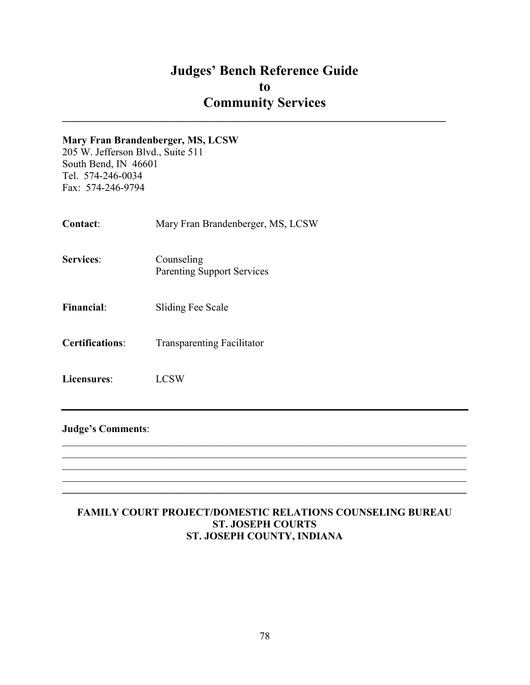$\mathcal{L}_\text{max}$  and  $\mathcal{L}_\text{max}$  and  $\mathcal{L}_\text{max}$  and  $\mathcal{L}_\text{max}$  and  $\mathcal{L}_\text{max}$  and  $\mathcal{L}_\text{max}$ 

#### Mary Fran Brandenberger, MS, LCSW

205 W. Jefferson Blvd., Suite 511 South Bend, IN 46601 Tel. 574-246-0034 Fax: 574-246-9794

- Contact: Mary Fran Brandenberger, MS, LCSW
- Services: Counseling Parenting Support Services
- Financial: Sliding Fee Scale
- Certifications: Transparenting Facilitator
- Licensures: LCSW

#### Judge's Comments:

#### FAMILY COURT PROJECT/DOMESTIC RELATIONS COUNSELING BUREAU ST. JOSEPH COURTS ST. JOSEPH COUNTY, INDIANA

 $\mathcal{L}_\mathcal{L} = \mathcal{L}_\mathcal{L} = \mathcal{L}_\mathcal{L} = \mathcal{L}_\mathcal{L} = \mathcal{L}_\mathcal{L} = \mathcal{L}_\mathcal{L} = \mathcal{L}_\mathcal{L} = \mathcal{L}_\mathcal{L} = \mathcal{L}_\mathcal{L} = \mathcal{L}_\mathcal{L} = \mathcal{L}_\mathcal{L} = \mathcal{L}_\mathcal{L} = \mathcal{L}_\mathcal{L} = \mathcal{L}_\mathcal{L} = \mathcal{L}_\mathcal{L} = \mathcal{L}_\mathcal{L} = \mathcal{L}_\mathcal{L}$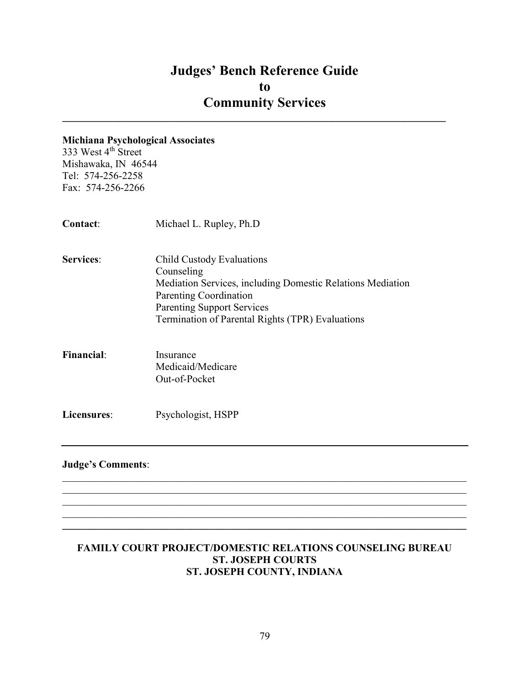$\mathcal{L}_\text{max}$  and  $\mathcal{L}_\text{max}$  and  $\mathcal{L}_\text{max}$  and  $\mathcal{L}_\text{max}$  and  $\mathcal{L}_\text{max}$  and  $\mathcal{L}_\text{max}$ 

#### Michiana Psychological Associates

333 West 4<sup>th</sup> Street Mishawaka, IN 46544 Tel: 574-256-2258 Fax: 574-256-2266

Contact: Michael L. Rupley, Ph.D Services: Child Custody Evaluations Counseling Mediation Services, including Domestic Relations Mediation Parenting Coordination Parenting Support Services Termination of Parental Rights (TPR) Evaluations Financial: Insurance Medicaid/Medicare Out-of-Pocket

#### Judge's Comments:

Licensures: Psychologist, HSPP

#### FAMILY COURT PROJECT/DOMESTIC RELATIONS COUNSELING BUREAU ST. JOSEPH COURTS ST. JOSEPH COUNTY, INDIANA

 $\mathcal{L}_\mathcal{L} = \mathcal{L}_\mathcal{L} = \mathcal{L}_\mathcal{L} = \mathcal{L}_\mathcal{L} = \mathcal{L}_\mathcal{L} = \mathcal{L}_\mathcal{L} = \mathcal{L}_\mathcal{L} = \mathcal{L}_\mathcal{L} = \mathcal{L}_\mathcal{L} = \mathcal{L}_\mathcal{L} = \mathcal{L}_\mathcal{L} = \mathcal{L}_\mathcal{L} = \mathcal{L}_\mathcal{L} = \mathcal{L}_\mathcal{L} = \mathcal{L}_\mathcal{L} = \mathcal{L}_\mathcal{L} = \mathcal{L}_\mathcal{L}$ 

 $\mathcal{L}_\mathcal{L} = \{ \mathcal{L}_\mathcal{L} = \{ \mathcal{L}_\mathcal{L} = \{ \mathcal{L}_\mathcal{L} = \{ \mathcal{L}_\mathcal{L} = \{ \mathcal{L}_\mathcal{L} = \{ \mathcal{L}_\mathcal{L} = \{ \mathcal{L}_\mathcal{L} = \{ \mathcal{L}_\mathcal{L} = \{ \mathcal{L}_\mathcal{L} = \{ \mathcal{L}_\mathcal{L} = \{ \mathcal{L}_\mathcal{L} = \{ \mathcal{L}_\mathcal{L} = \{ \mathcal{L}_\mathcal{L} = \{ \mathcal{L}_\mathcal{$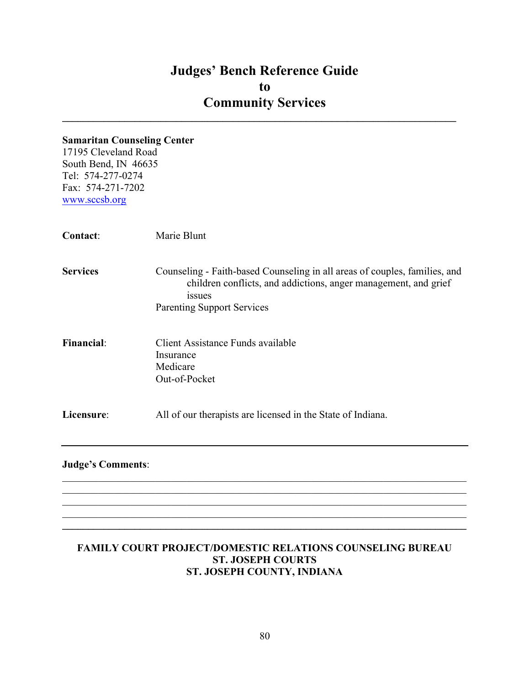$\mathcal{L}_\text{max}$  and  $\mathcal{L}_\text{max}$  and  $\mathcal{L}_\text{max}$  and  $\mathcal{L}_\text{max}$  and  $\mathcal{L}_\text{max}$  and  $\mathcal{L}_\text{max}$ 

#### Samaritan Counseling Center

17195 Cleveland Road South Bend, IN 46635 Tel: 574-277-0274 Fax: 574-271-7202 www.sccsb.org

| <b>Contact:</b>   | Marie Blunt                                                                                                                                                                                         |
|-------------------|-----------------------------------------------------------------------------------------------------------------------------------------------------------------------------------------------------|
| <b>Services</b>   | Counseling - Faith-based Counseling in all areas of couples, families, and<br>children conflicts, and addictions, anger management, and grief<br><i>issues</i><br><b>Parenting Support Services</b> |
| <b>Financial:</b> | Client Assistance Funds available<br>Insurance<br>Medicare<br>Out-of-Pocket                                                                                                                         |
| Licensure:        | All of our therapists are licensed in the State of Indiana.                                                                                                                                         |
|                   |                                                                                                                                                                                                     |

#### Judge's Comments:

#### FAMILY COURT PROJECT/DOMESTIC RELATIONS COUNSELING BUREAU ST. JOSEPH COURTS ST. JOSEPH COUNTY, INDIANA

 $\mathcal{L}_\mathcal{L} = \mathcal{L}_\mathcal{L} = \mathcal{L}_\mathcal{L} = \mathcal{L}_\mathcal{L} = \mathcal{L}_\mathcal{L} = \mathcal{L}_\mathcal{L} = \mathcal{L}_\mathcal{L} = \mathcal{L}_\mathcal{L} = \mathcal{L}_\mathcal{L} = \mathcal{L}_\mathcal{L} = \mathcal{L}_\mathcal{L} = \mathcal{L}_\mathcal{L} = \mathcal{L}_\mathcal{L} = \mathcal{L}_\mathcal{L} = \mathcal{L}_\mathcal{L} = \mathcal{L}_\mathcal{L} = \mathcal{L}_\mathcal{L}$ 

 $\mathcal{L}_\mathcal{L} = \{ \mathcal{L}_\mathcal{L} = \{ \mathcal{L}_\mathcal{L} = \{ \mathcal{L}_\mathcal{L} = \{ \mathcal{L}_\mathcal{L} = \{ \mathcal{L}_\mathcal{L} = \{ \mathcal{L}_\mathcal{L} = \{ \mathcal{L}_\mathcal{L} = \{ \mathcal{L}_\mathcal{L} = \{ \mathcal{L}_\mathcal{L} = \{ \mathcal{L}_\mathcal{L} = \{ \mathcal{L}_\mathcal{L} = \{ \mathcal{L}_\mathcal{L} = \{ \mathcal{L}_\mathcal{L} = \{ \mathcal{L}_\mathcal{$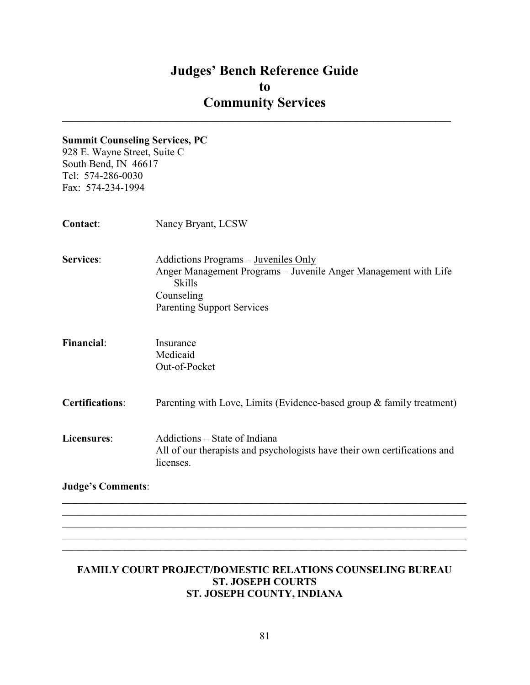$\mathcal{L}_\text{max}$  and  $\mathcal{L}_\text{max}$  and  $\mathcal{L}_\text{max}$  and  $\mathcal{L}_\text{max}$  and  $\mathcal{L}_\text{max}$  and  $\mathcal{L}_\text{max}$ 

#### Summit Counseling Services, PC

928 E. Wayne Street, Suite C South Bend, IN 46617 Tel: 574-286-0030 Fax: 574-234-1994

| Contact:                 | Nancy Bryant, LCSW                                                                                                                                                          |
|--------------------------|-----------------------------------------------------------------------------------------------------------------------------------------------------------------------------|
| Services:                | Addictions Programs – Juveniles Only<br>Anger Management Programs - Juvenile Anger Management with Life<br><b>Skills</b><br>Counseling<br><b>Parenting Support Services</b> |
| <b>Financial:</b>        | Insurance<br>Medicaid<br>Out-of-Pocket                                                                                                                                      |
| <b>Certifications:</b>   | Parenting with Love, Limits (Evidence-based group & family treatment)                                                                                                       |
| Licensures:              | Addictions – State of Indiana<br>All of our therapists and psychologists have their own certifications and<br>licenses.                                                     |
| <b>Judge's Comments:</b> |                                                                                                                                                                             |

#### FAMILY COURT PROJECT/DOMESTIC RELATIONS COUNSELING BUREAU ST. JOSEPH COURTS ST. JOSEPH COUNTY, INDIANA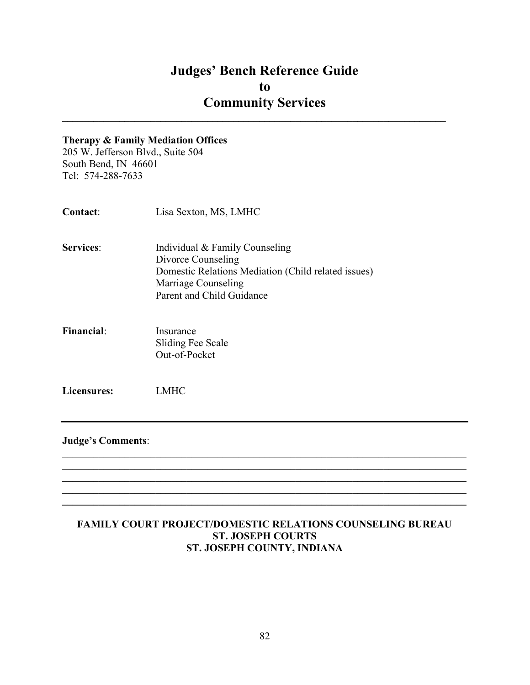$\mathcal{L}_\text{max}$  and  $\mathcal{L}_\text{max}$  and  $\mathcal{L}_\text{max}$  and  $\mathcal{L}_\text{max}$  and  $\mathcal{L}_\text{max}$  and  $\mathcal{L}_\text{max}$ 

#### Therapy & Family Mediation Offices

205 W. Jefferson Blvd., Suite 504 South Bend, IN 46601 Tel: 574-288-7633

| <b>Contact:</b>  | Lisa Sexton, MS, LMHC                               |
|------------------|-----------------------------------------------------|
| <b>Services:</b> | Individual & Family Counseling                      |
|                  | Divorce Counseling                                  |
|                  | Domestic Relations Mediation (Child related issues) |
|                  | Marriage Counseling                                 |
|                  | Parent and Child Guidance                           |
|                  |                                                     |

Financial: Insurance Sliding Fee Scale Out-of-Pocket

Licensures: LMHC

#### Judge's Comments:

#### FAMILY COURT PROJECT/DOMESTIC RELATIONS COUNSELING BUREAU ST. JOSEPH COURTS ST. JOSEPH COUNTY, INDIANA

 $\mathcal{L}_\mathcal{L} = \mathcal{L}_\mathcal{L} = \mathcal{L}_\mathcal{L} = \mathcal{L}_\mathcal{L} = \mathcal{L}_\mathcal{L} = \mathcal{L}_\mathcal{L} = \mathcal{L}_\mathcal{L} = \mathcal{L}_\mathcal{L} = \mathcal{L}_\mathcal{L} = \mathcal{L}_\mathcal{L} = \mathcal{L}_\mathcal{L} = \mathcal{L}_\mathcal{L} = \mathcal{L}_\mathcal{L} = \mathcal{L}_\mathcal{L} = \mathcal{L}_\mathcal{L} = \mathcal{L}_\mathcal{L} = \mathcal{L}_\mathcal{L}$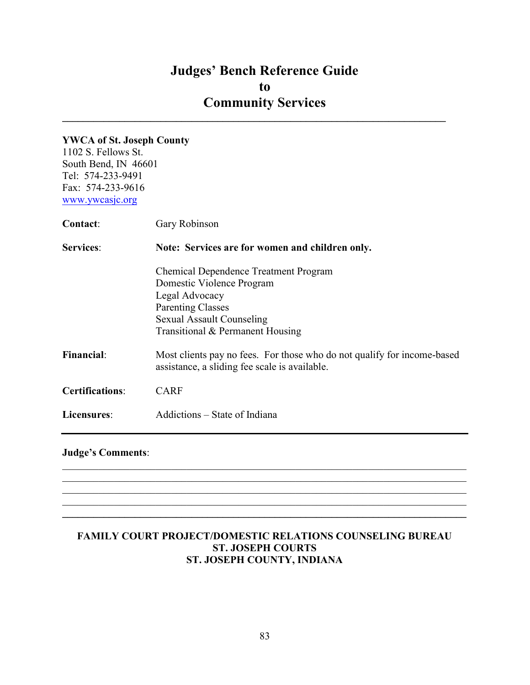$\mathcal{L}_\text{max}$  and  $\mathcal{L}_\text{max}$  and  $\mathcal{L}_\text{max}$  and  $\mathcal{L}_\text{max}$  and  $\mathcal{L}_\text{max}$  and  $\mathcal{L}_\text{max}$ 

#### YWCA of St. Joseph County

1102 S. Fellows St. South Bend, IN 46601 Tel: 574-233-9491 Fax: 574-233-9616 www.ywcasjc.org

| <b>Contact:</b>                                                     | Gary Robinson                                                                                                                                                                                   |
|---------------------------------------------------------------------|-------------------------------------------------------------------------------------------------------------------------------------------------------------------------------------------------|
| <b>Services:</b><br>Note: Services are for women and children only. |                                                                                                                                                                                                 |
|                                                                     | <b>Chemical Dependence Treatment Program</b><br>Domestic Violence Program<br>Legal Advocacy<br><b>Parenting Classes</b><br><b>Sexual Assault Counseling</b><br>Transitional & Permanent Housing |
| <b>Financial:</b>                                                   | Most clients pay no fees. For those who do not qualify for income-based<br>assistance, a sliding fee scale is available.                                                                        |
| <b>Certifications:</b>                                              | <b>CARF</b>                                                                                                                                                                                     |
| Licensures:                                                         | Addictions – State of Indiana                                                                                                                                                                   |

#### Judge's Comments:

#### FAMILY COURT PROJECT/DOMESTIC RELATIONS COUNSELING BUREAU ST. JOSEPH COURTS ST. JOSEPH COUNTY, INDIANA

 $\mathcal{L}_\mathcal{L} = \mathcal{L}_\mathcal{L} = \mathcal{L}_\mathcal{L} = \mathcal{L}_\mathcal{L} = \mathcal{L}_\mathcal{L} = \mathcal{L}_\mathcal{L} = \mathcal{L}_\mathcal{L} = \mathcal{L}_\mathcal{L} = \mathcal{L}_\mathcal{L} = \mathcal{L}_\mathcal{L} = \mathcal{L}_\mathcal{L} = \mathcal{L}_\mathcal{L} = \mathcal{L}_\mathcal{L} = \mathcal{L}_\mathcal{L} = \mathcal{L}_\mathcal{L} = \mathcal{L}_\mathcal{L} = \mathcal{L}_\mathcal{L}$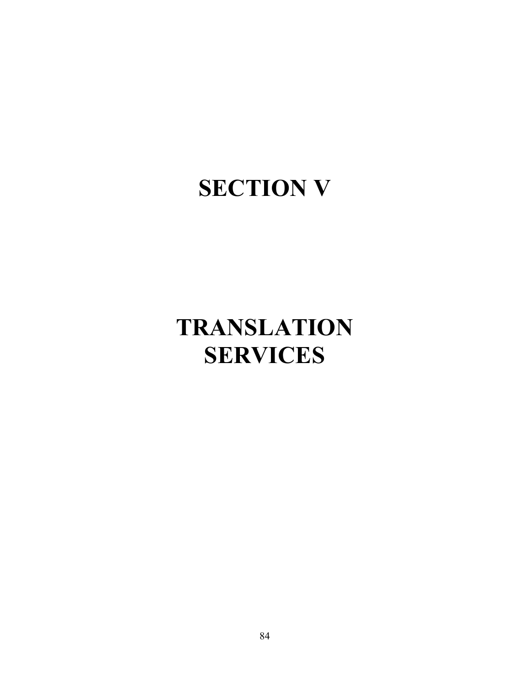## SECTION V

# TRANSLATION **SERVICES**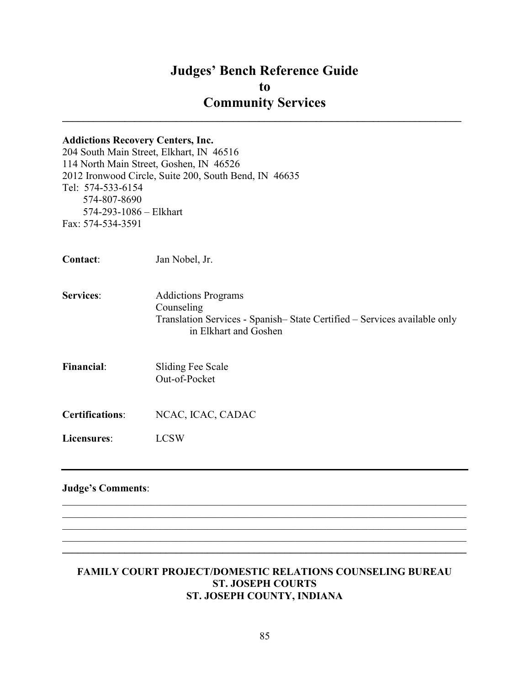### Judges' Bench Reference Guide to Community Services  $\mathcal{L}_\text{max}$  and  $\mathcal{L}_\text{max}$  and  $\mathcal{L}_\text{max}$  and  $\mathcal{L}_\text{max}$  and  $\mathcal{L}_\text{max}$  and  $\mathcal{L}_\text{max}$

## Addictions Recovery Centers, Inc. 204 South Main Street, Elkhart, IN 46516 114 North Main Street, Goshen, IN 46526 2012 Ironwood Circle, Suite 200, South Bend, IN 46635 Tel: 574-533-6154 574-807-8690 574-293-1086 – Elkhart Fax: 574-534-3591 Contact: Jan Nobel, Jr. Services: Addictions Programs Counseling Translation Services - Spanish– State Certified – Services available only in Elkhart and Goshen Financial: Sliding Fee Scale Out-of-Pocket Certifications: NCAC, ICAC, CADAC Licensures: LCSW Judge's Comments:  $\mathcal{L}_\mathcal{L} = \mathcal{L}_\mathcal{L} = \mathcal{L}_\mathcal{L} = \mathcal{L}_\mathcal{L} = \mathcal{L}_\mathcal{L} = \mathcal{L}_\mathcal{L} = \mathcal{L}_\mathcal{L} = \mathcal{L}_\mathcal{L} = \mathcal{L}_\mathcal{L} = \mathcal{L}_\mathcal{L} = \mathcal{L}_\mathcal{L} = \mathcal{L}_\mathcal{L} = \mathcal{L}_\mathcal{L} = \mathcal{L}_\mathcal{L} = \mathcal{L}_\mathcal{L} = \mathcal{L}_\mathcal{L} = \mathcal{L}_\mathcal{L}$

#### FAMILY COURT PROJECT/DOMESTIC RELATIONS COUNSELING BUREAU ST. JOSEPH COURTS ST. JOSEPH COUNTY, INDIANA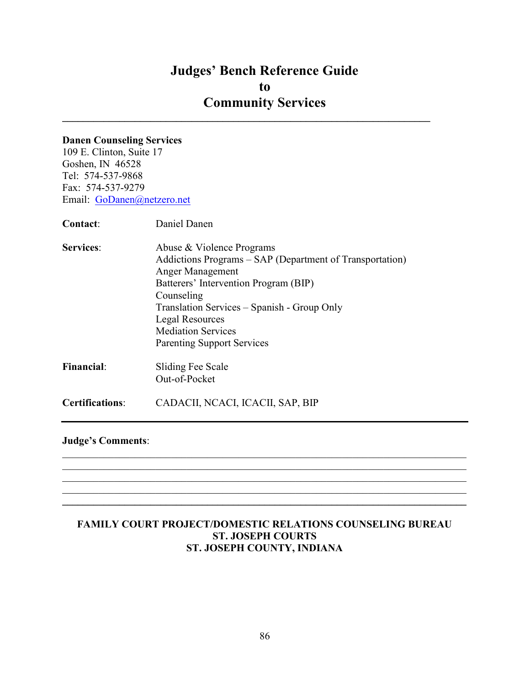$\mathcal{L}_\text{max}$  and  $\mathcal{L}_\text{max}$  and  $\mathcal{L}_\text{max}$  and  $\mathcal{L}_\text{max}$  and  $\mathcal{L}_\text{max}$  and  $\mathcal{L}_\text{max}$ 

#### Danen Counseling Services

109 E. Clinton, Suite 17 Goshen, IN 46528 Tel: 574-537-9868 Fax: 574-537-9279 Email: GoDanen@netzero.net

Contact: Daniel Danen

Services: Abuse & Violence Programs Addictions Programs – SAP (Department of Transportation) Anger Management Batterers' Intervention Program (BIP) Counseling Translation Services – Spanish - Group Only Legal Resources Mediation Services Parenting Support Services Financial: Sliding Fee Scale Out-of-Pocket

Certifications: CADACII, NCACI, ICACII, SAP, BIP

Judge's Comments:

#### FAMILY COURT PROJECT/DOMESTIC RELATIONS COUNSELING BUREAU ST. JOSEPH COURTS ST. JOSEPH COUNTY, INDIANA

 $\mathcal{L}_\mathcal{L} = \mathcal{L}_\mathcal{L} = \mathcal{L}_\mathcal{L} = \mathcal{L}_\mathcal{L} = \mathcal{L}_\mathcal{L} = \mathcal{L}_\mathcal{L} = \mathcal{L}_\mathcal{L} = \mathcal{L}_\mathcal{L} = \mathcal{L}_\mathcal{L} = \mathcal{L}_\mathcal{L} = \mathcal{L}_\mathcal{L} = \mathcal{L}_\mathcal{L} = \mathcal{L}_\mathcal{L} = \mathcal{L}_\mathcal{L} = \mathcal{L}_\mathcal{L} = \mathcal{L}_\mathcal{L} = \mathcal{L}_\mathcal{L}$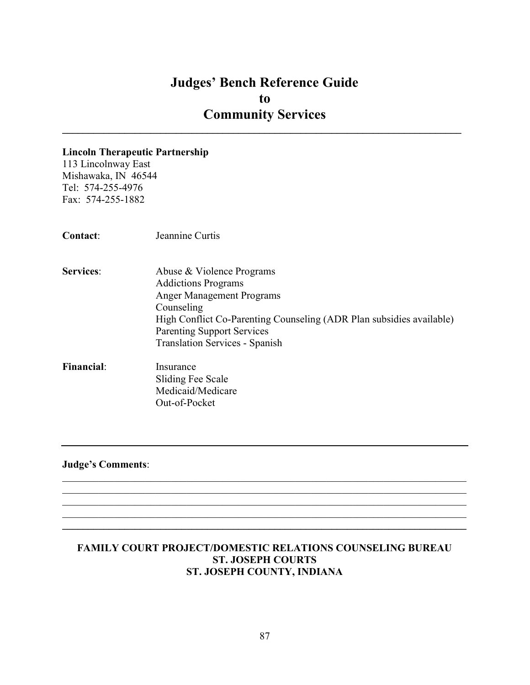$\mathcal{L}_\mathcal{L} = \{ \mathcal{L}_\mathcal{L} = \{ \mathcal{L}_\mathcal{L} = \{ \mathcal{L}_\mathcal{L} = \{ \mathcal{L}_\mathcal{L} = \{ \mathcal{L}_\mathcal{L} = \{ \mathcal{L}_\mathcal{L} = \{ \mathcal{L}_\mathcal{L} = \{ \mathcal{L}_\mathcal{L} = \{ \mathcal{L}_\mathcal{L} = \{ \mathcal{L}_\mathcal{L} = \{ \mathcal{L}_\mathcal{L} = \{ \mathcal{L}_\mathcal{L} = \{ \mathcal{L}_\mathcal{L} = \{ \mathcal{L}_\mathcal{$ 

#### Lincoln Therapeutic Partnership

113 Lincolnway East Mishawaka, IN 46544 Tel: 574-255-4976 Fax: 574-255-1882

| <b>Contact:</b>   | Jeannine Curtis                                                      |
|-------------------|----------------------------------------------------------------------|
| <b>Services:</b>  | Abuse & Violence Programs                                            |
|                   | <b>Addictions Programs</b>                                           |
|                   | <b>Anger Management Programs</b>                                     |
|                   | Counseling                                                           |
|                   | High Conflict Co-Parenting Counseling (ADR Plan subsidies available) |
|                   | <b>Parenting Support Services</b>                                    |
|                   | <b>Translation Services - Spanish</b>                                |
| <b>Financial:</b> | Insurance                                                            |
|                   | Sliding Fee Scale                                                    |
|                   | Medicaid/Medicare                                                    |
|                   | Out-of-Pocket                                                        |

#### Judge's Comments:

#### FAMILY COURT PROJECT/DOMESTIC RELATIONS COUNSELING BUREAU ST. JOSEPH COURTS ST. JOSEPH COUNTY, INDIANA

 $\mathcal{L}_\mathcal{L} = \mathcal{L}_\mathcal{L} = \mathcal{L}_\mathcal{L} = \mathcal{L}_\mathcal{L} = \mathcal{L}_\mathcal{L} = \mathcal{L}_\mathcal{L} = \mathcal{L}_\mathcal{L} = \mathcal{L}_\mathcal{L} = \mathcal{L}_\mathcal{L} = \mathcal{L}_\mathcal{L} = \mathcal{L}_\mathcal{L} = \mathcal{L}_\mathcal{L} = \mathcal{L}_\mathcal{L} = \mathcal{L}_\mathcal{L} = \mathcal{L}_\mathcal{L} = \mathcal{L}_\mathcal{L} = \mathcal{L}_\mathcal{L}$ 

 $\mathcal{L}_\mathcal{L} = \{ \mathcal{L}_\mathcal{L} = \{ \mathcal{L}_\mathcal{L} = \{ \mathcal{L}_\mathcal{L} = \{ \mathcal{L}_\mathcal{L} = \{ \mathcal{L}_\mathcal{L} = \{ \mathcal{L}_\mathcal{L} = \{ \mathcal{L}_\mathcal{L} = \{ \mathcal{L}_\mathcal{L} = \{ \mathcal{L}_\mathcal{L} = \{ \mathcal{L}_\mathcal{L} = \{ \mathcal{L}_\mathcal{L} = \{ \mathcal{L}_\mathcal{L} = \{ \mathcal{L}_\mathcal{L} = \{ \mathcal{L}_\mathcal{$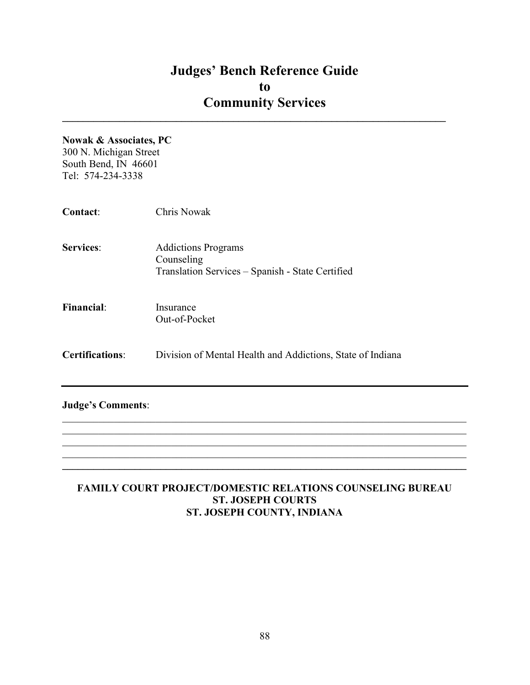$\mathcal{L}_\text{max}$  and  $\mathcal{L}_\text{max}$  and  $\mathcal{L}_\text{max}$  and  $\mathcal{L}_\text{max}$  and  $\mathcal{L}_\text{max}$  and  $\mathcal{L}_\text{max}$ 

#### Nowak & Associates, PC

300 N. Michigan Street South Bend, IN 46601 Tel: 574-234-3338

| <b>Contact:</b>          | <b>Chris Nowak</b>                                                                           |
|--------------------------|----------------------------------------------------------------------------------------------|
| <b>Services:</b>         | <b>Addictions Programs</b><br>Counseling<br>Translation Services - Spanish - State Certified |
| <b>Financial:</b>        | Insurance<br>Out-of-Pocket                                                                   |
| <b>Certifications:</b>   | Division of Mental Health and Addictions, State of Indiana                                   |
| <b>Judge's Comments:</b> |                                                                                              |

#### FAMILY COURT PROJECT/DOMESTIC RELATIONS COUNSELING BUREAU ST. JOSEPH COURTS ST. JOSEPH COUNTY, INDIANA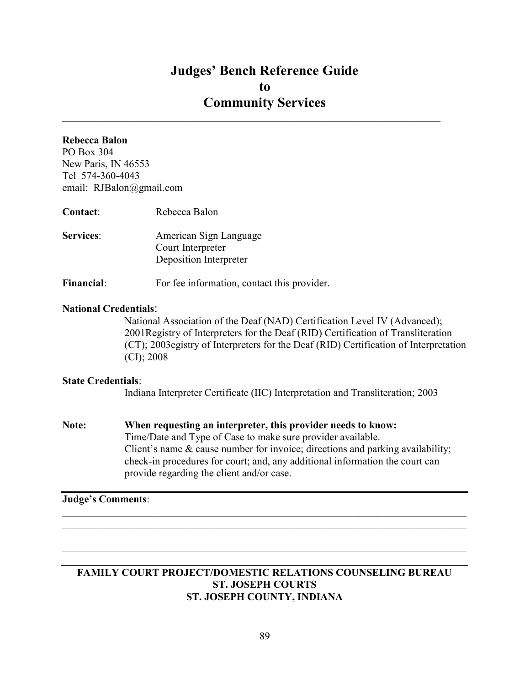$\mathcal{L}_\mathcal{L} = \mathcal{L}_\mathcal{L} = \mathcal{L}_\mathcal{L} = \mathcal{L}_\mathcal{L} = \mathcal{L}_\mathcal{L} = \mathcal{L}_\mathcal{L} = \mathcal{L}_\mathcal{L} = \mathcal{L}_\mathcal{L} = \mathcal{L}_\mathcal{L} = \mathcal{L}_\mathcal{L} = \mathcal{L}_\mathcal{L} = \mathcal{L}_\mathcal{L} = \mathcal{L}_\mathcal{L} = \mathcal{L}_\mathcal{L} = \mathcal{L}_\mathcal{L} = \mathcal{L}_\mathcal{L} = \mathcal{L}_\mathcal{L}$ 

#### Rebecca Balon

PO Box 304 New Paris, IN 46553 Tel 574-360-4043 email: RJBalon@gmail.com

| Contact:         | Rebecca Balon                                                         |
|------------------|-----------------------------------------------------------------------|
| <b>Services:</b> | American Sign Language<br>Court Interpreter<br>Deposition Interpreter |

Financial: For fee information, contact this provider.

#### National Credentials:

National Association of the Deaf (NAD) Certification Level IV (Advanced); 2001Registry of Interpreters for the Deaf (RID) Certification of Transliteration (CT); 2003egistry of Interpreters for the Deaf (RID) Certification of Interpretation (CI); 2008

#### State Credentials:

Indiana Interpreter Certificate (IIC) Interpretation and Transliteration; 2003

Note: When requesting an interpreter, this provider needs to know: Time/Date and Type of Case to make sure provider available. Client's name & cause number for invoice; directions and parking availability; check-in procedures for court; and, any additional information the court can provide regarding the client and/or case.

#### Judge's Comments:

#### FAMILY COURT PROJECT/DOMESTIC RELATIONS COUNSELING BUREAU ST. JOSEPH COURTS ST. JOSEPH COUNTY, INDIANA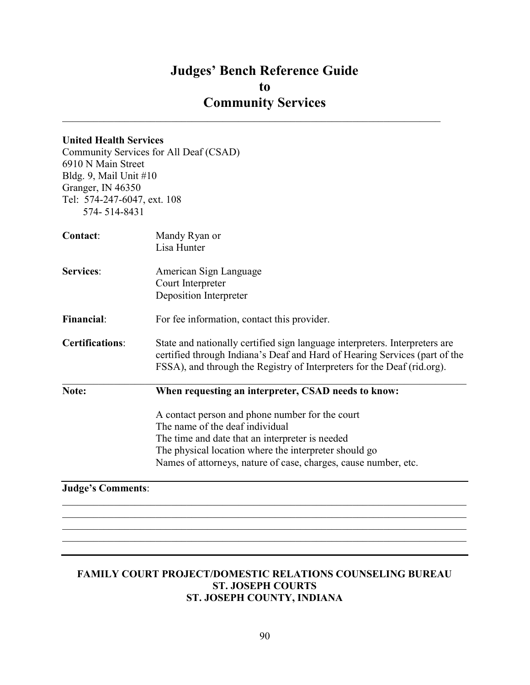$\mathcal{L}_\mathcal{L} = \mathcal{L}_\mathcal{L} = \mathcal{L}_\mathcal{L} = \mathcal{L}_\mathcal{L} = \mathcal{L}_\mathcal{L} = \mathcal{L}_\mathcal{L} = \mathcal{L}_\mathcal{L} = \mathcal{L}_\mathcal{L} = \mathcal{L}_\mathcal{L} = \mathcal{L}_\mathcal{L} = \mathcal{L}_\mathcal{L} = \mathcal{L}_\mathcal{L} = \mathcal{L}_\mathcal{L} = \mathcal{L}_\mathcal{L} = \mathcal{L}_\mathcal{L} = \mathcal{L}_\mathcal{L} = \mathcal{L}_\mathcal{L}$ 

#### United Health Services

Community Services for All Deaf (CSAD) 6910 N Main Street Bldg. 9, Mail Unit #10 Granger, IN 46350 Tel: 574-247-6047, ext. 108 574- 514-8431

| Contact:               | Mandy Ryan or<br>Lisa Hunter                                                                                                                                                                                                                                      |
|------------------------|-------------------------------------------------------------------------------------------------------------------------------------------------------------------------------------------------------------------------------------------------------------------|
| <b>Services:</b>       | American Sign Language<br>Court Interpreter<br>Deposition Interpreter                                                                                                                                                                                             |
| <b>Financial:</b>      | For fee information, contact this provider.                                                                                                                                                                                                                       |
| <b>Certifications:</b> | State and nationally certified sign language interpreters. Interpreters are<br>certified through Indiana's Deaf and Hard of Hearing Services (part of the<br>FSSA), and through the Registry of Interpreters for the Deaf (rid.org).                              |
| Note:                  | When requesting an interpreter, CSAD needs to know:                                                                                                                                                                                                               |
|                        | A contact person and phone number for the court<br>The name of the deaf individual<br>The time and date that an interpreter is needed<br>The physical location where the interpreter should go<br>Names of attorneys, nature of case, charges, cause number, etc. |

#### Judge's Comments:

#### FAMILY COURT PROJECT/DOMESTIC RELATIONS COUNSELING BUREAU ST. JOSEPH COURTS ST. JOSEPH COUNTY, INDIANA

 $\mathcal{L}_\mathcal{L} = \mathcal{L}_\mathcal{L} = \mathcal{L}_\mathcal{L} = \mathcal{L}_\mathcal{L} = \mathcal{L}_\mathcal{L} = \mathcal{L}_\mathcal{L} = \mathcal{L}_\mathcal{L} = \mathcal{L}_\mathcal{L} = \mathcal{L}_\mathcal{L} = \mathcal{L}_\mathcal{L} = \mathcal{L}_\mathcal{L} = \mathcal{L}_\mathcal{L} = \mathcal{L}_\mathcal{L} = \mathcal{L}_\mathcal{L} = \mathcal{L}_\mathcal{L} = \mathcal{L}_\mathcal{L} = \mathcal{L}_\mathcal{L}$